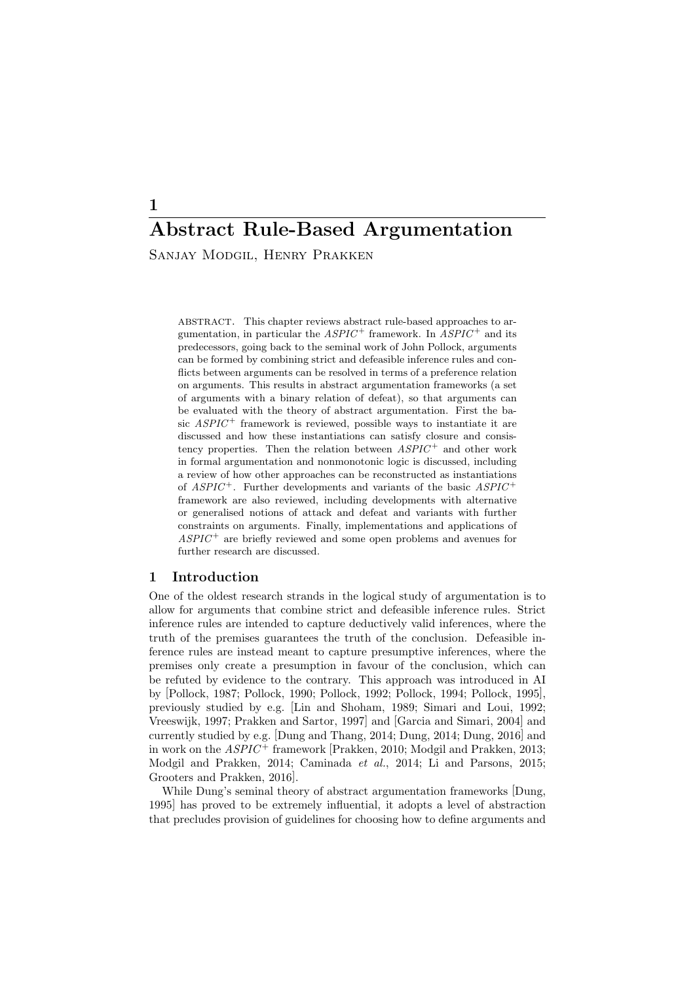# Abstract Rule-Based Argumentation Sanjay Modgil, Henry Prakken

abstract. This chapter reviews abstract rule-based approaches to argumentation, in particular the  $ASPIC^+$  framework. In  $ASPIC^+$  and its predecessors, going back to the seminal work of John Pollock, arguments can be formed by combining strict and defeasible inference rules and conflicts between arguments can be resolved in terms of a preference relation on arguments. This results in abstract argumentation frameworks (a set of arguments with a binary relation of defeat), so that arguments can be evaluated with the theory of abstract argumentation. First the basic  $ASPIC^+$  framework is reviewed, possible ways to instantiate it are discussed and how these instantiations can satisfy closure and consistency properties. Then the relation between  $ASPIC^+$  and other work in formal argumentation and nonmonotonic logic is discussed, including a review of how other approaches can be reconstructed as instantiations of  $ASPIC^+$ . Further developments and variants of the basic  $ASPIC^+$ framework are also reviewed, including developments with alternative or generalised notions of attack and defeat and variants with further constraints on arguments. Finally, implementations and applications of  $ASPIC^+$  are briefly reviewed and some open problems and avenues for further research are discussed.

# 1 Introduction

One of the oldest research strands in the logical study of argumentation is to allow for arguments that combine strict and defeasible inference rules. Strict inference rules are intended to capture deductively valid inferences, where the truth of the premises guarantees the truth of the conclusion. Defeasible inference rules are instead meant to capture presumptive inferences, where the premises only create a presumption in favour of the conclusion, which can be refuted by evidence to the contrary. This approach was introduced in AI by [Pollock, 1987; Pollock, 1990; Pollock, 1992; Pollock, 1994; Pollock, 1995], previously studied by e.g. [Lin and Shoham, 1989; Simari and Loui, 1992; Vreeswijk, 1997; Prakken and Sartor, 1997] and [Garcia and Simari, 2004] and currently studied by e.g. [Dung and Thang, 2014; Dung, 2014; Dung, 2016] and in work on the  $ASPIC^+$  framework [Prakken, 2010; Modgil and Prakken, 2013; Modgil and Prakken, 2014; Caminada et al., 2014; Li and Parsons, 2015; Grooters and Prakken, 2016].

While Dung's seminal theory of abstract argumentation frameworks [Dung, 1995] has proved to be extremely influential, it adopts a level of abstraction that precludes provision of guidelines for choosing how to define arguments and

1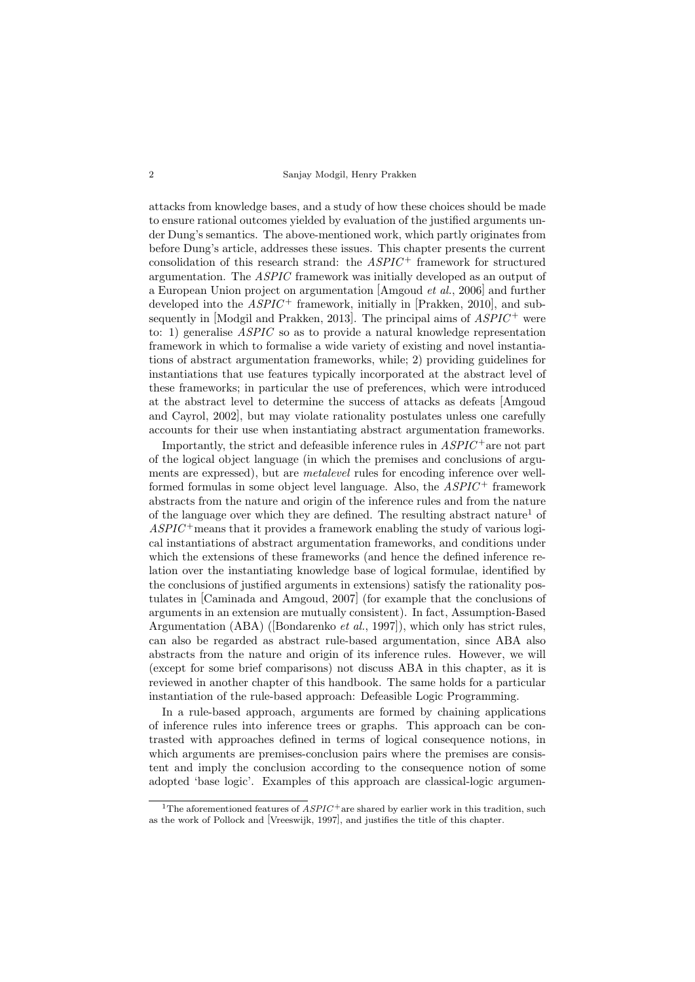#### 2 Sanjay Modgil, Henry Prakken

attacks from knowledge bases, and a study of how these choices should be made to ensure rational outcomes yielded by evaluation of the justified arguments under Dung's semantics. The above-mentioned work, which partly originates from before Dung's article, addresses these issues. This chapter presents the current consolidation of this research strand: the  $ASPIC$ <sup>+</sup> framework for structured argumentation. The ASPIC framework was initially developed as an output of a European Union project on argumentation [Amgoud et al., 2006] and further developed into the  $ASPIC^+$  framework, initially in [Prakken, 2010], and subsequently in [Modgil and Prakken, 2013]. The principal aims of  $ASPIC^+$  were to: 1) generalise ASPIC so as to provide a natural knowledge representation framework in which to formalise a wide variety of existing and novel instantiations of abstract argumentation frameworks, while; 2) providing guidelines for instantiations that use features typically incorporated at the abstract level of these frameworks; in particular the use of preferences, which were introduced at the abstract level to determine the success of attacks as defeats [Amgoud and Cayrol, 2002], but may violate rationality postulates unless one carefully accounts for their use when instantiating abstract argumentation frameworks.

Importantly, the strict and defeasible inference rules in  $ASPIC^+$  are not part of the logical object language (in which the premises and conclusions of arguments are expressed), but are metalevel rules for encoding inference over wellformed formulas in some object level language. Also, the  $ASPIC^+$  framework abstracts from the nature and origin of the inference rules and from the nature of the language over which they are defined. The resulting abstract nature<sup>1</sup> of  $ASPIC^+$  means that it provides a framework enabling the study of various logical instantiations of abstract argumentation frameworks, and conditions under which the extensions of these frameworks (and hence the defined inference relation over the instantiating knowledge base of logical formulae, identified by the conclusions of justified arguments in extensions) satisfy the rationality postulates in [Caminada and Amgoud, 2007] (for example that the conclusions of arguments in an extension are mutually consistent). In fact, Assumption-Based Argumentation (ABA) ([Bondarenko et al., 1997]), which only has strict rules, can also be regarded as abstract rule-based argumentation, since ABA also abstracts from the nature and origin of its inference rules. However, we will (except for some brief comparisons) not discuss ABA in this chapter, as it is reviewed in another chapter of this handbook. The same holds for a particular instantiation of the rule-based approach: Defeasible Logic Programming.

In a rule-based approach, arguments are formed by chaining applications of inference rules into inference trees or graphs. This approach can be contrasted with approaches defined in terms of logical consequence notions, in which arguments are premises-conclusion pairs where the premises are consistent and imply the conclusion according to the consequence notion of some adopted 'base logic'. Examples of this approach are classical-logic argumen-

<sup>&</sup>lt;sup>1</sup>The aforementioned features of  $ASPIC^+$  are shared by earlier work in this tradition, such as the work of Pollock and [Vreeswijk, 1997], and justifies the title of this chapter.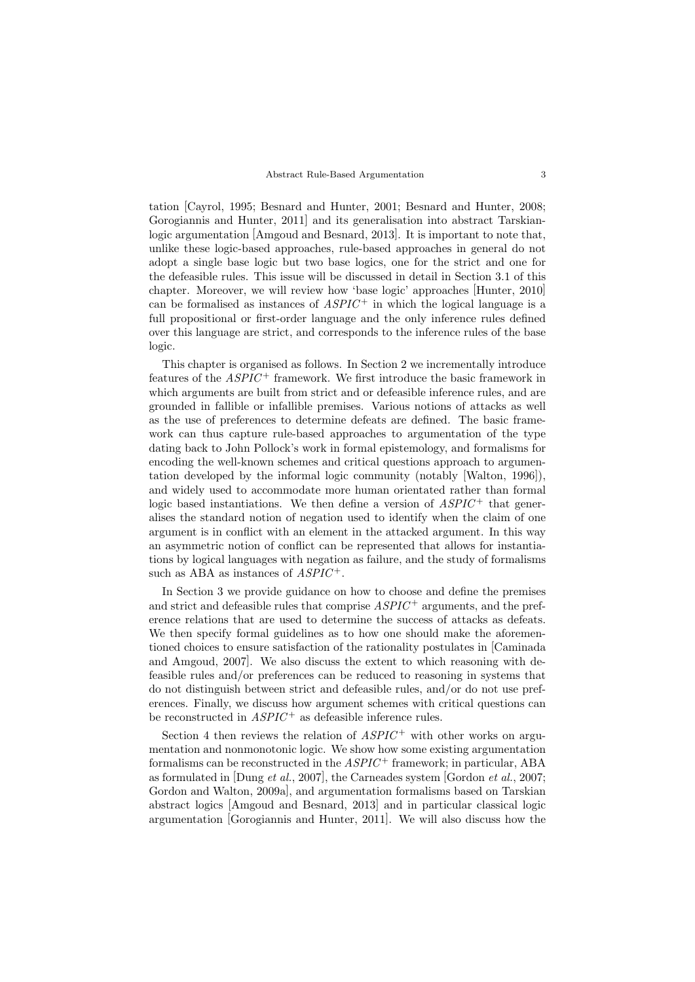tation [Cayrol, 1995; Besnard and Hunter, 2001; Besnard and Hunter, 2008; Gorogiannis and Hunter, 2011] and its generalisation into abstract Tarskianlogic argumentation [Amgoud and Besnard, 2013]. It is important to note that, unlike these logic-based approaches, rule-based approaches in general do not adopt a single base logic but two base logics, one for the strict and one for the defeasible rules. This issue will be discussed in detail in Section 3.1 of this chapter. Moreover, we will review how 'base logic' approaches [Hunter, 2010] can be formalised as instances of  $ASPIC^+$  in which the logical language is a full propositional or first-order language and the only inference rules defined over this language are strict, and corresponds to the inference rules of the base logic.

This chapter is organised as follows. In Section 2 we incrementally introduce features of the  $ASPIC^+$  framework. We first introduce the basic framework in which arguments are built from strict and or defeasible inference rules, and are grounded in fallible or infallible premises. Various notions of attacks as well as the use of preferences to determine defeats are defined. The basic framework can thus capture rule-based approaches to argumentation of the type dating back to John Pollock's work in formal epistemology, and formalisms for encoding the well-known schemes and critical questions approach to argumentation developed by the informal logic community (notably [Walton, 1996]), and widely used to accommodate more human orientated rather than formal logic based instantiations. We then define a version of  $ASPIC^+$  that generalises the standard notion of negation used to identify when the claim of one argument is in conflict with an element in the attacked argument. In this way an asymmetric notion of conflict can be represented that allows for instantiations by logical languages with negation as failure, and the study of formalisms such as ABA as instances of  $ASPIC^+$ .

In Section 3 we provide guidance on how to choose and define the premises and strict and defeasible rules that comprise  $ASPIC^+$  arguments, and the preference relations that are used to determine the success of attacks as defeats. We then specify formal guidelines as to how one should make the aforementioned choices to ensure satisfaction of the rationality postulates in [Caminada and Amgoud, 2007]. We also discuss the extent to which reasoning with defeasible rules and/or preferences can be reduced to reasoning in systems that do not distinguish between strict and defeasible rules, and/or do not use preferences. Finally, we discuss how argument schemes with critical questions can be reconstructed in  $ASPIC^+$  as defeasible inference rules.

Section 4 then reviews the relation of  $ASPIC^+$  with other works on argumentation and nonmonotonic logic. We show how some existing argumentation formalisms can be reconstructed in the  $ASPIC^+$  framework; in particular, ABA as formulated in [Dung et al., 2007], the Carneades system [Gordon et al., 2007; Gordon and Walton, 2009a], and argumentation formalisms based on Tarskian abstract logics [Amgoud and Besnard, 2013] and in particular classical logic argumentation [Gorogiannis and Hunter, 2011]. We will also discuss how the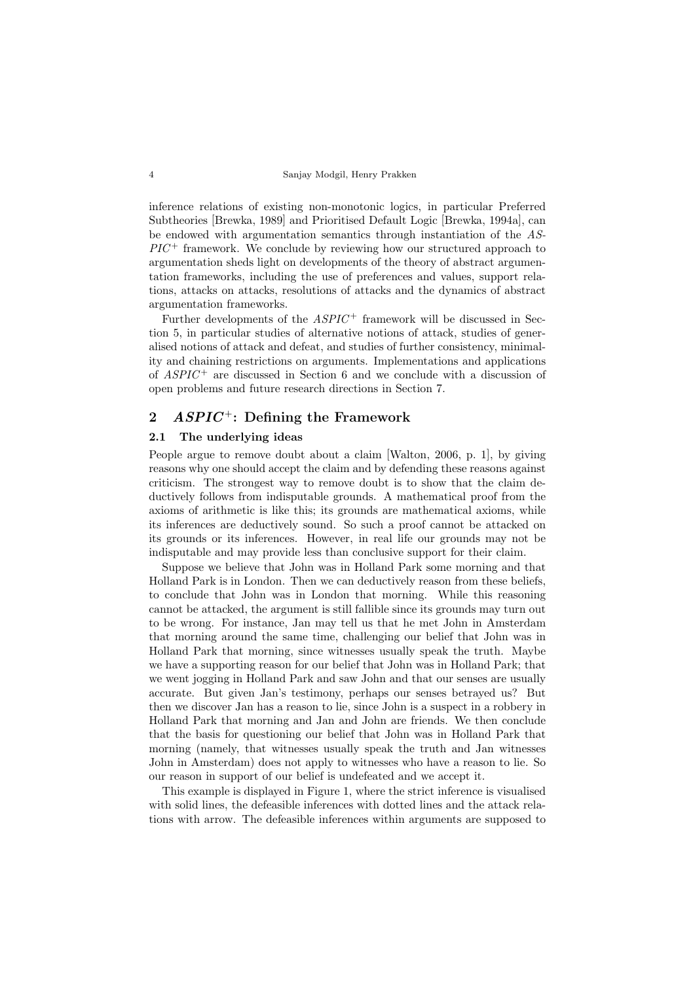inference relations of existing non-monotonic logics, in particular Preferred Subtheories [Brewka, 1989] and Prioritised Default Logic [Brewka, 1994a], can be endowed with argumentation semantics through instantiation of the AS- $\mathbb{P}\mathbb{P}\mathbb{P}\mathbb{P}$  framework. We conclude by reviewing how our structured approach to argumentation sheds light on developments of the theory of abstract argumentation frameworks, including the use of preferences and values, support relations, attacks on attacks, resolutions of attacks and the dynamics of abstract argumentation frameworks.

Further developments of the  $ASPIC^+$  framework will be discussed in Section 5, in particular studies of alternative notions of attack, studies of generalised notions of attack and defeat, and studies of further consistency, minimality and chaining restrictions on arguments. Implementations and applications of  $ASPIC^+$  are discussed in Section 6 and we conclude with a discussion of open problems and future research directions in Section 7.

# 2  $ASPIC^+$ : Defining the Framework

# 2.1 The underlying ideas

People argue to remove doubt about a claim [Walton, 2006, p. 1], by giving reasons why one should accept the claim and by defending these reasons against criticism. The strongest way to remove doubt is to show that the claim deductively follows from indisputable grounds. A mathematical proof from the axioms of arithmetic is like this; its grounds are mathematical axioms, while its inferences are deductively sound. So such a proof cannot be attacked on its grounds or its inferences. However, in real life our grounds may not be indisputable and may provide less than conclusive support for their claim.

Suppose we believe that John was in Holland Park some morning and that Holland Park is in London. Then we can deductively reason from these beliefs, to conclude that John was in London that morning. While this reasoning cannot be attacked, the argument is still fallible since its grounds may turn out to be wrong. For instance, Jan may tell us that he met John in Amsterdam that morning around the same time, challenging our belief that John was in Holland Park that morning, since witnesses usually speak the truth. Maybe we have a supporting reason for our belief that John was in Holland Park; that we went jogging in Holland Park and saw John and that our senses are usually accurate. But given Jan's testimony, perhaps our senses betrayed us? But then we discover Jan has a reason to lie, since John is a suspect in a robbery in Holland Park that morning and Jan and John are friends. We then conclude that the basis for questioning our belief that John was in Holland Park that morning (namely, that witnesses usually speak the truth and Jan witnesses John in Amsterdam) does not apply to witnesses who have a reason to lie. So our reason in support of our belief is undefeated and we accept it.

This example is displayed in Figure 1, where the strict inference is visualised with solid lines, the defeasible inferences with dotted lines and the attack relations with arrow. The defeasible inferences within arguments are supposed to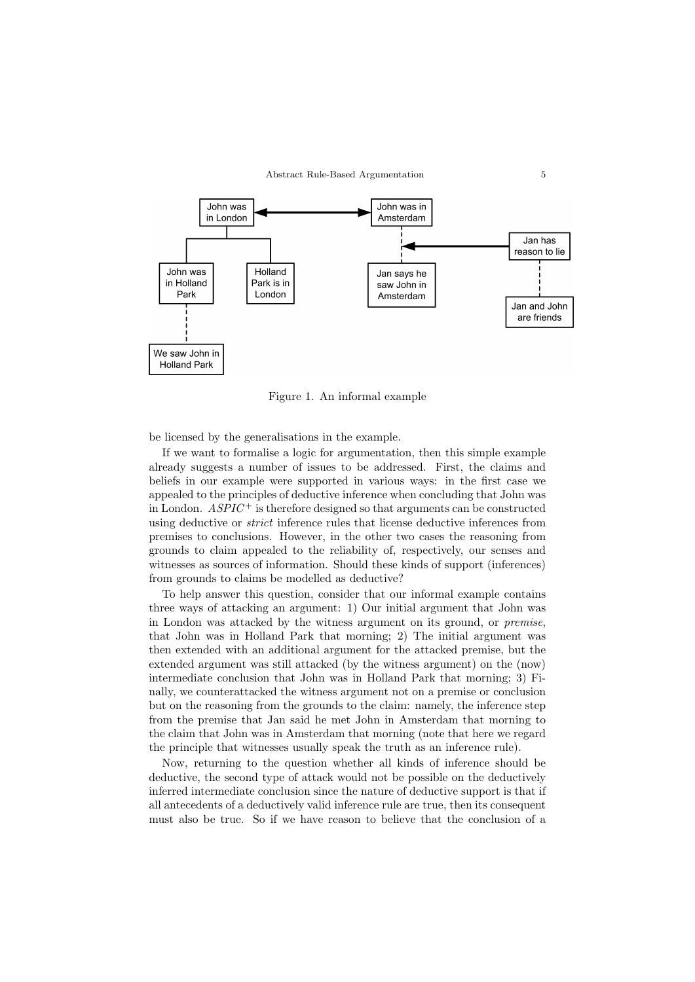

Figure 1. An informal example

be licensed by the generalisations in the example.

If we want to formalise a logic for argumentation, then this simple example already suggests a number of issues to be addressed. First, the claims and beliefs in our example were supported in various ways: in the first case we appealed to the principles of deductive inference when concluding that John was in London.  $ASPIC^{+}$  is therefore designed so that arguments can be constructed using deductive or strict inference rules that license deductive inferences from premises to conclusions. However, in the other two cases the reasoning from grounds to claim appealed to the reliability of, respectively, our senses and witnesses as sources of information. Should these kinds of support (inferences) from grounds to claims be modelled as deductive?

To help answer this question, consider that our informal example contains three ways of attacking an argument: 1) Our initial argument that John was in London was attacked by the witness argument on its ground, or premise, that John was in Holland Park that morning; 2) The initial argument was then extended with an additional argument for the attacked premise, but the extended argument was still attacked (by the witness argument) on the (now) intermediate conclusion that John was in Holland Park that morning; 3) Finally, we counterattacked the witness argument not on a premise or conclusion but on the reasoning from the grounds to the claim: namely, the inference step from the premise that Jan said he met John in Amsterdam that morning to the claim that John was in Amsterdam that morning (note that here we regard the principle that witnesses usually speak the truth as an inference rule).

Now, returning to the question whether all kinds of inference should be deductive, the second type of attack would not be possible on the deductively inferred intermediate conclusion since the nature of deductive support is that if all antecedents of a deductively valid inference rule are true, then its consequent must also be true. So if we have reason to believe that the conclusion of a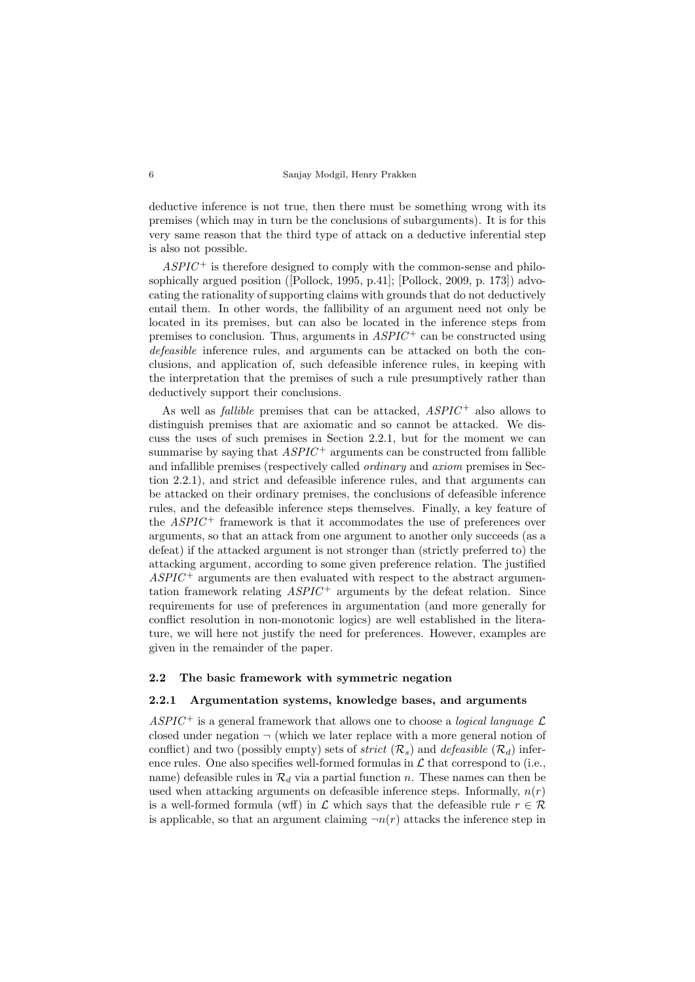deductive inference is not true, then there must be something wrong with its premises (which may in turn be the conclusions of subarguments). It is for this very same reason that the third type of attack on a deductive inferential step is also not possible.

 $ASPIC^+$  is therefore designed to comply with the common-sense and philosophically argued position ([Pollock, 1995, p.41]; [Pollock, 2009, p. 173]) advocating the rationality of supporting claims with grounds that do not deductively entail them. In other words, the fallibility of an argument need not only be located in its premises, but can also be located in the inference steps from premises to conclusion. Thus, arguments in  $ASPIC^+$  can be constructed using defeasible inference rules, and arguments can be attacked on both the conclusions, and application of, such defeasible inference rules, in keeping with the interpretation that the premises of such a rule presumptively rather than deductively support their conclusions.

As well as *fallible* premises that can be attacked,  $ASPIC^+$  also allows to distinguish premises that are axiomatic and so cannot be attacked. We discuss the uses of such premises in Section 2.2.1, but for the moment we can summarise by saying that  $ASPIC^+$  arguments can be constructed from fallible and infallible premises (respectively called ordinary and axiom premises in Section 2.2.1), and strict and defeasible inference rules, and that arguments can be attacked on their ordinary premises, the conclusions of defeasible inference rules, and the defeasible inference steps themselves. Finally, a key feature of the  $ASPIC^+$  framework is that it accommodates the use of preferences over arguments, so that an attack from one argument to another only succeeds (as a defeat) if the attacked argument is not stronger than (strictly preferred to) the attacking argument, according to some given preference relation. The justified  $ASPIC^+$  arguments are then evaluated with respect to the abstract argumentation framework relating  $ASPIC^+$  arguments by the defeat relation. Since requirements for use of preferences in argumentation (and more generally for conflict resolution in non-monotonic logics) are well established in the literature, we will here not justify the need for preferences. However, examples are given in the remainder of the paper.

#### 2.2 The basic framework with symmetric negation

### 2.2.1 Argumentation systems, knowledge bases, and arguments

ASPIC<sup>+</sup> is a general framework that allows one to choose a *logical language*  $\mathcal{L}$ closed under negation  $\neg$  (which we later replace with a more general notion of conflict) and two (possibly empty) sets of *strict*  $(\mathcal{R}_s)$  and *defeasible*  $(\mathcal{R}_d)$  inference rules. One also specifies well-formed formulas in  $\mathcal L$  that correspond to (i.e., name) defeasible rules in  $\mathcal{R}_d$  via a partial function n. These names can then be used when attacking arguments on defeasible inference steps. Informally,  $n(r)$ is a well-formed formula (wff) in  $\mathcal L$  which says that the defeasible rule  $r \in \mathcal R$ is applicable, so that an argument claiming  $\neg n(r)$  attacks the inference step in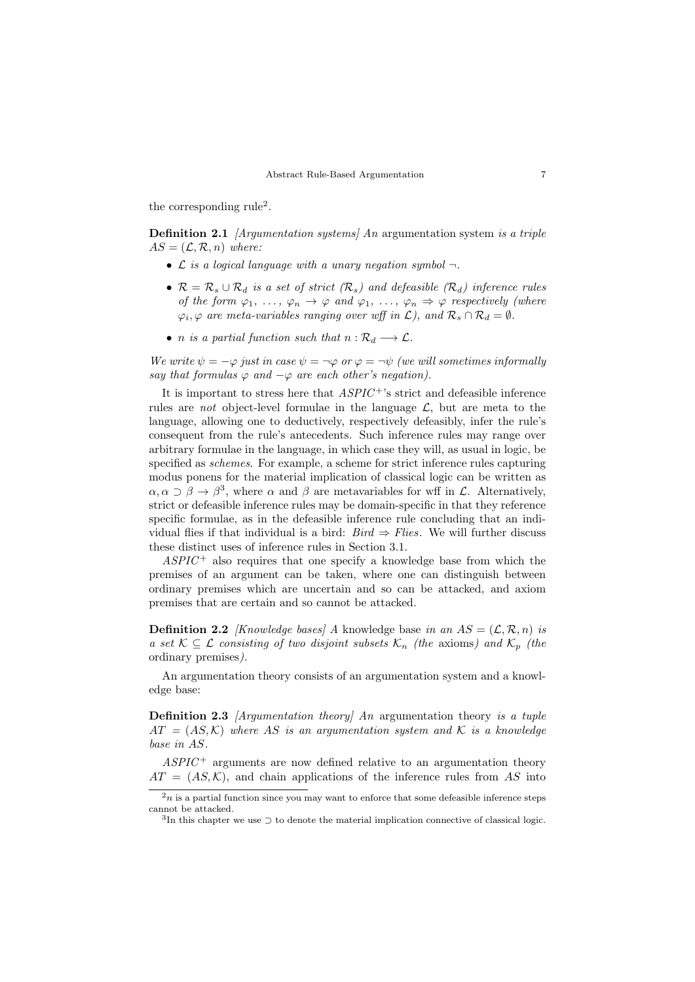the corresponding rule<sup>2</sup>.

**Definition 2.1** [Argumentation systems] An argumentation system is a triple  $AS = (\mathcal{L}, \mathcal{R}, n)$  where:

- $\mathcal L$  is a logical language with a unary negation symbol  $\neg$ .
- $\mathcal{R} = \mathcal{R}_s \cup \mathcal{R}_d$  is a set of strict  $(\mathcal{R}_s)$  and defeasible  $(\mathcal{R}_d)$  inference rules of the form  $\varphi_1, \ldots, \varphi_n \to \varphi$  and  $\varphi_1, \ldots, \varphi_n \Rightarrow \varphi$  respectively (where  $\varphi_i, \varphi$  are meta-variables ranging over wff in  $\mathcal{L}$ ), and  $\mathcal{R}_s \cap \mathcal{R}_d = \emptyset$ .
- *n* is a partial function such that  $n : \mathcal{R}_d \longrightarrow \mathcal{L}$ .

We write  $\psi = -\varphi$  just in case  $\psi = -\varphi$  or  $\varphi = -\psi$  (we will sometimes informally say that formulas  $\varphi$  and  $-\varphi$  are each other's negation).

It is important to stress here that  $ASPIC^{+}$ 's strict and defeasible inference rules are *not* object-level formulae in the language  $\mathcal{L}$ , but are meta to the language, allowing one to deductively, respectively defeasibly, infer the rule's consequent from the rule's antecedents. Such inference rules may range over arbitrary formulae in the language, in which case they will, as usual in logic, be specified as schemes. For example, a scheme for strict inference rules capturing modus ponens for the material implication of classical logic can be written as  $\alpha, \alpha \supset \beta \to \beta^3$ , where  $\alpha$  and  $\beta$  are metavariables for wff in  $\mathcal{L}$ . Alternatively, strict or defeasible inference rules may be domain-specific in that they reference specific formulae, as in the defeasible inference rule concluding that an individual flies if that individual is a bird:  $Bird \Rightarrow Flies$ . We will further discuss these distinct uses of inference rules in Section 3.1.

 $ASPIC^+$  also requires that one specify a knowledge base from which the premises of an argument can be taken, where one can distinguish between ordinary premises which are uncertain and so can be attacked, and axiom premises that are certain and so cannot be attacked.

**Definition 2.2** *[Knowledge bases] A* knowledge base in an  $AS = (\mathcal{L}, \mathcal{R}, n)$  is a set  $\mathcal{K} \subseteq \mathcal{L}$  consisting of two disjoint subsets  $\mathcal{K}_n$  (the axioms) and  $\mathcal{K}_p$  (the ordinary premises).

An argumentation theory consists of an argumentation system and a knowledge base:

Definition 2.3 *[Argumentation theory]* An argumentation theory is a tuple  $AT = (AS, \mathcal{K})$  where AS is an argumentation system and K is a knowledge base in AS.

 $ASPIC^+$  arguments are now defined relative to an argumentation theory  $AT = (AS, \mathcal{K})$ , and chain applications of the inference rules from AS into

 $2n$  is a partial function since you may want to enforce that some defeasible inference steps cannot be attacked.

<sup>3</sup> In this chapter we use ⊃ to denote the material implication connective of classical logic.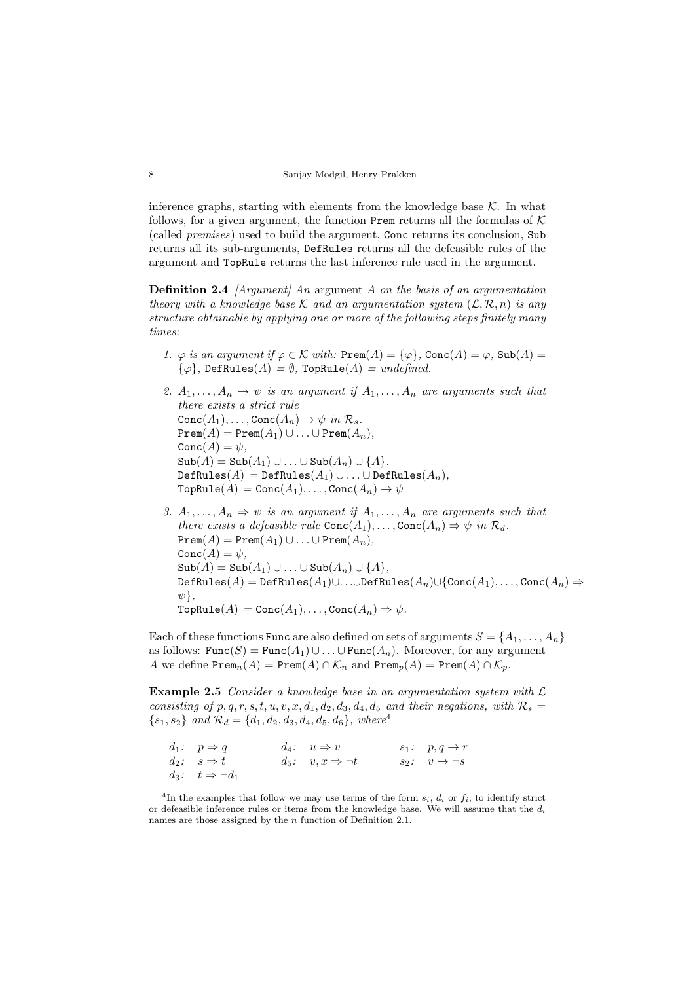inference graphs, starting with elements from the knowledge base  $K$ . In what follows, for a given argument, the function Prem returns all the formulas of  $K$ (called premises) used to build the argument, Conc returns its conclusion, Sub returns all its sub-arguments, DefRules returns all the defeasible rules of the argument and TopRule returns the last inference rule used in the argument.

**Definition 2.4** [Argument] An argument A on the basis of an argumentation theory with a knowledge base K and an argumentation system  $(\mathcal{L}, \mathcal{R}, n)$  is any structure obtainable by applying one or more of the following steps finitely many times:

- 1.  $\varphi$  is an argument if  $\varphi \in \mathcal{K}$  with: Prem $(A) = {\varphi}$ , Conc $(A) = \varphi$ , Sub $(A) = \varphi$  $\{\varphi\}$ , DefRules $(A) = \emptyset$ , TopRule $(A) = undefined$ .
- 2.  $A_1, \ldots, A_n \rightarrow \psi$  is an argument if  $A_1, \ldots, A_n$  are arguments such that there exists a strict rule  $Conc(A_1), \ldots, Conc(A_n) \to \psi$  in  $\mathcal{R}_s$ .  $\text{Prem}(A) = \text{Prem}(A_1) \cup \ldots \cup \text{Prem}(A_n),$  $Conc(A) = \psi,$  $\text{Sub}(A) = \text{Sub}(A_1) \cup \ldots \cup \text{Sub}(A_n) \cup \{A\}.$  $\texttt{DefRules}(A) = \texttt{DefRules}(A_1) \cup \ldots \cup \texttt{DefRules}(A_n),$  $\text{TopRule}(A) = \text{Conc}(A_1), \ldots, \text{Conc}(A_n) \to \psi$
- 3.  $A_1, \ldots, A_n \Rightarrow \psi$  is an argument if  $A_1, \ldots, A_n$  are arguments such that there exists a defeasible rule  $Conc(A_1), \ldots, Conc(A_n) \Rightarrow \psi$  in  $\mathcal{R}_d$ .  $\texttt{Prem}(A) = \texttt{Prem}(A_1) \cup \ldots \cup \texttt{Prem}(A_n),$  $Conc(A) = \psi$ ,  $\text{Sub}(A) = \text{Sub}(A_1) \cup \ldots \cup \text{Sub}(A_n) \cup \{A\},$ DefRules(A) = DefRules(A<sub>1</sub>)∪. .∪DefRules(A<sub>n</sub>)∪{Conc(A<sub>1</sub>),...,Conc(A<sub>n</sub>)  $\Rightarrow$  $\psi$ .  $\text{TopRule}(A) = \text{Conc}(A_1), \dots, \text{Conc}(A_n) \Rightarrow \psi.$

Each of these functions Func are also defined on sets of arguments  $S = \{A_1, \ldots, A_n\}$ as follows:  $Func(S) = Func(A_1) \cup ... \cup Func(A_n)$ . Moreover, for any argument A we define  $\texttt{Prem}_n(A) = \texttt{Prem}(A) \cap \mathcal{K}_n$  and  $\texttt{Prem}_p(A) = \texttt{Prem}(A) \cap \mathcal{K}_p$ .

**Example 2.5** Consider a knowledge base in an argumentation system with  $\mathcal{L}$ consisting of p, q, r, s, t, u, v, x, d<sub>1</sub>, d<sub>2</sub>, d<sub>3</sub>, d<sub>4</sub>, d<sub>5</sub> and their negations, with  $\mathcal{R}_s$  =  ${s_1, s_2}$  and  $\mathcal{R}_d = \{d_1, d_2, d_3, d_4, d_5, d_6\}$ , where<sup>4</sup>

| $d_1: p \Rightarrow q$              | $d_4: u \Rightarrow v$         | $s_1: p, q \rightarrow r$   |
|-------------------------------------|--------------------------------|-----------------------------|
| $d_2: s \Rightarrow t$              | $d_5: v, x \Rightarrow \neg t$ | $s_2: v \rightarrow \neg s$ |
| $d_3: \quad t \Rightarrow \neg d_1$ |                                |                             |

<sup>&</sup>lt;sup>4</sup>In the examples that follow we may use terms of the form  $s_i$ ,  $d_i$  or  $f_i$ , to identify strict or defeasible inference rules or items from the knowledge base. We will assume that the  $d_i$ names are those assigned by the n function of Definition 2.1.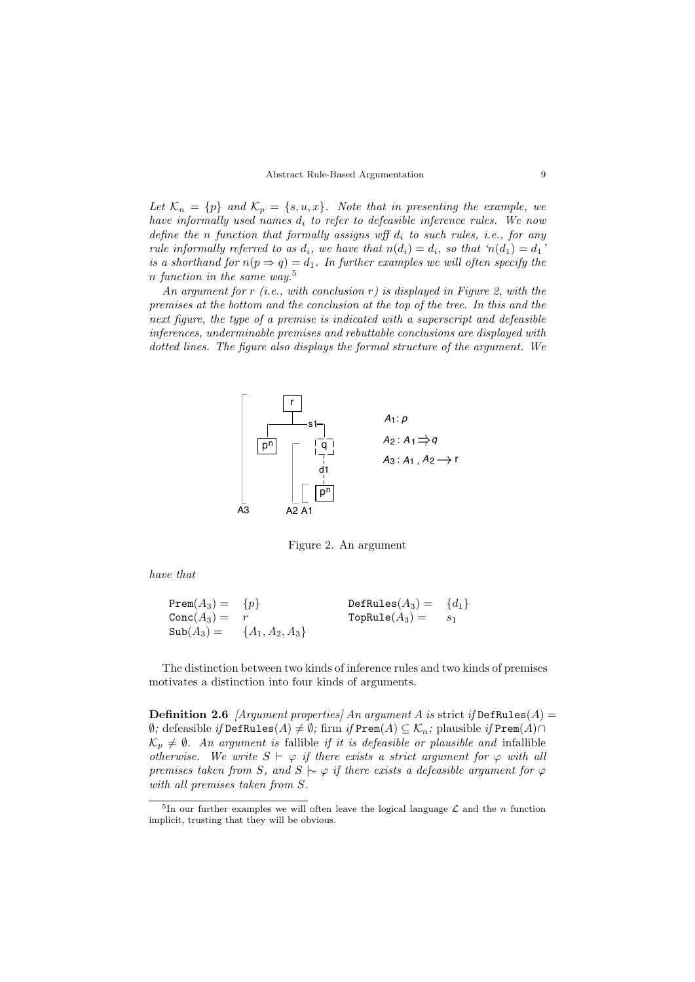Let  $\mathcal{K}_n = \{p\}$  and  $\mathcal{K}_p = \{s, u, x\}$ . Note that in presenting the example, we have informally used names  $d_i$  to refer to defeasible inference rules. We now define the n function that formally assigns wff  $d_i$  to such rules, i.e., for any rule informally referred to as  $d_i$ , we have that  $n(d_i) = d_i$ , so that ' $n(d_1) = d_1$ ' is a shorthand for  $n(p \Rightarrow q) = d_1$ . In further examples we will often specify the n function in the same way.<sup>5</sup>

An argument for r (i.e., with conclusion r) is displayed in Figure 2, with the premises at the bottom and the conclusion at the top of the tree. In this and the next figure, the type of a premise is indicated with a superscript and defeasible inferences, underminable premises and rebuttable conclusions are displayed with dotted lines. The figure also displays the formal structure of the argument. We



Figure 2. An argument

have that

$$
Prem(A_3) = \{p\}
$$
  
\n
$$
Conc(A_3) = r
$$
  
\n
$$
Sub(A_3) = \{A_1, A_2, A_3\}
$$
  
\n
$$
TopRule(A_3) = s_1
$$
  
\n
$$
topRule(A_3) = s_1
$$

The distinction between two kinds of inference rules and two kinds of premises motivates a distinction into four kinds of arguments.

**Definition 2.6** [Argument properties] An argument A is strict if  $DefRule(A)$  =  $\emptyset$ ; defeasible *if* DefRules(A) ≠  $\emptyset$ ; firm *if* Prem(A) ⊆ K<sub>n</sub>; plausible *if* Prem(A)∩  $\mathcal{K}_p \neq \emptyset$ . An argument is fallible if it is defeasible or plausible and infallible otherwise. We write  $S \vdash \varphi$  if there exists a strict argument for  $\varphi$  with all premises taken from S, and S  $\sim \varphi$  if there exists a defeasible argument for  $\varphi$ with all premises taken from S.

<sup>&</sup>lt;sup>5</sup>In our further examples we will often leave the logical language  $\mathcal L$  and the *n* function implicit, trusting that they will be obvious.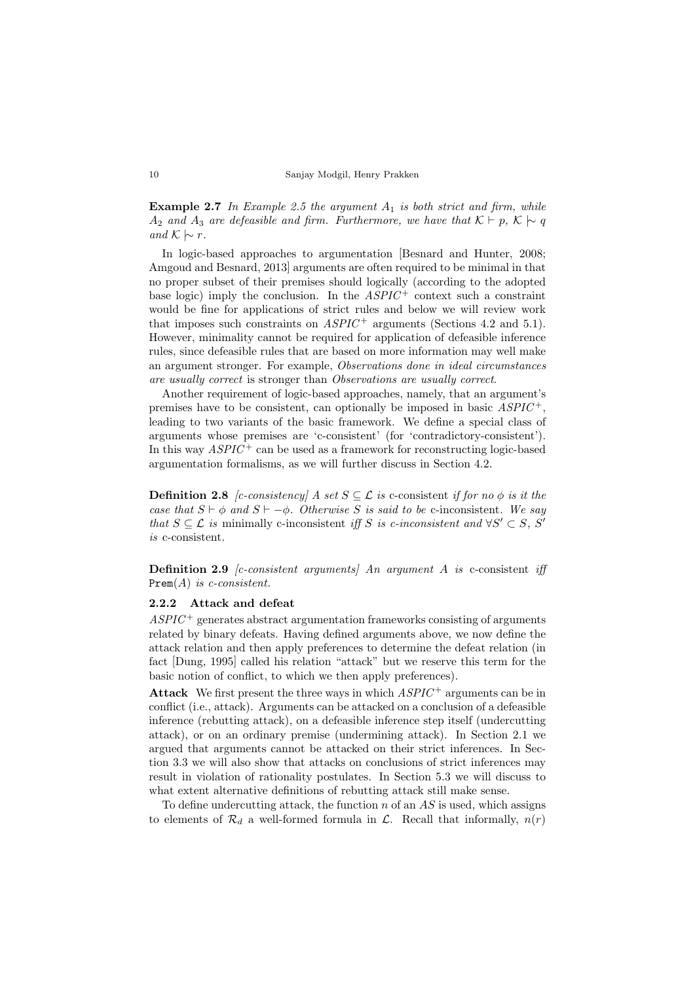**Example 2.7** In Example 2.5 the argument  $A_1$  is both strict and firm, while  $A_2$  and  $A_3$  are defeasible and firm. Furthermore, we have that  $\mathcal{K} \vdash p$ ,  $\mathcal{K} \mid \sim q$ and  $K$   $\sim$  r.

In logic-based approaches to argumentation [Besnard and Hunter, 2008; Amgoud and Besnard, 2013] arguments are often required to be minimal in that no proper subset of their premises should logically (according to the adopted base logic) imply the conclusion. In the  $ASPIC^+$  context such a constraint would be fine for applications of strict rules and below we will review work that imposes such constraints on  $ASPIC^+$  arguments (Sections 4.2 and 5.1). However, minimality cannot be required for application of defeasible inference rules, since defeasible rules that are based on more information may well make an argument stronger. For example, Observations done in ideal circumstances are usually correct is stronger than Observations are usually correct.

Another requirement of logic-based approaches, namely, that an argument's premises have to be consistent, can optionally be imposed in basic  $ASPIC^+,$ leading to two variants of the basic framework. We define a special class of arguments whose premises are 'c-consistent' (for 'contradictory-consistent'). In this way  $ASPIC^+$  can be used as a framework for reconstructing logic-based argumentation formalisms, as we will further discuss in Section 4.2.

**Definition 2.8** [c-consistency] A set  $S \subseteq \mathcal{L}$  is c-consistent if for no  $\phi$  is it the case that  $S \vdash \phi$  and  $S \vdash -\phi$ . Otherwise S is said to be c-inconsistent. We say that  $S \subseteq \mathcal{L}$  is minimally c-inconsistent iff S is c-inconsistent and  $\forall S' \subset S$ , S' is c-consistent.

**Definition 2.9** *[c-consistent arguments]* An argument A is c-consistent iff  $Prem(A)$  is c-consistent.

#### 2.2.2 Attack and defeat

 $ASPIC^+$  generates abstract argumentation frameworks consisting of arguments related by binary defeats. Having defined arguments above, we now define the attack relation and then apply preferences to determine the defeat relation (in fact [Dung, 1995] called his relation "attack" but we reserve this term for the basic notion of conflict, to which we then apply preferences).

Attack We first present the three ways in which  $ASPIC^+$  arguments can be in conflict (i.e., attack). Arguments can be attacked on a conclusion of a defeasible inference (rebutting attack), on a defeasible inference step itself (undercutting attack), or on an ordinary premise (undermining attack). In Section 2.1 we argued that arguments cannot be attacked on their strict inferences. In Section 3.3 we will also show that attacks on conclusions of strict inferences may result in violation of rationality postulates. In Section 5.3 we will discuss to what extent alternative definitions of rebutting attack still make sense.

To define undercutting attack, the function  $n$  of an  $AS$  is used, which assigns to elements of  $\mathcal{R}_d$  a well-formed formula in  $\mathcal{L}$ . Recall that informally,  $n(r)$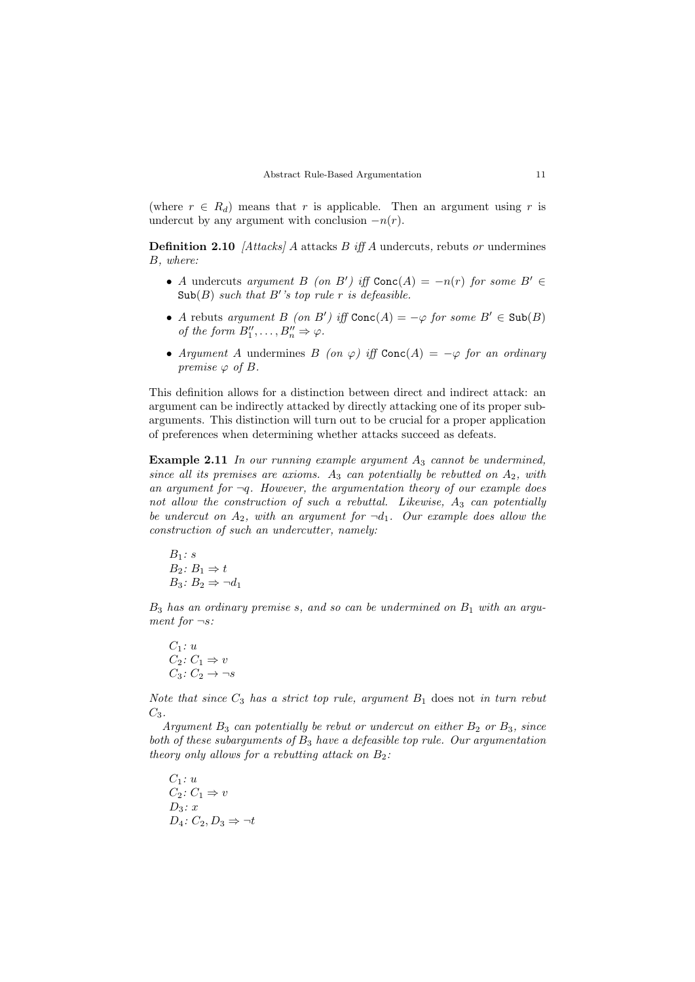(where  $r \in R_d$ ) means that r is applicable. Then an argument using r is undercut by any argument with conclusion  $-n(r)$ .

**Definition 2.10** [Attacks] A attacks  $B$  iff A undercuts, rebuts or undermines B, where:

- A undercuts argument B (on B') iff  $Conc(A) = -n(r)$  for some B'  $\in$  $\text{Sub}(B)$  such that B''s top rule r is defeasible.
- A rebuts argument B (on B') iff  $Conc(A) = -\varphi$  for some  $B' \in Sub(B)$ of the form  $B''_1, \ldots, B''_n \Rightarrow \varphi$ .
- Argument A undermines B (on  $\varphi$ ) iff Conc(A) =  $-\varphi$  for an ordinary premise  $\varphi$  of B.

This definition allows for a distinction between direct and indirect attack: an argument can be indirectly attacked by directly attacking one of its proper subarguments. This distinction will turn out to be crucial for a proper application of preferences when determining whether attacks succeed as defeats.

**Example 2.11** In our running example argument  $A_3$  cannot be undermined, since all its premises are axioms.  $A_3$  can potentially be rebutted on  $A_2$ , with an argument for  $\neg q$ . However, the argumentation theory of our example does not allow the construction of such a rebuttal. Likewise,  $A_3$  can potentially be undercut on  $A_2$ , with an argument for  $\neg d_1$ . Our example does allow the construction of such an undercutter, namely:

$$
B_1: s
$$
  
\n
$$
B_2: B_1 \Rightarrow t
$$
  
\n
$$
B_3: B_2 \Rightarrow \neg d_1
$$

 $B_3$  has an ordinary premise s, and so can be undermined on  $B_1$  with an argument for  $\neg s$ :

$$
C_1: u
$$
  
\n
$$
C_2: C_1 \Rightarrow v
$$
  
\n
$$
C_3: C_2 \rightarrow \neg s
$$

Note that since  $C_3$  has a strict top rule, argument  $B_1$  does not in turn rebut  $C_3$ .

Argument  $B_3$  can potentially be rebut or undercut on either  $B_2$  or  $B_3$ , since both of these subarguments of  $B_3$  have a defeasible top rule. Our argumentation theory only allows for a rebutting attack on  $B_2$ :

 $C_1: u$  $C_2: C_1 \Rightarrow v$  $D_3: x$  $D_4: C_2, D_3 \Rightarrow \neg t$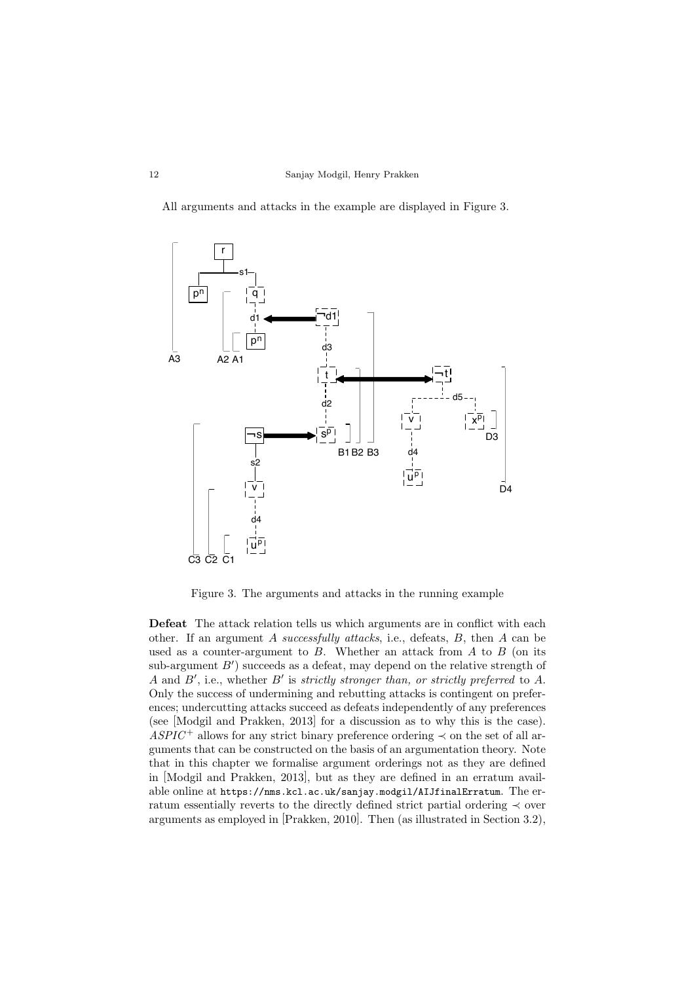All arguments and attacks in the example are displayed in Figure 3.



Figure 3. The arguments and attacks in the running example

Defeat The attack relation tells us which arguments are in conflict with each other. If an argument A successfully attacks, i.e., defeats, B, then A can be used as a counter-argument to  $B$ . Whether an attack from  $A$  to  $B$  (on its  $sub-argument B'$  succeeds as a defeat, may depend on the relative strength of A and  $B'$ , i.e., whether  $B'$  is strictly stronger than, or strictly preferred to A. Only the success of undermining and rebutting attacks is contingent on preferences; undercutting attacks succeed as defeats independently of any preferences (see [Modgil and Prakken, 2013] for a discussion as to why this is the case).  $ASPIC^+$  allows for any strict binary preference ordering  $\prec$  on the set of all arguments that can be constructed on the basis of an argumentation theory. Note that in this chapter we formalise argument orderings not as they are defined in [Modgil and Prakken, 2013], but as they are defined in an erratum available online at https://nms.kcl.ac.uk/sanjay.modgil/AIJfinalErratum. The erratum essentially reverts to the directly defined strict partial ordering ≺ over arguments as employed in [Prakken, 2010]. Then (as illustrated in Section 3.2),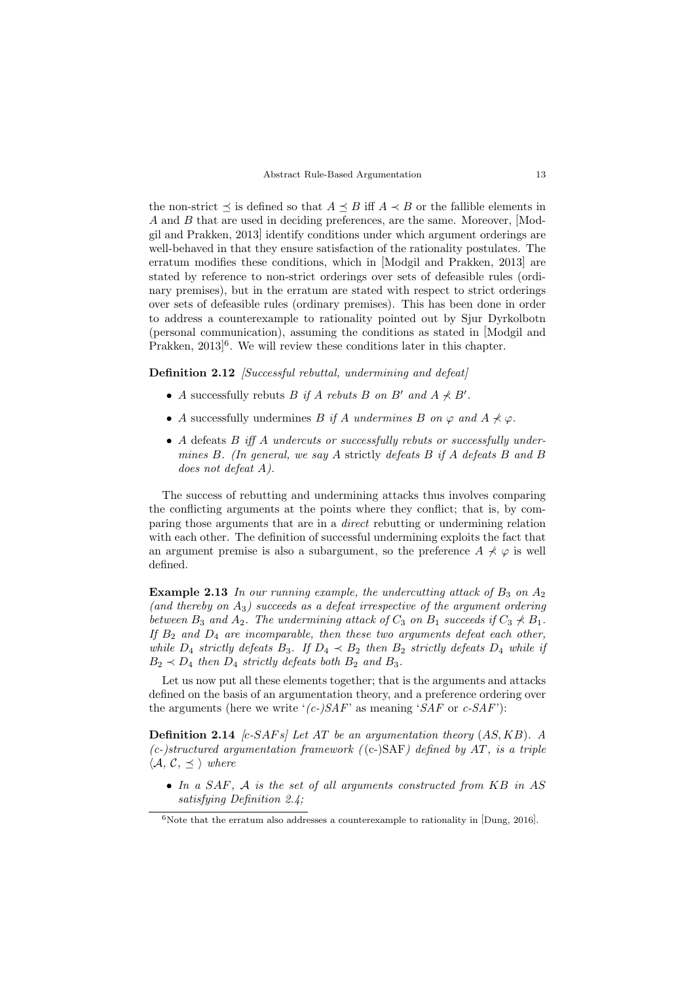the non-strict  $\preceq$  is defined so that  $A \preceq B$  iff  $A \prec B$  or the fallible elements in A and B that are used in deciding preferences, are the same. Moreover, [Modgil and Prakken, 2013] identify conditions under which argument orderings are well-behaved in that they ensure satisfaction of the rationality postulates. The erratum modifies these conditions, which in [Modgil and Prakken, 2013] are stated by reference to non-strict orderings over sets of defeasible rules (ordinary premises), but in the erratum are stated with respect to strict orderings over sets of defeasible rules (ordinary premises). This has been done in order to address a counterexample to rationality pointed out by Sjur Dyrkolbotn (personal communication), assuming the conditions as stated in [Modgil and Prakken, 2013<sup>6</sup>. We will review these conditions later in this chapter.

Definition 2.12 [Successful rebuttal, undermining and defeat]

- A successfully rebuts B if A rebuts B on B' and  $A \nprec B'$ .
- A successfully undermines B if A undermines B on  $\varphi$  and  $A \nprec \varphi$ .
- A defeats  $B$  iff  $A$  undercuts or successfully rebuts or successfully undermines B. (In general, we say A strictly defeats B if A defeats B and B does not defeat A).

The success of rebutting and undermining attacks thus involves comparing the conflicting arguments at the points where they conflict; that is, by comparing those arguments that are in a direct rebutting or undermining relation with each other. The definition of successful undermining exploits the fact that an argument premise is also a subargument, so the preference  $A \not\prec \varphi$  is well defined.

**Example 2.13** In our running example, the undercutting attack of  $B_3$  on  $A_2$ (and thereby on  $A_3$ ) succeeds as a defeat irrespective of the argument ordering between  $B_3$  and  $A_2$ . The undermining attack of  $C_3$  on  $B_1$  succeeds if  $C_3 \nprec B_1$ . If  $B_2$  and  $D_4$  are incomparable, then these two arguments defeat each other, while  $D_4$  strictly defeats  $B_3$ . If  $D_4 \prec B_2$  then  $B_2$  strictly defeats  $D_4$  while if  $B_2 \prec D_4$  then  $D_4$  strictly defeats both  $B_2$  and  $B_3$ .

Let us now put all these elements together; that is the arguments and attacks defined on the basis of an argumentation theory, and a preference ordering over the arguments (here we write ' $(c-)SAF'$  as meaning 'SAF or  $c-SAF$ '):

**Definition 2.14** [c-SAFs] Let AT be an argumentation theory  $(AS, KB)$ . A  $(c-)structured argumentation framework (c-)SAF) defined by AT, is a triple$  $\langle A, C, \preceq \rangle$  where

• In a  $SAF$ ,  $\mathcal A$  is the set of all arguments constructed from  $KB$  in  $AS$ satisfuing Definition 2.4:

 $6$ Note that the erratum also addresses a counterexample to rationality in [Dung, 2016].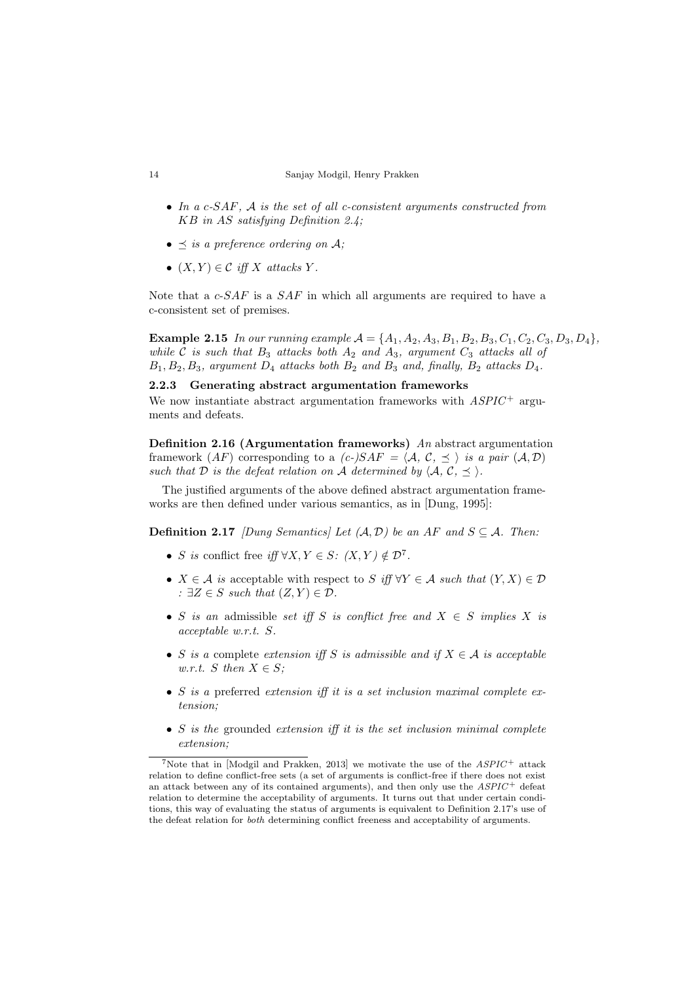- In a c-SAF, A is the set of all c-consistent arguments constructed from KB in AS satisfying Definition 2.4;
- $\preceq$  is a preference ordering on A;
- $(X, Y) \in \mathcal{C}$  iff X attacks Y.

Note that a  $c$ -SAF is a SAF in which all arguments are required to have a c-consistent set of premises.

**Example 2.15** In our running example  $A = \{A_1, A_2, A_3, B_1, B_2, B_3, C_1, C_2, C_3, D_3, D_4\},\$ while C is such that  $B_3$  attacks both  $A_2$  and  $A_3$ , argument  $C_3$  attacks all of  $B_1, B_2, B_3$ , argument  $D_4$  attacks both  $B_2$  and  $B_3$  and, finally,  $B_2$  attacks  $D_4$ .

2.2.3 Generating abstract argumentation frameworks We now instantiate abstract argumentation frameworks with  $ASPIC^+$  arguments and defeats.

**Definition 2.16 (Argumentation frameworks)** An abstract argumentation framework  $AF$ ) corresponding to a  $(c-)SAF = \langle A, C, \prec \rangle$  is a pair  $(A, D)$ such that D is the defeat relation on A determined by  $\langle A, C, \preceq \rangle$ .

The justified arguments of the above defined abstract argumentation frameworks are then defined under various semantics, as in [Dung, 1995]:

**Definition 2.17** [Dung Semantics] Let  $(A, D)$  be an AF and  $S \subseteq A$ . Then:

- S is conflict free if  $\forall X, Y \in S: (X, Y) \notin \mathcal{D}^7$ .
- $X \in \mathcal{A}$  is acceptable with respect to S iff  $\forall Y \in \mathcal{A}$  such that  $(Y, X) \in \mathcal{D}$ :  $\exists Z \in S$  such that  $(Z, Y) \in \mathcal{D}$ .
- S is an admissible set iff S is conflict free and  $X \in S$  implies X is acceptable w.r.t. S.
- S is a complete extension iff S is admissible and if  $X \in \mathcal{A}$  is acceptable w.r.t. S then  $X \in S$ ;
- S is a preferred extension iff it is a set inclusion maximal complete extension;
- $S$  is the grounded extension iff it is the set inclusion minimal complete extension;

 $7$ Note that in [Modgil and Prakken, 2013] we motivate the use of the  $ASPIC^+$  attack relation to define conflict-free sets (a set of arguments is conflict-free if there does not exist an attack between any of its contained arguments), and then only use the  $ASPIC^+$  defeat relation to determine the acceptability of arguments. It turns out that under certain conditions, this way of evaluating the status of arguments is equivalent to Definition 2.17's use of the defeat relation for both determining conflict freeness and acceptability of arguments.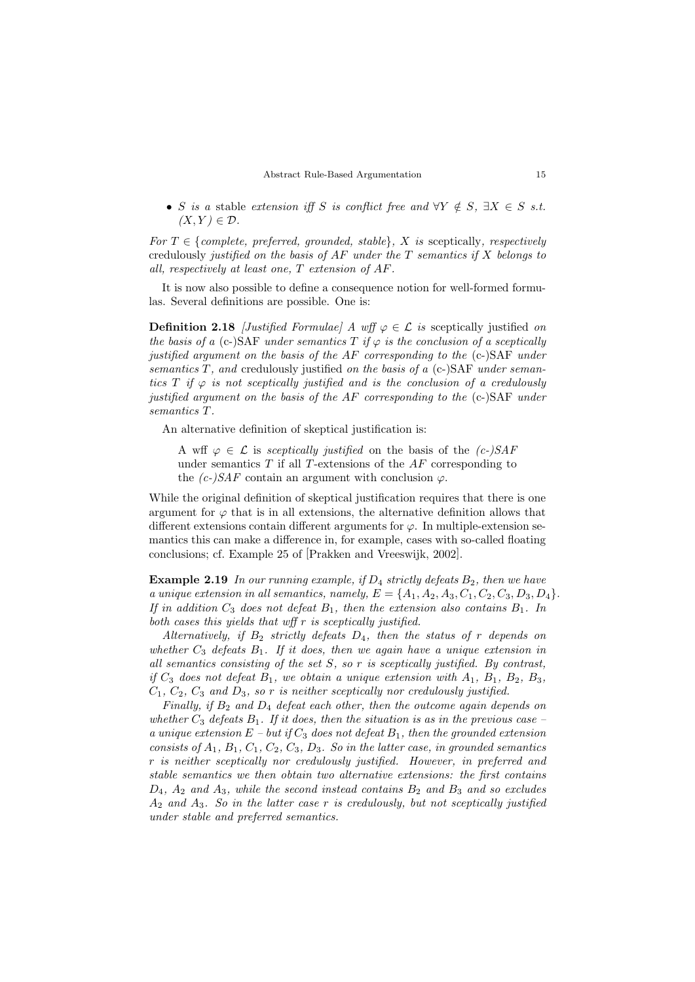• S is a stable extension iff S is conflict free and  $\forall Y \notin S$ ,  $\exists X \in S$  s.t.  $(X, Y) \in \mathcal{D}$ .

For  $T \in \{complete, preferred, grounded, stable\}$ , X is sceptically, respectively credulously justified on the basis of  $AF$  under the T semantics if X belongs to all, respectively at least one, T extension of AF.

It is now also possible to define a consequence notion for well-formed formulas. Several definitions are possible. One is:

**Definition 2.18** [Justified Formulae] A wff  $\varphi \in \mathcal{L}$  is sceptically justified on the basis of a (c-)SAF under semantics T if  $\varphi$  is the conclusion of a sceptically justified argument on the basis of the AF corresponding to the (c-)SAF under semantics  $T$ , and credulously justified on the basis of a (c-)SAF under semantics T if  $\varphi$  is not sceptically justified and is the conclusion of a credulously justified argument on the basis of the AF corresponding to the (c-)SAF under semantics T.

An alternative definition of skeptical justification is:

A wff  $\varphi \in \mathcal{L}$  is sceptically justified on the basis of the  $(c-)SAF$ under semantics  $T$  if all  $T$ -extensions of the  $AF$  corresponding to the  $(c-)SAF$  contain an argument with conclusion  $\varphi$ .

While the original definition of skeptical justification requires that there is one argument for  $\varphi$  that is in all extensions, the alternative definition allows that different extensions contain different arguments for  $\varphi$ . In multiple-extension semantics this can make a difference in, for example, cases with so-called floating conclusions; cf. Example 25 of [Prakken and Vreeswijk, 2002].

**Example 2.19** In our running example, if  $D_4$  strictly defeats  $B_2$ , then we have a unique extension in all semantics, namely,  $E = \{A_1, A_2, A_3, C_1, C_2, C_3, D_3, D_4\}.$ If in addition  $C_3$  does not defeat  $B_1$ , then the extension also contains  $B_1$ . In both cases this yields that wff r is sceptically justified.

Alternatively, if  $B_2$  strictly defeats  $D_4$ , then the status of r depends on whether  $C_3$  defeats  $B_1$ . If it does, then we again have a unique extension in all semantics consisting of the set  $S$ , so  $r$  is sceptically justified. By contrast, if  $C_3$  does not defeat  $B_1$ , we obtain a unique extension with  $A_1$ ,  $B_1$ ,  $B_2$ ,  $B_3$ ,  $C_1, C_2, C_3$  and  $D_3$ , so r is neither sceptically nor credulously justified.

Finally, if  $B_2$  and  $D_4$  defeat each other, then the outcome again depends on whether  $C_3$  defeats  $B_1$ . If it does, then the situation is as in the previous case – a unique extension  $E$  – but if  $C_3$  does not defeat  $B_1$ , then the grounded extension consists of  $A_1$ ,  $B_1$ ,  $C_1$ ,  $C_2$ ,  $C_3$ ,  $D_3$ . So in the latter case, in grounded semantics r is neither sceptically nor credulously justified. However, in preferred and stable semantics we then obtain two alternative extensions: the first contains  $D_4$ ,  $A_2$  and  $A_3$ , while the second instead contains  $B_2$  and  $B_3$  and so excludes  $A_2$  and  $A_3$ . So in the latter case r is credulously, but not sceptically justified under stable and preferred semantics.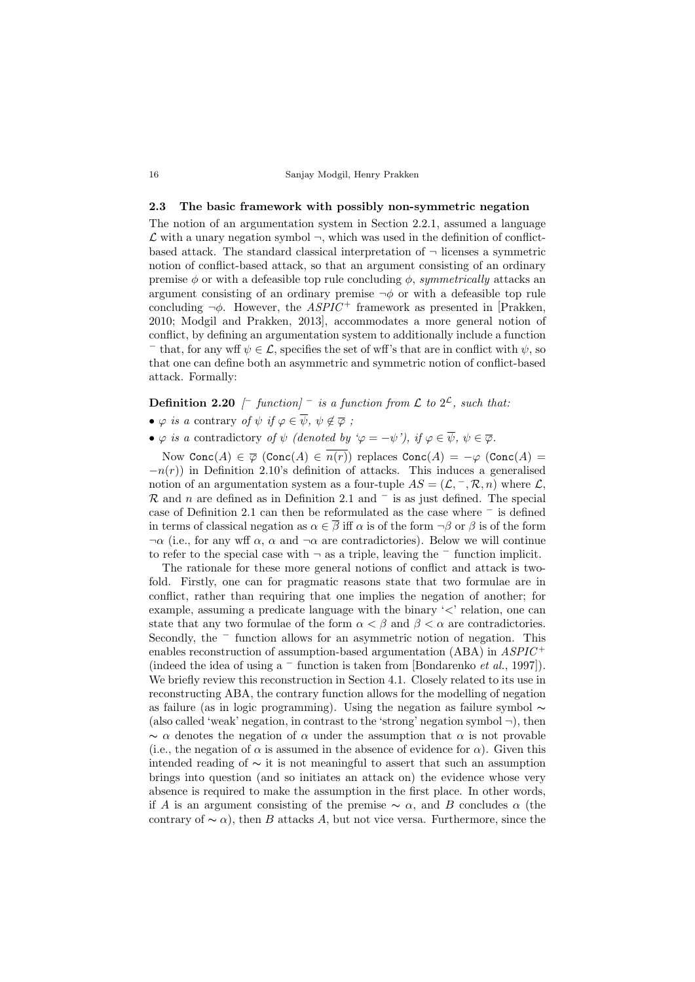#### 2.3 The basic framework with possibly non-symmetric negation

The notion of an argumentation system in Section 2.2.1, assumed a language  $\mathcal L$  with a unary negation symbol  $\neg$ , which was used in the definition of conflictbased attack. The standard classical interpretation of  $\neg$  licenses a symmetric notion of conflict-based attack, so that an argument consisting of an ordinary premise  $\phi$  or with a defeasible top rule concluding  $\phi$ , symmetrically attacks an argument consisting of an ordinary premise  $\neg \phi$  or with a defeasible top rule concluding  $\neg \phi$ . However, the ASPIC<sup>+</sup> framework as presented in [Prakken, 2010; Modgil and Prakken, 2013], accommodates a more general notion of conflict, by defining an argumentation system to additionally include a function

 $-$  that, for any wff  $\psi \in \mathcal{L}$ , specifies the set of wff's that are in conflict with  $\psi$ , so that one can define both an asymmetric and symmetric notion of conflict-based attack. Formally:

# **Definition 2.20**  $\left[\begin{array}{c}$  function]  $\overline{\phantom{a}}$  is a function from  $\mathcal L$  to  $2^{\mathcal L}$ , such that:

- $\varphi$  is a contrary of  $\psi$  if  $\varphi \in \overline{\psi}$ ,  $\psi \notin \overline{\varphi}$ ;
- $\varphi$  is a contradictory of  $\psi$  (denoted by  $\varphi = -\psi'$ ), if  $\varphi \in \overline{\psi}$ ,  $\psi \in \overline{\varphi}$ .

Now Conc $(A) \in \overline{\varphi}$  (Conc $(A) \in \overline{n(r)}$ ) replaces Conc $(A) = -\varphi$  (Conc $(A) =$  $-n(r)$ ) in Definition 2.10's definition of attacks. This induces a generalised notion of an argumentation system as a four-tuple  $AS = (\mathcal{L}, ^-, \mathcal{R}, n)$  where  $\mathcal{L},$  $\mathcal R$  and n are defined as in Definition 2.1 and  $^-$  is as just defined. The special case of Definition 2.1 can then be reformulated as the case where <sup>−</sup> is defined in terms of classical negation as  $\alpha \in \overline{\beta}$  iff  $\alpha$  is of the form  $\neg \beta$  or  $\beta$  is of the form  $\neg \alpha$  (i.e., for any wff  $\alpha$ ,  $\alpha$  and  $\neg \alpha$  are contradictories). Below we will continue to refer to the special case with <sup>¬</sup> as a triple, leaving the <sup>−</sup> function implicit.

The rationale for these more general notions of conflict and attack is twofold. Firstly, one can for pragmatic reasons state that two formulae are in conflict, rather than requiring that one implies the negation of another; for example, assuming a predicate language with the binary '<' relation, one can state that any two formulae of the form  $\alpha < \beta$  and  $\beta < \alpha$  are contradictories. Secondly, the <sup>−</sup> function allows for an asymmetric notion of negation. This enables reconstruction of assumption-based argumentation (ABA) in  $ASPIC^+$ (indeed the idea of using a  $-$  function is taken from [Bondarenko *et al.*, 1997]). We briefly review this reconstruction in Section 4.1. Closely related to its use in reconstructing ABA, the contrary function allows for the modelling of negation as failure (as in logic programming). Using the negation as failure symbol ∼ (also called 'weak' negation, in contrast to the 'strong' negation symbol  $\neg$ ), then  $\sim \alpha$  denotes the negation of  $\alpha$  under the assumption that  $\alpha$  is not provable (i.e., the negation of  $\alpha$  is assumed in the absence of evidence for  $\alpha$ ). Given this intended reading of ∼ it is not meaningful to assert that such an assumption brings into question (and so initiates an attack on) the evidence whose very absence is required to make the assumption in the first place. In other words, if A is an argument consisting of the premise  $\sim \alpha$ , and B concludes  $\alpha$  (the contrary of  $\sim \alpha$ ), then B attacks A, but not vice versa. Furthermore, since the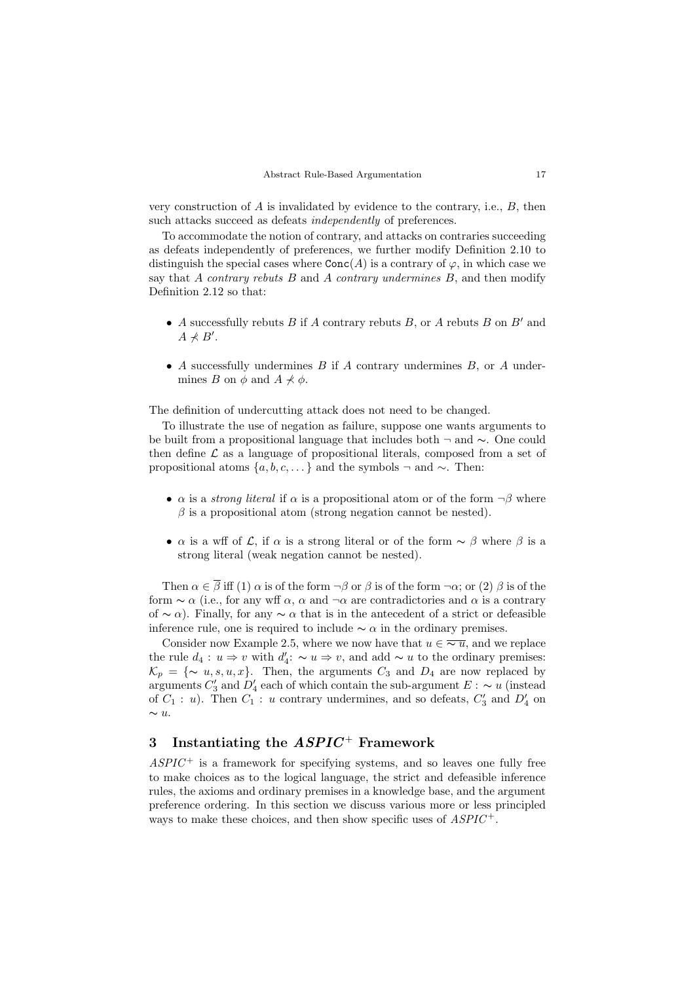very construction of A is invalidated by evidence to the contrary, i.e., B, then such attacks succeed as defeats independently of preferences.

To accommodate the notion of contrary, and attacks on contraries succeeding as defeats independently of preferences, we further modify Definition 2.10 to distinguish the special cases where  $Conc(A)$  is a contrary of  $\varphi$ , in which case we say that A contrary rebuts  $B$  and A contrary undermines  $B$ , and then modify Definition 2.12 so that:

- A successfully rebuts B if A contrary rebuts B, or A rebuts B on B' and  $A \nprec B'.$
- A successfully undermines  $B$  if  $A$  contrary undermines  $B$ , or  $A$  undermines B on  $\phi$  and  $A \npreceq \phi$ .

The definition of undercutting attack does not need to be changed.

To illustrate the use of negation as failure, suppose one wants arguments to be built from a propositional language that includes both <sup>¬</sup> and <sup>∼</sup>. One could then define  $\mathcal L$  as a language of propositional literals, composed from a set of propositional atoms  $\{a, b, c, \ldots\}$  and the symbols  $\neg$  and  $\sim$ . Then:

- $\alpha$  is a *strong literal* if  $\alpha$  is a propositional atom or of the form  $\neg \beta$  where  $\beta$  is a propositional atom (strong negation cannot be nested).
- $\alpha$  is a wff of  $\mathcal{L}$ , if  $\alpha$  is a strong literal or of the form  $\sim \beta$  where  $\beta$  is a strong literal (weak negation cannot be nested).

Then  $\alpha \in \overline{\beta}$  iff (1)  $\alpha$  is of the form  $\neg \beta$  or  $\beta$  is of the form  $\neg \alpha$ ; or (2)  $\beta$  is of the form  $\sim \alpha$  (i.e., for any wff  $\alpha$ ,  $\alpha$  and  $\neg \alpha$  are contradictories and  $\alpha$  is a contrary of  $\sim \alpha$ ). Finally, for any  $\sim \alpha$  that is in the antecedent of a strict or defeasible inference rule, one is required to include  $\sim \alpha$  in the ordinary premises.

Consider now Example 2.5, where we now have that  $u \in \overline{\sim u}$ , and we replace the rule  $d_4: u \Rightarrow v$  with  $d'_4: \sim u \Rightarrow v$ , and add  $\sim u$  to the ordinary premises:  $\mathcal{K}_p = \{\sim u, s, u, x\}.$  Then, the arguments  $C_3$  and  $D_4$  are now replaced by arguments  $C'_3$  and  $D'_4$  each of which contain the sub-argument  $E : ~ ~ u$  (instead of  $C_1$ : *u*). Then  $C_1$ : *u* contrary undermines, and so defeats,  $C'_3$  and  $D'_4$  on  $\sim u$ .

# 3 Instantiating the  $ASPIC$  Framework

 $ASPIC^+$  is a framework for specifying systems, and so leaves one fully free to make choices as to the logical language, the strict and defeasible inference rules, the axioms and ordinary premises in a knowledge base, and the argument preference ordering. In this section we discuss various more or less principled ways to make these choices, and then show specific uses of  $ASPIC^+$ .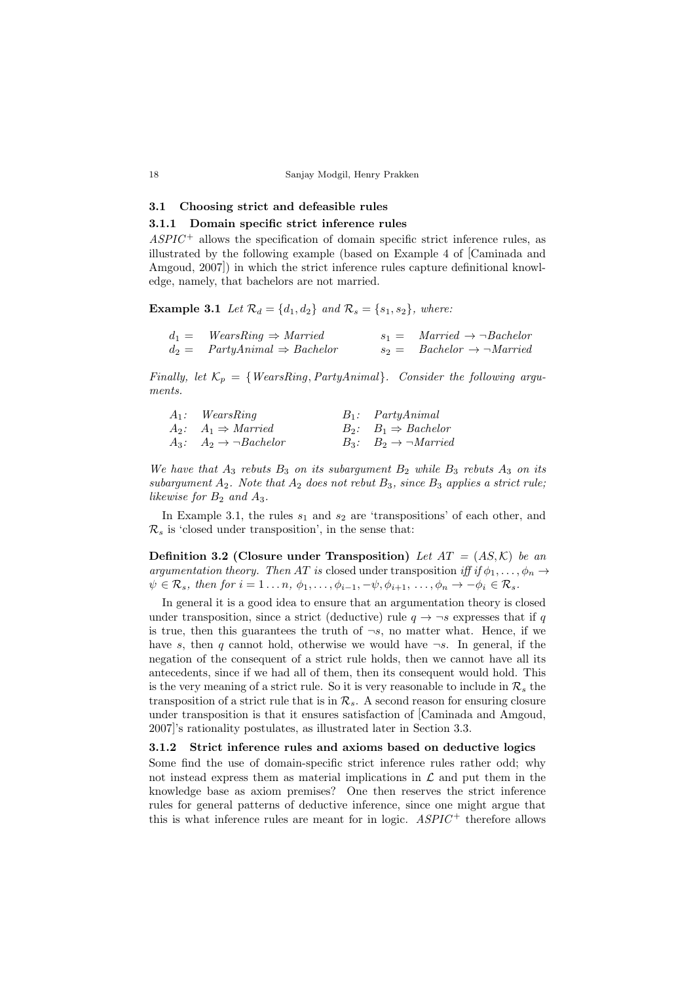# 3.1 Choosing strict and defeasible rules

# 3.1.1 Domain specific strict inference rules

 $ASPIC^+$  allows the specification of domain specific strict inference rules, as illustrated by the following example (based on Example 4 of [Caminada and Amgoud, 2007]) in which the strict inference rules capture definitional knowledge, namely, that bachelors are not married.

**Example 3.1** Let  $\mathcal{R}_d = \{d_1, d_2\}$  and  $\mathcal{R}_s = \{s_1, s_2\}$ , where:

| $d_1 =$ WearsRing $\Rightarrow$ Married    | $s_1 =$ Married $\rightarrow \neg Bachelor$        |
|--------------------------------------------|----------------------------------------------------|
| $d_2 =$ PartyAnimal $\Rightarrow$ Bachelor | $s_2 =$ Bachelor $\rightarrow \neg \text{Married}$ |

Finally, let  $\mathcal{K}_p = \{WearsRing, PartyAnimal\}$ . Consider the following arguments.

| $A_1$ : WearsRing                        | $B_1$ : PartyAnimal                          |
|------------------------------------------|----------------------------------------------|
| $A_2$ : $A_1 \Rightarrow \text{Married}$ | $B_2$ : $B_1 \Rightarrow$ Bachelor           |
| $A_3$ : $A_2 \rightarrow \neg Bachelor$  | $B_3: B_2 \rightarrow \neg \textit{Married}$ |

We have that  $A_3$  rebuts  $B_3$  on its subargument  $B_2$  while  $B_3$  rebuts  $A_3$  on its subargument  $A_2$ . Note that  $A_2$  does not rebut  $B_3$ , since  $B_3$  applies a strict rule; likewise for  $B_2$  and  $A_3$ .

In Example 3.1, the rules  $s_1$  and  $s_2$  are 'transpositions' of each other, and  $\mathcal{R}_s$  is 'closed under transposition', in the sense that:

**Definition 3.2 (Closure under Transposition)** Let  $AT = (AS, \mathcal{K})$  be an argumentation theory. Then AT is closed under transposition iff if  $\phi_1, \ldots, \phi_n \rightarrow$  $\psi \in \mathcal{R}_s$ , then for  $i = 1 \dots n$ ,  $\phi_1, \dots, \phi_{i-1}, -\psi, \phi_{i+1}, \dots, \phi_n \to -\phi_i \in \mathcal{R}_s$ .

In general it is a good idea to ensure that an argumentation theory is closed under transposition, since a strict (deductive) rule  $q \rightarrow \neg s$  expresses that if q is true, then this guarantees the truth of  $\neg s$ , no matter what. Hence, if we have s, then q cannot hold, otherwise we would have  $\neg s$ . In general, if the negation of the consequent of a strict rule holds, then we cannot have all its antecedents, since if we had all of them, then its consequent would hold. This is the very meaning of a strict rule. So it is very reasonable to include in  $\mathcal{R}_s$  the transposition of a strict rule that is in  $\mathcal{R}_s$ . A second reason for ensuring closure under transposition is that it ensures satisfaction of [Caminada and Amgoud, 2007]'s rationality postulates, as illustrated later in Section 3.3.

# 3.1.2 Strict inference rules and axioms based on deductive logics

Some find the use of domain-specific strict inference rules rather odd; why not instead express them as material implications in  $\mathcal L$  and put them in the knowledge base as axiom premises? One then reserves the strict inference rules for general patterns of deductive inference, since one might argue that this is what inference rules are meant for in logic.  $ASPIC^+$  therefore allows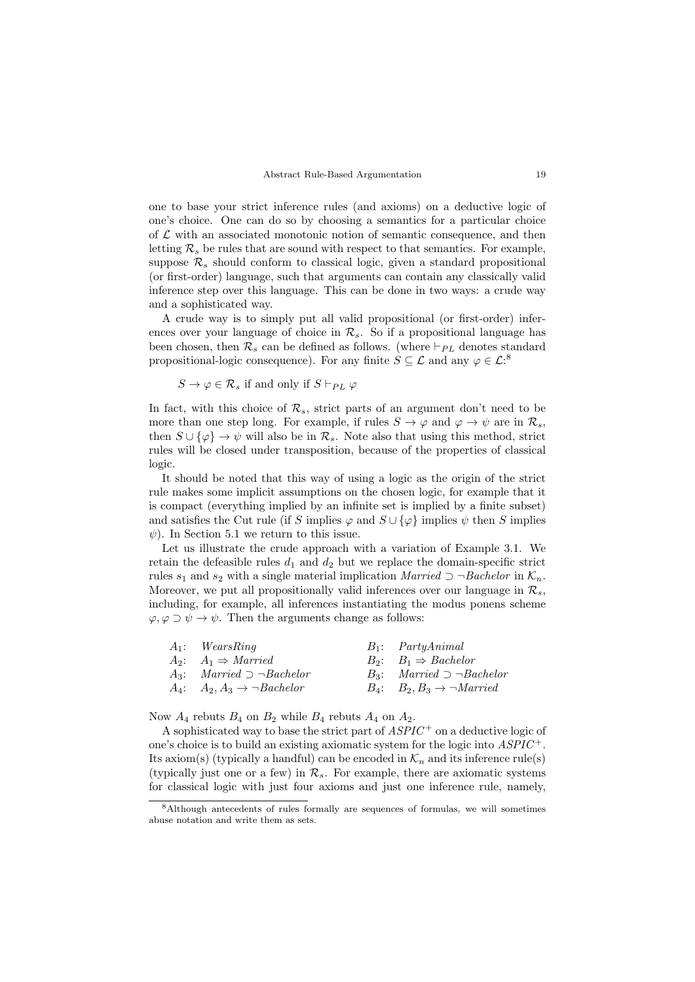one to base your strict inference rules (and axioms) on a deductive logic of one's choice. One can do so by choosing a semantics for a particular choice of  $\mathcal L$  with an associated monotonic notion of semantic consequence, and then letting  $\mathcal{R}_s$  be rules that are sound with respect to that semantics. For example, suppose  $\mathcal{R}_s$  should conform to classical logic, given a standard propositional (or first-order) language, such that arguments can contain any classically valid inference step over this language. This can be done in two ways: a crude way and a sophisticated way.

A crude way is to simply put all valid propositional (or first-order) inferences over your language of choice in  $\mathcal{R}_s$ . So if a propositional language has been chosen, then  $\mathcal{R}_s$  can be defined as follows. (where  $\vdash_{PL}$  denotes standard propositional-logic consequence). For any finite  $S \subseteq \mathcal{L}$  and any  $\varphi \in \mathcal{L}^3$ .

 $S \to \varphi \in \mathcal{R}_s$  if and only if  $S \vdash_{PL} \varphi$ 

In fact, with this choice of  $\mathcal{R}_s$ , strict parts of an argument don't need to be more than one step long. For example, if rules  $S \to \varphi$  and  $\varphi \to \psi$  are in  $\mathcal{R}_s$ , then  $S \cup {\varphi} \rightarrow \psi$  will also be in  $\mathcal{R}_s$ . Note also that using this method, strict rules will be closed under transposition, because of the properties of classical logic.

It should be noted that this way of using a logic as the origin of the strict rule makes some implicit assumptions on the chosen logic, for example that it is compact (everything implied by an infinite set is implied by a finite subset) and satisfies the Cut rule (if S implies  $\varphi$  and  $S \cup {\varphi}$  implies  $\psi$  then S implies  $\psi$ ). In Section 5.1 we return to this issue.

Let us illustrate the crude approach with a variation of Example 3.1. We retain the defeasible rules  $d_1$  and  $d_2$  but we replace the domain-specific strict rules  $s_1$  and  $s_2$  with a single material implication Married  $\supset \neg Bachelor$  in  $\mathcal{K}_n$ . Moreover, we put all propositionally valid inferences over our language in  $\mathcal{R}_s$ , including, for example, all inferences instantiating the modus ponens scheme  $\varphi, \varphi \supset \psi \to \psi$ . Then the arguments change as follows:

| $A_1$ : WearsRing                            | $B_1$ : PartyAnimal                                  |
|----------------------------------------------|------------------------------------------------------|
| $A_2$ : $A_1 \Rightarrow \text{Married}$     | $B_2$ : $B_1 \Rightarrow$ Bachelor                   |
| $A_3$ : Married $\supset \neg Bachelor$      | $B_3$ : Married $\supset \neg Bachelor$              |
| $A_4$ : $A_2, A_3 \rightarrow \neg Bachelor$ | $B_4$ : $B_2, B_3 \rightarrow \neg \textit{Married}$ |

Now  $A_4$  rebuts  $B_4$  on  $B_2$  while  $B_4$  rebuts  $A_4$  on  $A_2$ .

A sophisticated way to base the strict part of  $ASPIC^+$  on a deductive logic of one's choice is to build an existing axiomatic system for the logic into  $ASPIC^+$ . Its axiom(s) (typically a handful) can be encoded in  $\mathcal{K}_n$  and its inference rule(s) (typically just one or a few) in  $\mathcal{R}_s$ . For example, there are axiomatic systems for classical logic with just four axioms and just one inference rule, namely,

<sup>8</sup>Although antecedents of rules formally are sequences of formulas, we will sometimes abuse notation and write them as sets.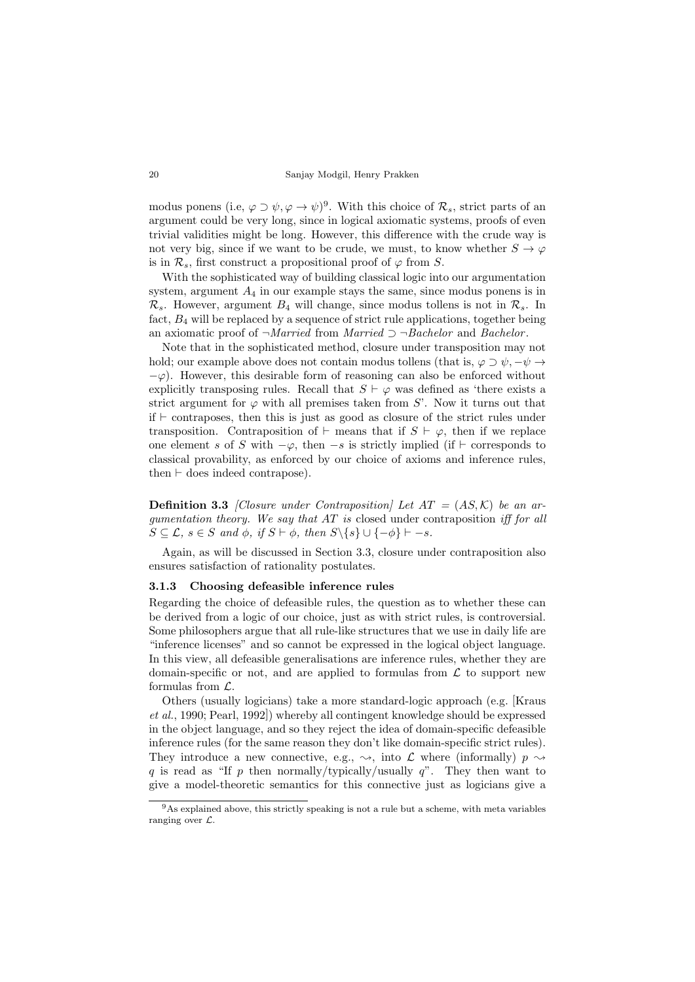modus ponens (i.e,  $\varphi \supset \psi$ ,  $\varphi \to \psi$ )<sup>9</sup>. With this choice of  $\mathcal{R}_s$ , strict parts of an argument could be very long, since in logical axiomatic systems, proofs of even trivial validities might be long. However, this difference with the crude way is not very big, since if we want to be crude, we must, to know whether  $S \to \varphi$ is in  $\mathcal{R}_s$ , first construct a propositional proof of  $\varphi$  from S.

With the sophisticated way of building classical logic into our argumentation system, argument  $A_4$  in our example stays the same, since modus ponens is in  $\mathcal{R}_s$ . However, argument  $B_4$  will change, since modus tollens is not in  $\mathcal{R}_s$ . In fact, B<sup>4</sup> will be replaced by a sequence of strict rule applications, together being an axiomatic proof of  $\neg$ *Married* from *Married*  $\supset \neg$ *Bachelor* and *Bachelor*.

Note that in the sophisticated method, closure under transposition may not hold; our example above does not contain modus tollens (that is,  $\varphi \supset \psi$ ,  $-\psi \rightarrow$  $-\varphi$ ). However, this desirable form of reasoning can also be enforced without explicitly transposing rules. Recall that  $S \vdash \varphi$  was defined as 'there exists a strict argument for  $\varphi$  with all premises taken from S'. Now it turns out that  $if \vdash$  contraposes, then this is just as good as closure of the strict rules under transposition. Contraposition of  $\vdash$  means that if  $S \vdash \varphi$ , then if we replace one element s of S with  $-\varphi$ , then  $-s$  is strictly implied (if  $\vdash$  corresponds to classical provability, as enforced by our choice of axioms and inference rules, then  $\vdash$  does indeed contrapose).

**Definition 3.3** [Closure under Contraposition] Let  $AT = (AS, \mathcal{K})$  be an argumentation theory. We say that  $AT$  is closed under contraposition iff for all  $S \subseteq \mathcal{L}, s \in S$  and  $\phi$ , if  $S \vdash \phi$ , then  $S \setminus \{s\} \cup \{-\phi\} \vdash -s$ .

Again, as will be discussed in Section 3.3, closure under contraposition also ensures satisfaction of rationality postulates.

#### 3.1.3 Choosing defeasible inference rules

Regarding the choice of defeasible rules, the question as to whether these can be derived from a logic of our choice, just as with strict rules, is controversial. Some philosophers argue that all rule-like structures that we use in daily life are "inference licenses" and so cannot be expressed in the logical object language. In this view, all defeasible generalisations are inference rules, whether they are domain-specific or not, and are applied to formulas from  $\mathcal L$  to support new formulas from  $\mathcal{L}$ .

Others (usually logicians) take a more standard-logic approach (e.g. [Kraus et al., 1990; Pearl, 1992]) whereby all contingent knowledge should be expressed in the object language, and so they reject the idea of domain-specific defeasible inference rules (for the same reason they don't like domain-specific strict rules). They introduce a new connective, e.g.,  $\rightsquigarrow$ , into  $\mathcal L$  where (informally)  $p \rightsquigarrow$ q is read as "If p then normally/typically/usually  $q$ ". They then want to give a model-theoretic semantics for this connective just as logicians give a

<sup>&</sup>lt;sup>9</sup>As explained above, this strictly speaking is not a rule but a scheme, with meta variables ranging over L.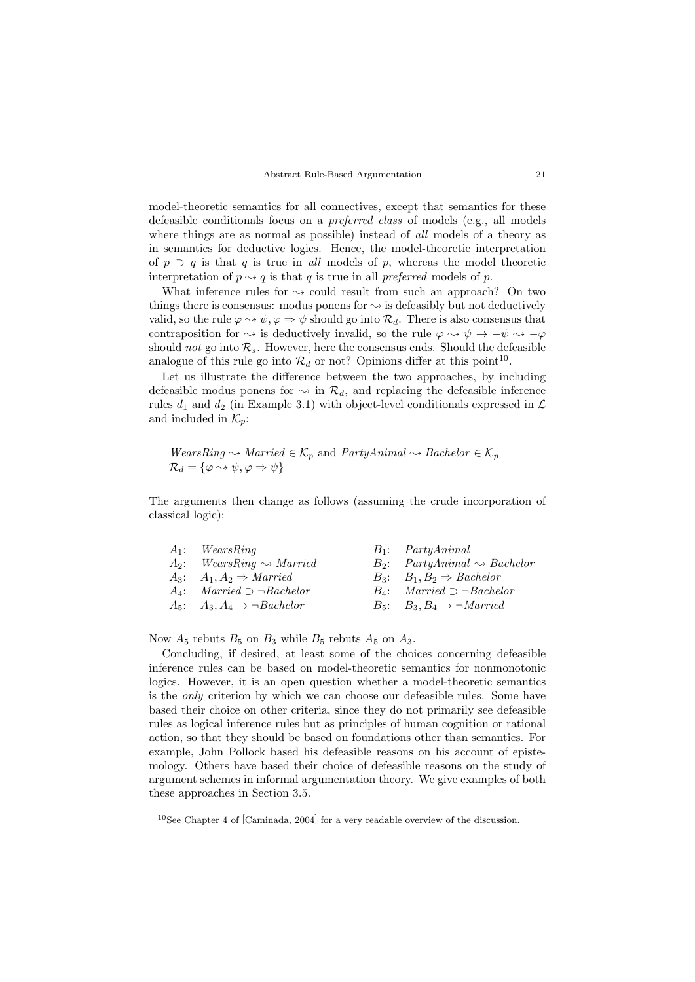model-theoretic semantics for all connectives, except that semantics for these defeasible conditionals focus on a preferred class of models (e.g., all models where things are as normal as possible) instead of *all* models of a theory as in semantics for deductive logics. Hence, the model-theoretic interpretation of  $p \supset q$  is that q is true in all models of p, whereas the model theoretic interpretation of  $p \rightarrow q$  is that q is true in all preferred models of p.

What inference rules for  $\sim$  could result from such an approach? On two things there is consensus: modus ponens for  $\sim$  is defeasibly but not deductively valid, so the rule  $\varphi \rightsquigarrow \psi$ ,  $\varphi \Rightarrow \psi$  should go into  $\mathcal{R}_d$ . There is also consensus that contraposition for  $\sim$  is deductively invalid, so the rule  $\varphi \rightsquigarrow \psi \rightarrow -\psi \rightsquigarrow -\varphi$ should not go into  $\mathcal{R}_s$ . However, here the consensus ends. Should the defeasible analogue of this rule go into  $\mathcal{R}_d$  or not? Opinions differ at this point<sup>10</sup>.

Let us illustrate the difference between the two approaches, by including defeasible modus ponens for  $\sim$  in  $\mathcal{R}_d$ , and replacing the defeasible inference rules  $d_1$  and  $d_2$  (in Example 3.1) with object-level conditionals expressed in  $\mathcal L$ and included in  $\mathcal{K}_n$ :

 $WearsRing \rightsquigarrow \textit{Married} \in \mathcal{K}_p$  and  $\textit{PartyAnimal} \rightsquigarrow \textit{Bachelor} \in \mathcal{K}_p$  $\mathcal{R}_d = {\varphi \rightsquigarrow \psi, \varphi \Rightarrow \psi}$ 

The arguments then change as follows (assuming the crude incorporation of classical logic):

| $A_1$ : WearsRing                            | $B_1$ : PartyAnimal                                  |
|----------------------------------------------|------------------------------------------------------|
| $A_2$ : WearsRing $\rightsquigarrow$ Married | $B_2$ : PartyAnimal $\rightsquigarrow$ Bachelor      |
| $A_3: A_1, A_2 \Rightarrow \text{Married}$   | $B_3$ : $B_1, B_2 \Rightarrow$ Bachelor              |
| $A_4$ : Married $\supset \neg Bachelor$      | $B_4$ : Married $\supset \neg Bachelor$              |
| $A_5$ : $A_3, A_4 \rightarrow \neg Bachelor$ | $B_5$ : $B_3, B_4 \rightarrow \neg \textit{Married}$ |
|                                              |                                                      |

Now  $A_5$  rebuts  $B_5$  on  $B_3$  while  $B_5$  rebuts  $A_5$  on  $A_3$ .

Concluding, if desired, at least some of the choices concerning defeasible inference rules can be based on model-theoretic semantics for nonmonotonic logics. However, it is an open question whether a model-theoretic semantics is the only criterion by which we can choose our defeasible rules. Some have based their choice on other criteria, since they do not primarily see defeasible rules as logical inference rules but as principles of human cognition or rational action, so that they should be based on foundations other than semantics. For example, John Pollock based his defeasible reasons on his account of epistemology. Others have based their choice of defeasible reasons on the study of argument schemes in informal argumentation theory. We give examples of both these approaches in Section 3.5.

<sup>10</sup>See Chapter 4 of [Caminada, 2004] for a very readable overview of the discussion.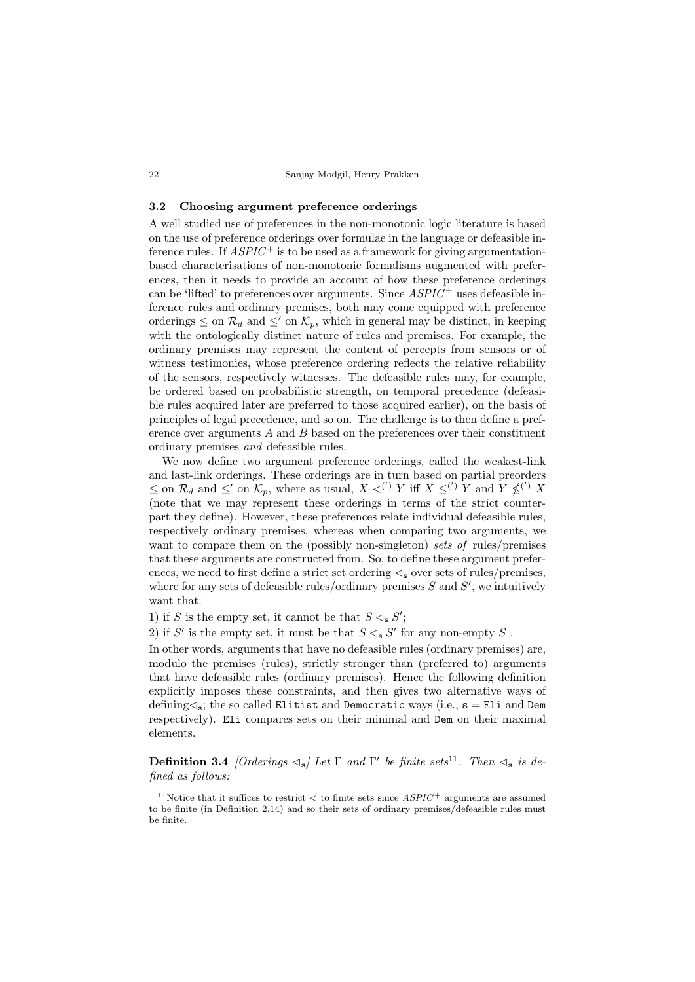#### 3.2 Choosing argument preference orderings

A well studied use of preferences in the non-monotonic logic literature is based on the use of preference orderings over formulae in the language or defeasible inference rules. If  $ASPIC^+$  is to be used as a framework for giving argumentationbased characterisations of non-monotonic formalisms augmented with preferences, then it needs to provide an account of how these preference orderings can be 'lifted' to preferences over arguments. Since  $ASPIC^+$  uses defeasible inference rules and ordinary premises, both may come equipped with preference orderings  $\leq$  on  $\mathcal{R}_d$  and  $\leq'$  on  $\mathcal{K}_p$ , which in general may be distinct, in keeping with the ontologically distinct nature of rules and premises. For example, the ordinary premises may represent the content of percepts from sensors or of witness testimonies, whose preference ordering reflects the relative reliability of the sensors, respectively witnesses. The defeasible rules may, for example, be ordered based on probabilistic strength, on temporal precedence (defeasible rules acquired later are preferred to those acquired earlier), on the basis of principles of legal precedence, and so on. The challenge is to then define a preference over arguments  $A$  and  $B$  based on the preferences over their constituent ordinary premises and defeasible rules.

We now define two argument preference orderings, called the weakest-link and last-link orderings. These orderings are in turn based on partial preorders  $\leq$  on  $\mathcal{R}_d$  and  $\leq'$  on  $\mathcal{K}_p$ , where as usual,  $X \lt^{(')} Y$  iff  $X \leq^{(')} Y$  and  $Y \nleq^{(')} X$ (note that we may represent these orderings in terms of the strict counterpart they define). However, these preferences relate individual defeasible rules, respectively ordinary premises, whereas when comparing two arguments, we want to compare them on the (possibly non-singleton) sets of rules/premises that these arguments are constructed from. So, to define these argument preferences, we need to first define a strict set ordering  $\leq_{\rm s}$  over sets of rules/premises, where for any sets of defeasible rules/ordinary premises  $S$  and  $S'$ , we intuitively want that:

1) if S is the empty set, it cannot be that  $S \lhd_{\mathbf{s}} S'$ ;

2) if  $S'$  is the empty set, it must be that  $S \lhd_{\mathbf{s}} S'$  for any non-empty  $S$ .

In other words, arguments that have no defeasible rules (ordinary premises) are, modulo the premises (rules), strictly stronger than (preferred to) arguments that have defeasible rules (ordinary premises). Hence the following definition explicitly imposes these constraints, and then gives two alternative ways of defining  $\leq_s$ ; the so called Elitist and Democratic ways (i.e.,  $s =$  Eli and Dem respectively). Eli compares sets on their minimal and Dem on their maximal elements.

**Definition 3.4** [Orderings  $\lhd_{s}$ ] Let  $\Gamma$  and  $\Gamma'$  be finite sets<sup>11</sup>. Then  $\lhd_{s}$  is defined as follows:

<sup>&</sup>lt;sup>11</sup>Notice that it suffices to restrict  $\triangleleft$  to finite sets since  $ASPIC^+$  arguments are assumed to be finite (in Definition 2.14) and so their sets of ordinary premises/defeasible rules must be finite.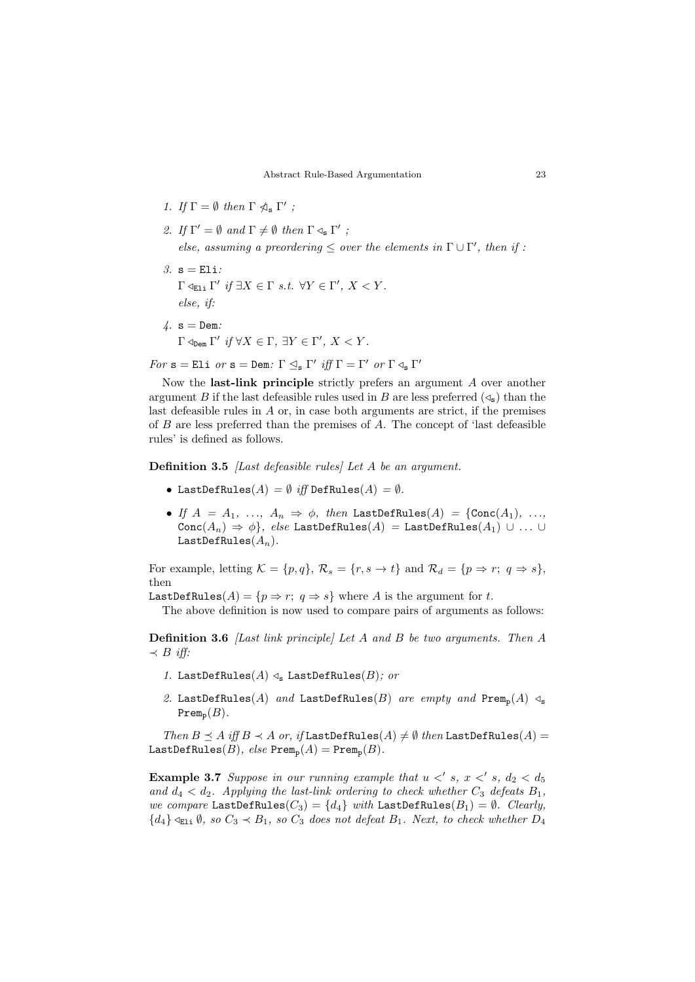- 1. If  $\Gamma = \emptyset$  then  $\Gamma \ntriangleleft_{\mathbf{s}} \Gamma'$ ;
- 2. If  $\Gamma' = \emptyset$  and  $\Gamma \neq \emptyset$  then  $\Gamma \triangleleft_{\mathbf{s}} \Gamma'$ ; else, assuming a preordering  $\leq$  over the elements in  $\Gamma \cup \Gamma'$ , then if :
- 3.  $s = E1i$ :  $\Gamma \triangleleft_{\text{Eli}} \Gamma'$  if  $\exists X \in \Gamma \text{ s.t. } \forall Y \in \Gamma', X < Y$ . else, if:
- $4. s = Dem.$  $\Gamma \triangleleft_{\text{Dem}} \Gamma'$  if  $\forall X \in \Gamma$ ,  $\exists Y \in \Gamma'$ ,  $X < Y$ .

 $For \text{ s} = \text{Eli } or \text{ s} = \text{Dem: } \Gamma \unlhd_{\text{s}} \Gamma' \text{ iff } \Gamma = \Gamma' \text{ or } \Gamma \unlhd_{\text{s}} \Gamma'$ 

Now the last-link principle strictly prefers an argument A over another argument B if the last defeasible rules used in B are less preferred  $(\triangleleft_{s})$  than the last defeasible rules in  $A$  or, in case both arguments are strict, if the premises of  $B$  are less preferred than the premises of  $A$ . The concept of 'last defeasible rules' is defined as follows.

Definition 3.5 *[Last defeasible rules]* Let A be an argument.

- LastDefRules $(A) = \emptyset$  iff DefRules $(A) = \emptyset$ .
- If  $A = A_1, \ldots, A_n \Rightarrow \phi$ , then LastDefRules(A) = {Conc(A<sub>1</sub>), ...  $Conc(A_n) \Rightarrow \phi\},$  else LastDefRules $(A)$  = LastDefRules $(A_1) \cup ... \cup$ LastDefRules $(A_n)$ .

For example, letting  $\mathcal{K} = \{p, q\}, \mathcal{R}_s = \{r, s \to t\}$  and  $\mathcal{R}_d = \{p \Rightarrow r; q \Rightarrow s\},\$ then

LastDefRules( $A$ ) = { $p \Rightarrow r$ ;  $q \Rightarrow s$ } where  $A$  is the argument for  $t$ .

The above definition is now used to compare pairs of arguments as follows:

Definition 3.6 *[Last link principle]* Let A and B be two arguments. Then A  $\prec B$  iff:

- 1. LastDefRules $(A) \triangleleft_s$  LastDefRules $(B)$ ; or
- 2. LastDefRules(A) and LastDefRules(B) are empty and  $\text{Prem}_p(A) \triangleleft_s$  $\text{Prem}_{p}(B)$ .

Then  $B \preceq A$  iff  $B \prec A$  or, if LastDefRules(A)  $\neq \emptyset$  then LastDefRules(A) = LastDefRules(B),  $else$  Prem<sub>n</sub>(A) = Prem<sub>n</sub>(B).

**Example 3.7** Suppose in our running example that  $u <' s$ ,  $x <' s$ ,  $d_2 < d_5$ and  $d_4 < d_2$ . Applying the last-link ordering to check whether  $C_3$  defeats  $B_1$ , we compare LastDefRules $(C_3) = \{d_4\}$  with LastDefRules $(B_1) = \emptyset$ . Clearly,  ${d_4}$   $\leq$ <sub>Eli</sub> Ø, so  $C_3 \prec B_1$ , so  $C_3$  does not defeat  $B_1$ . Next, to check whether  $D_4$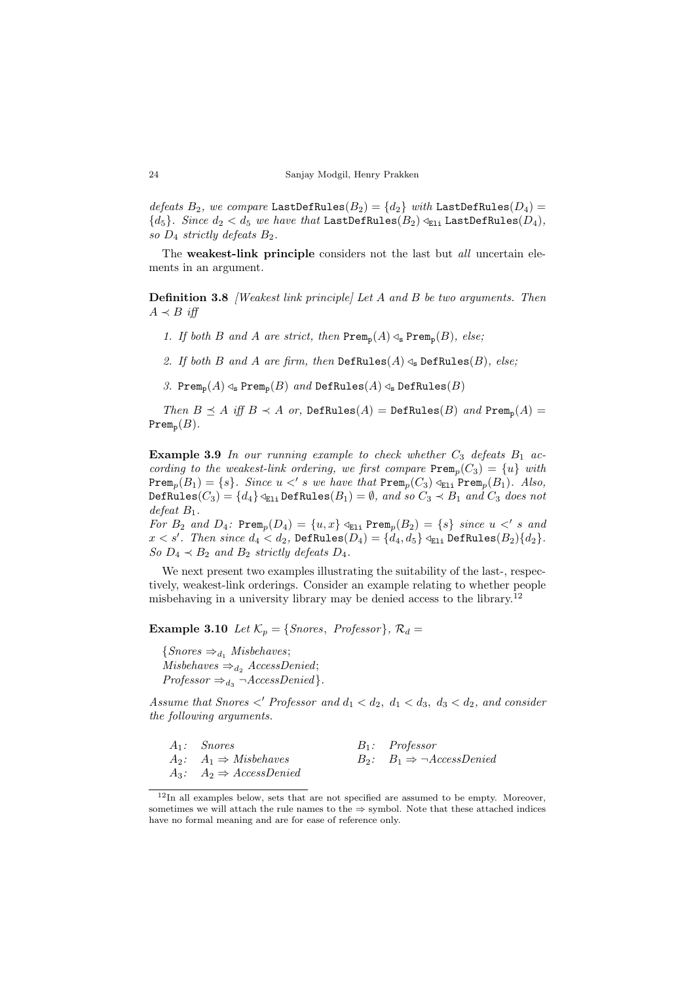defeats  $B_2$ , we compare LastDefRules( $B_2$ ) =  $\{d_2\}$  with LastDefRules( $D_4$ ) =  ${d_5}$ . Since  $d_2 < d_5$  we have that LastDefRules( $B_2$ )  $\triangleleft_{E1i}$  LastDefRules( $D_4$ ), so  $D_4$  strictly defeats  $B_2$ .

The weakest-link principle considers not the last but *all* uncertain elements in an argument.

**Definition 3.8** *[Weakest link principle] Let A and B be two arguments. Then*  $A \prec B$  iff

- 1. If both B and A are strict, then  $\text{Prem}_p(A) \triangleleft_s \text{Prem}_p(B)$ , else;
- 2. If both B and A are firm, then  $\text{DefRules}(A) \triangleleft_{s} \text{DefRules}(B)$ , else;
- 3. Prem<sub>p</sub> $(A) \triangleleft_s$  Prem<sub>p</sub> $(B)$  and DefRules $(A) \triangleleft_s$  DefRules $(B)$

Then  $B \preceq A$  iff  $B \prec A$  or, DefRules $(A)$  = DefRules $(B)$  and Prem<sub>p</sub> $(A)$  =  $\text{Prem}_{p}(B)$ .

**Example 3.9** In our running example to check whether  $C_3$  defeats  $B_1$  according to the weakest-link ordering, we first compare  $\text{Prem}_p(C_3) = \{u\}$  with  $\texttt{Prem}_p(B_1) = \{s\}.$  Since  $u <' s$  we have that  $\texttt{Prem}_p(C_3) \triangleleft_{E1i} \texttt{Prem}_p(B_1)$ . Also, DefRules( $C_3$ ) = { $d_4$ }  $\triangleleft$ <sub>Eli</sub> DefRules( $B_1$ ) =  $\emptyset$ , and so  $C_3 \prec B_1$  and  $C_3$  does not defeat  $B_1$ .

For  $B_2$  and  $D_4$ :  $\text{Prem}_p(D_4) = \{u, x\} \triangleleft_{\text{E1i}} \text{Prem}_p(B_2) = \{s\}$  since  $u < s$  and  $x < s'$ . Then since  $d_4 < d_2$ , DefRules $(D_4) = \{d_4, d_5\} \triangleleft_{\text{E1i}}$  DefRules $(B_2)\{d_2\}$ . So  $D_4 \prec B_2$  and  $B_2$  strictly defeats  $D_4$ .

We next present two examples illustrating the suitability of the last-, respectively, weakest-link orderings. Consider an example relating to whether people misbehaving in a university library may be denied access to the library.<sup>12</sup>

**Example 3.10** Let  $\mathcal{K}_p = \{Snores, Professor\}, \mathcal{R}_d =$ 

 ${Snores} \Rightarrow_{d_1} Misbehaves;$  $Misbehaves \Rightarrow_{d_2} AccessDenied;$  $Professor \Rightarrow_{d_3} \neg AccessDenied$ .

Assume that Snores  $\langle P \rangle$  Professor and  $d_1 \langle d_2, d_1 \langle d_3, d_3 \rangle \langle d_2, d_3 \rangle$  and consider the following arguments.

| $A_1$ : Snores                       | $B_1$ : Professor                           |
|--------------------------------------|---------------------------------------------|
| $A_2$ : $A_1 \Rightarrow$ Misbehaves | $B_2$ : $B_1 \Rightarrow \neg AccessDenied$ |
| $A_3: A_2 \Rightarrow AccessDenied$  |                                             |

 $12$ In all examples below, sets that are not specified are assumed to be empty. Moreover, sometimes we will attach the rule names to the  $\Rightarrow$  symbol. Note that these attached indices have no formal meaning and are for ease of reference only.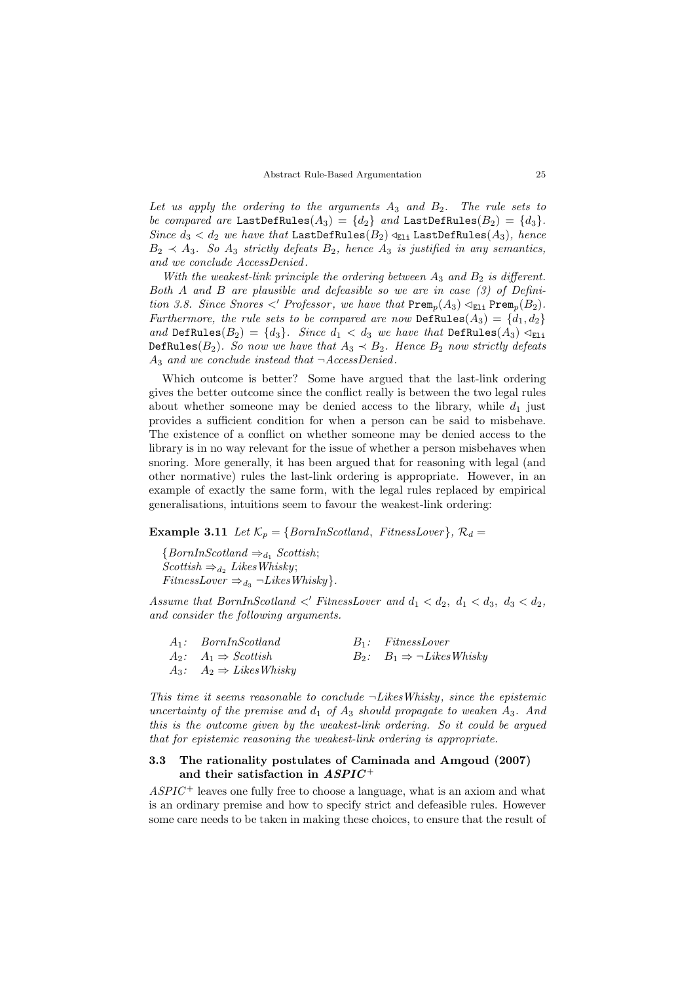Let us apply the ordering to the arguments  $A_3$  and  $B_2$ . The rule sets to be compared are LastDefRules( $A_3$ ) =  $\{d_2\}$  and LastDefRules( $B_2$ ) =  $\{d_3\}$ . Since  $d_3 < d_2$  we have that LastDefRules $(B_2) \triangleleft_{E1i}$  LastDefRules $(A_3)$ , hence  $B_2 \prec A_3$ . So  $A_3$  strictly defeats  $B_2$ , hence  $A_3$  is justified in any semantics, and we conclude AccessDenied .

With the weakest-link principle the ordering between  $A_3$  and  $B_2$  is different. Both A and B are plausible and defeasible so we are in case (3) of Definition 3.8. Since Snores  $\langle P$  Professor, we have that  $\text{Prem}_n(A_3) \triangleleft_{E1i} \text{Prem}_n(B_2)$ . Furthermore, the rule sets to be compared are now DefRules $(A_3) = \{d_1, d_2\}$ and DefRules( $B_2$ ) = {d<sub>3</sub>}. Since  $d_1 < d_3$  we have that DefRules( $A_3$ )  $\triangleleft_{E1i}$ DefRules( $B_2$ ). So now we have that  $A_3 \prec B_2$ . Hence  $B_2$  now strictly defeats  $A_3$  and we conclude instead that  $\neg$ AccessDenied.

Which outcome is better? Some have argued that the last-link ordering gives the better outcome since the conflict really is between the two legal rules about whether someone may be denied access to the library, while  $d_1$  just provides a sufficient condition for when a person can be said to misbehave. The existence of a conflict on whether someone may be denied access to the library is in no way relevant for the issue of whether a person misbehaves when snoring. More generally, it has been argued that for reasoning with legal (and other normative) rules the last-link ordering is appropriate. However, in an example of exactly the same form, with the legal rules replaced by empirical generalisations, intuitions seem to favour the weakest-link ordering:

**Example 3.11** Let  $\mathcal{K}_p = \{BornInScotland, FitnessLower\}, \mathcal{R}_d =$ 

 ${BornInScotland} \Rightarrow_{d_1} Scottish;$  $Scottish \Rightarrow_{d_2} LikesWhisky;$ FitnessLover  $\Rightarrow_{d_3} \neg \text{LikesWhisky}$ .

Assume that BornInScotland  $\langle$  FitnessLover and  $d_1 \langle d_2, d_1 \langle d_3, d_3 \rangle d_2$ , and consider the following arguments.

| $A_1: BornIn Scotland$                 | $B_1$ : FitnessLover                              |
|----------------------------------------|---------------------------------------------------|
| $A_2$ : $A_1 \Rightarrow$ Scottish     | $B_2$ : $B_1 \Rightarrow \neg \text{LikesWhisky}$ |
| $A_3$ : $A_2 \Rightarrow$ Likes Whisky |                                                   |

This time it seems reasonable to conclude  $\neg\text{Like}$  Whisky, since the epistemic uncertainty of the premise and  $d_1$  of  $A_3$  should propagate to weaken  $A_3$ . And this is the outcome given by the weakest-link ordering. So it could be argued that for epistemic reasoning the weakest-link ordering is appropriate.

# 3.3 The rationality postulates of Caminada and Amgoud (2007) and their satisfaction in  $ASPIC^+$

 $ASPIC<sup>+</sup>$  leaves one fully free to choose a language, what is an axiom and what is an ordinary premise and how to specify strict and defeasible rules. However some care needs to be taken in making these choices, to ensure that the result of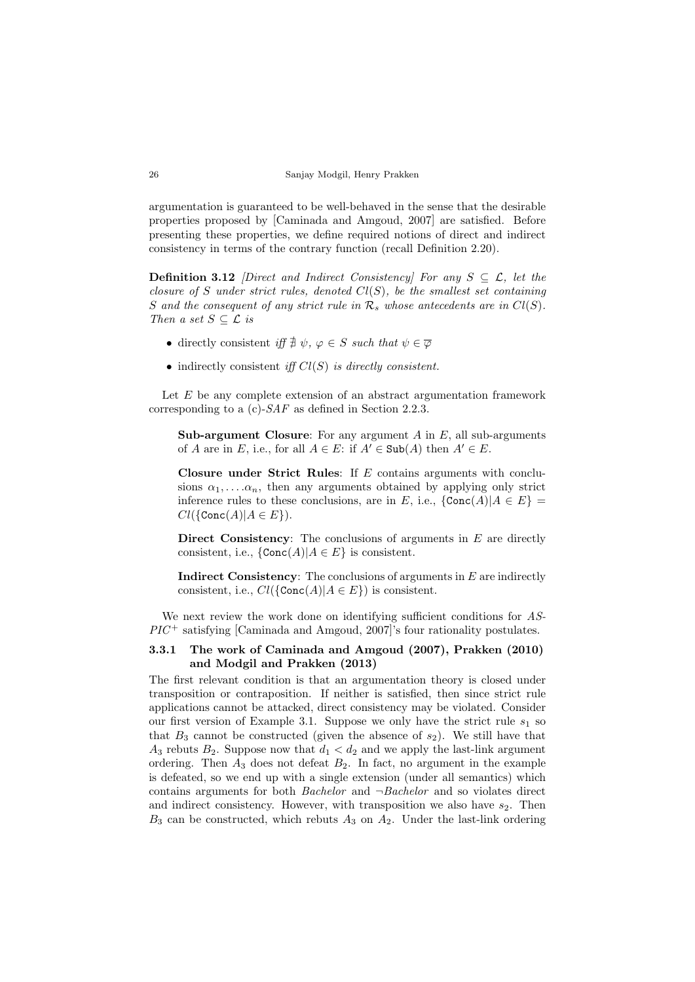argumentation is guaranteed to be well-behaved in the sense that the desirable properties proposed by [Caminada and Amgoud, 2007] are satisfied. Before presenting these properties, we define required notions of direct and indirect consistency in terms of the contrary function (recall Definition 2.20).

**Definition 3.12** *Direct and Indirect Consistency]* For any  $S \subseteq \mathcal{L}$ , let the closure of S under strict rules, denoted  $Cl(S)$ , be the smallest set containing S and the consequent of any strict rule in  $\mathcal{R}_s$  whose antecedents are in  $Cl(S)$ . Then a set  $S \subseteq \mathcal{L}$  is

- directly consistent iff  $\exists \psi, \varphi \in S$  such that  $\psi \in \overline{\varphi}$
- indirectly consistent iff  $Cl(S)$  is directly consistent.

Let  $E$  be any complete extension of an abstract argumentation framework corresponding to a (c)-SAF as defined in Section 2.2.3.

**Sub-argument Closure:** For any argument  $A$  in  $E$ , all sub-arguments of A are in E, i.e., for all  $A \in E$ : if  $A' \in Sub(A)$  then  $A' \in E$ .

Closure under Strict Rules: If  $E$  contains arguments with conclusions  $\alpha_1, \ldots, \alpha_n$ , then any arguments obtained by applying only strict inference rules to these conclusions, are in E, i.e.,  $\{\texttt{Conc}(A)|A \in E\}$  $Cl({\text{Conc}(A)|A \in E}).$ 

Direct Consistency: The conclusions of arguments in  $E$  are directly consistent, i.e.,  $\{Conc(A)|A \in E\}$  is consistent.

**Indirect Consistency:** The conclusions of arguments in  $E$  are indirectly consistent, i.e.,  $Cl({\text{Conc}(A)|A \in E})$  is consistent.

We next review the work done on identifying sufficient conditions for AS- $\mathbb{P}\mathbb{P}\mathbb{P}^{\pm}$  satisfying [Caminada and Amgoud, 2007]'s four rationality postulates.

# 3.3.1 The work of Caminada and Amgoud (2007), Prakken (2010) and Modgil and Prakken (2013)

The first relevant condition is that an argumentation theory is closed under transposition or contraposition. If neither is satisfied, then since strict rule applications cannot be attacked, direct consistency may be violated. Consider our first version of Example 3.1. Suppose we only have the strict rule  $s_1$  so that  $B_3$  cannot be constructed (given the absence of  $s_2$ ). We still have that  $A_3$  rebuts  $B_2$ . Suppose now that  $d_1 < d_2$  and we apply the last-link argument ordering. Then  $A_3$  does not defeat  $B_2$ . In fact, no argument in the example is defeated, so we end up with a single extension (under all semantics) which contains arguments for both *Bachelor* and  $\neg$ *Bachelor* and so violates direct and indirect consistency. However, with transposition we also have  $s_2$ . Then  $B_3$  can be constructed, which rebuts  $A_3$  on  $A_2$ . Under the last-link ordering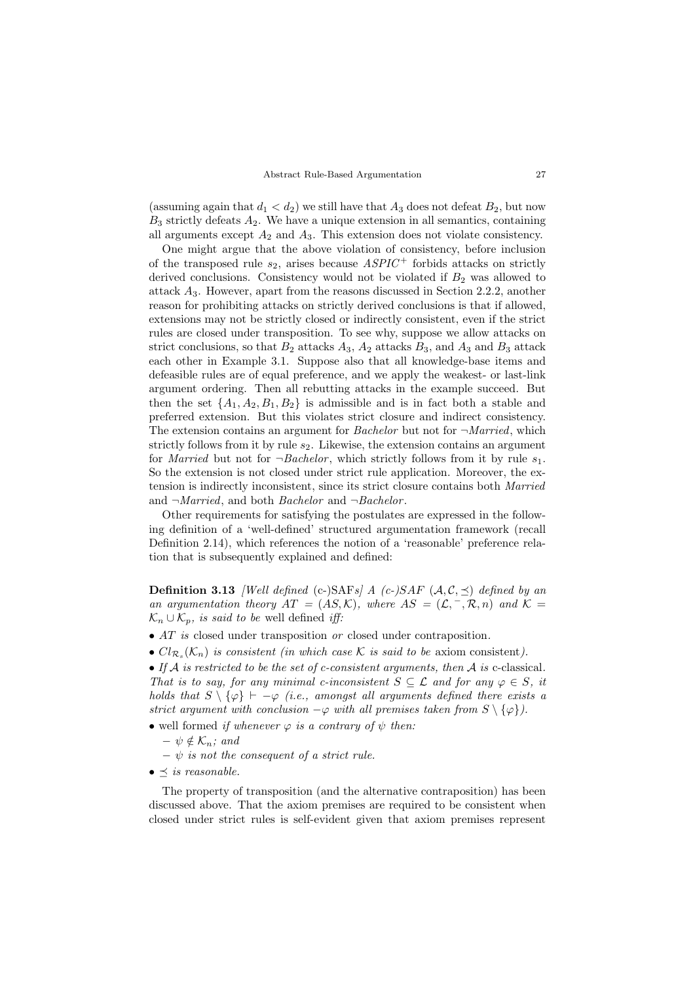(assuming again that  $d_1 < d_2$ ) we still have that  $A_3$  does not defeat  $B_2$ , but now  $B_3$  strictly defeats  $A_2$ . We have a unique extension in all semantics, containing all arguments except  $A_2$  and  $A_3$ . This extension does not violate consistency.

One might argue that the above violation of consistency, before inclusion of the transposed rule  $s_2$ , arises because  $ASPIC^+$  forbids attacks on strictly derived conclusions. Consistency would not be violated if  $B_2$  was allowed to attack A3. However, apart from the reasons discussed in Section 2.2.2, another reason for prohibiting attacks on strictly derived conclusions is that if allowed, extensions may not be strictly closed or indirectly consistent, even if the strict rules are closed under transposition. To see why, suppose we allow attacks on strict conclusions, so that  $B_2$  attacks  $A_3$ ,  $A_2$  attacks  $B_3$ , and  $A_3$  and  $B_3$  attack each other in Example 3.1. Suppose also that all knowledge-base items and defeasible rules are of equal preference, and we apply the weakest- or last-link argument ordering. Then all rebutting attacks in the example succeed. But then the set  $\{A_1, A_2, B_1, B_2\}$  is admissible and is in fact both a stable and preferred extension. But this violates strict closure and indirect consistency. The extension contains an argument for *Bachelor* but not for  $\neg Married$ , which strictly follows from it by rule  $s_2$ . Likewise, the extension contains an argument for *Married* but not for  $\neg$ *Bachelor*, which strictly follows from it by rule  $s_1$ . So the extension is not closed under strict rule application. Moreover, the extension is indirectly inconsistent, since its strict closure contains both Married and  $\neg Married$ , and both *Bachelor* and  $\neg Bachelor$ .

Other requirements for satisfying the postulates are expressed in the following definition of a 'well-defined' structured argumentation framework (recall Definition 2.14), which references the notion of a 'reasonable' preference relation that is subsequently explained and defined:

**Definition 3.13** *[Well defined (c-)SAFs] A (c-)SAF*  $(A, C, \preceq)$  *defined by an* an argumentation theory  $AT = (AS, \mathcal{K})$ , where  $AS = (\mathcal{L}, \neg, \mathcal{R}, n)$  and  $\mathcal{K} =$  $\mathcal{K}_n \cup \mathcal{K}_p$ , is said to be well defined iff:

- AT is closed under transposition or closed under contraposition.
- $Cl_{\mathcal{R}_s}(\mathcal{K}_n)$  is consistent (in which case K is said to be axiom consistent).

• If  $A$  is restricted to be the set of c-consistent arguments, then  $A$  is c-classical. That is to say, for any minimal c-inconsistent  $S \subseteq \mathcal{L}$  and for any  $\varphi \in S$ , it holds that  $S \setminus \{\varphi\} \vdash -\varphi$  (i.e., amongst all arguments defined there exists a strict argument with conclusion  $-\varphi$  with all premises taken from  $S \setminus {\varphi}$ .

- well formed if whenever  $\varphi$  is a contrary of  $\psi$  then:
	- $\psi \notin \mathcal{K}_n$ ; and
	- $\psi$  is not the consequent of a strict rule.
- $\bullet \preceq$  is reasonable.

The property of transposition (and the alternative contraposition) has been discussed above. That the axiom premises are required to be consistent when closed under strict rules is self-evident given that axiom premises represent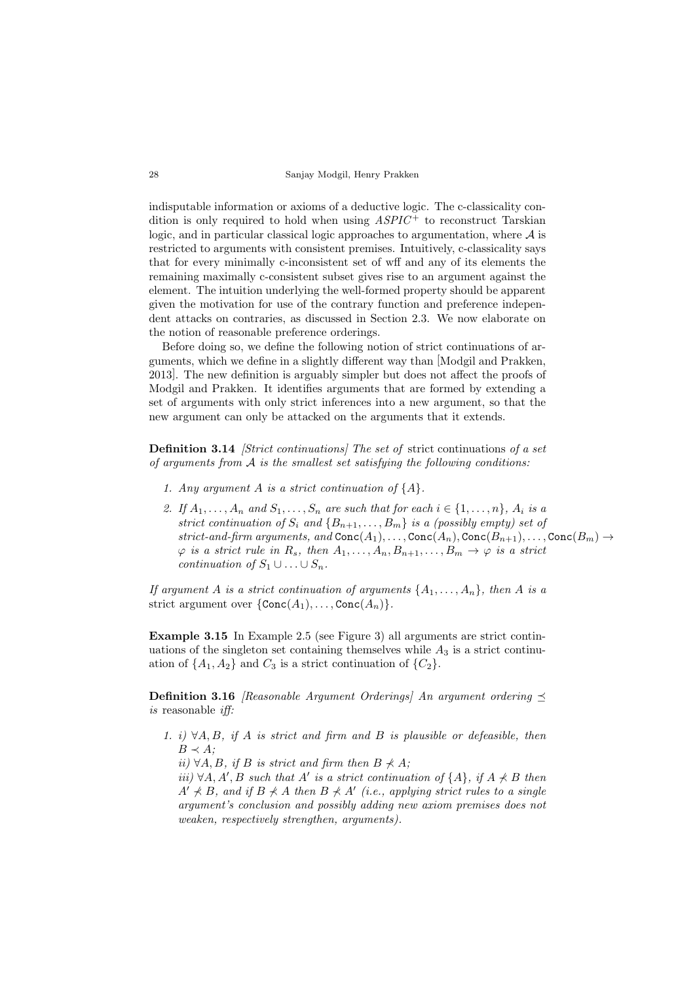indisputable information or axioms of a deductive logic. The c-classicality condition is only required to hold when using  $ASPIC<sup>+</sup>$  to reconstruct Tarskian logic, and in particular classical logic approaches to argumentation, where  $A$  is restricted to arguments with consistent premises. Intuitively, c-classicality says that for every minimally c-inconsistent set of wff and any of its elements the remaining maximally c-consistent subset gives rise to an argument against the element. The intuition underlying the well-formed property should be apparent given the motivation for use of the contrary function and preference independent attacks on contraries, as discussed in Section 2.3. We now elaborate on the notion of reasonable preference orderings.

Before doing so, we define the following notion of strict continuations of arguments, which we define in a slightly different way than [Modgil and Prakken, 2013]. The new definition is arguably simpler but does not affect the proofs of Modgil and Prakken. It identifies arguments that are formed by extending a set of arguments with only strict inferences into a new argument, so that the new argument can only be attacked on the arguments that it extends.

Definition 3.14 *[Strict continuations]* The set of strict continuations of a set of arguments from  $A$  is the smallest set satisfying the following conditions:

- 1. Any argument A is a strict continuation of  ${A}.$
- 2. If  $A_1, \ldots, A_n$  and  $S_1, \ldots, S_n$  are such that for each  $i \in \{1, \ldots, n\}$ ,  $A_i$  is a strict continuation of  $S_i$  and  $\{B_{n+1}, \ldots, B_m\}$  is a (possibly empty) set of strict-and-firm arguments, and  $Conc(A_1), \ldots, Conc(A_n), Conc(B_{n+1}), \ldots, Conc(B_m) \rightarrow$  $\varphi$  is a strict rule in  $R_s$ , then  $A_1, \ldots, A_n, B_{n+1}, \ldots, B_m \to \varphi$  is a strict continuation of  $S_1 \cup \ldots \cup S_n$ .

If argument A is a strict continuation of arguments  $\{A_1, \ldots, A_n\}$ , then A is a strict argument over  $\{Conc(A_1), \ldots, Conc(A_n)\}.$ 

Example 3.15 In Example 2.5 (see Figure 3) all arguments are strict continuations of the singleton set containing themselves while  $A_3$  is a strict continuation of  $\{A_1, A_2\}$  and  $C_3$  is a strict continuation of  $\{C_2\}$ .

**Definition 3.16** [Reasonable Argument Orderings] An argument ordering  $\prec$ is reasonable iff:

1. i)  $\forall A, B, \text{ if } A \text{ is strict and firm and } B \text{ is plausible or defective, then}$  $B \prec A$ .

ii) ∀A, B, if B is strict and firm then  $B \nprec A$ :

iii)  $\forall A, A', B$  such that A' is a strict continuation of {A}, if  $A \nprec B$  then  $A' \nless B$ , and if  $B \nless A$  then  $B \nless A'$  (i.e., applying strict rules to a single argument's conclusion and possibly adding new axiom premises does not weaken, respectively strengthen, arguments).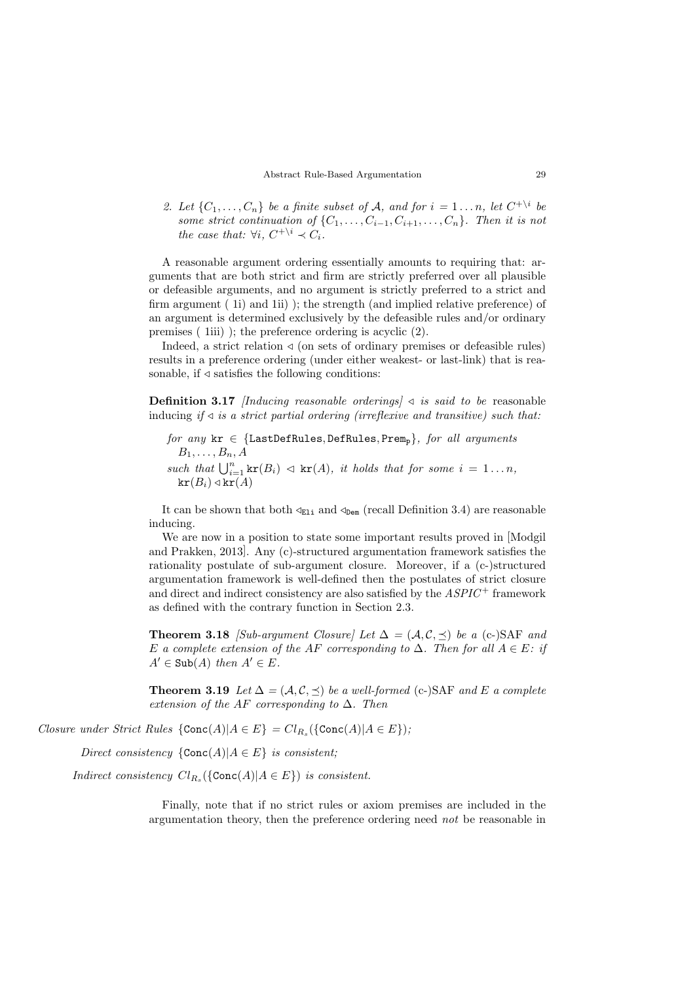2. Let  $\{C_1, \ldots, C_n\}$  be a finite subset of A, and for  $i = 1 \ldots n$ , let  $C^{+\setminus i}$  be some strict continuation of  $\{C_1, \ldots, C_{i-1}, C_{i+1}, \ldots, C_n\}$ . Then it is not the case that:  $\forall i, C^{+\setminus i} \prec C_i$ .

A reasonable argument ordering essentially amounts to requiring that: arguments that are both strict and firm are strictly preferred over all plausible or defeasible arguments, and no argument is strictly preferred to a strict and firm argument ( 1i) and 1ii) ); the strength (and implied relative preference) of an argument is determined exclusively by the defeasible rules and/or ordinary premises ( 1iii) ); the preference ordering is acyclic (2).

Indeed, a strict relation  $\triangleleft$  (on sets of ordinary premises or defeasible rules) results in a preference ordering (under either weakest- or last-link) that is reasonable, if  $\triangleleft$  satisfies the following conditions:

**Definition 3.17** [Inducing reasonable orderings]  $\triangleleft$  is said to be reasonable inducing if  $\triangleleft$  is a strict partial ordering (irreflexive and transitive) such that:

```
for any kr \in \{\texttt{LastDefRules}, \texttt{DefRules}, \texttt{Prem}_p\}, for all arguments
B_1, \ldots, B_n, Asuch that \bigcup_{i=1}^n \text{kr}(B_i) \triangleleft \text{kr}(A), it holds that for some i = 1...n,
kr(B_i) \triangleleft kr(A)
```
It can be shown that both  $\leq_{E1i}$  and  $\leq_{Dem}$  (recall Definition 3.4) are reasonable inducing.

We are now in a position to state some important results proved in [Modgil and Prakken, 2013]. Any (c)-structured argumentation framework satisfies the rationality postulate of sub-argument closure. Moreover, if a (c-)structured argumentation framework is well-defined then the postulates of strict closure and direct and indirect consistency are also satisfied by the  $ASPIC^+$  framework as defined with the contrary function in Section 2.3.

**Theorem 3.18** [Sub-argument Closure] Let  $\Delta = (A, C, \prec)$  be a (c-)SAF and E a complete extension of the AF corresponding to  $\Delta$ . Then for all  $A \in E$ : if  $A' \in Sub(A)$  then  $A' \in E$ .

**Theorem 3.19** Let  $\Delta = (\mathcal{A}, \mathcal{C}, \preceq)$  be a well-formed (c-)SAF and E a complete extension of the AF corresponding to  $\Delta$ . Then

Closure under Strict Rules  $\{Conc(A) | A \in E\} = Cl_{R_s}(\{Conc(A) | A \in E\})$ ;

Direct consistency  ${Conc(A)|A \in E}$  is consistent;

Indirect consistency  $Cl_{R_s}(\{\texttt{Conc}(A) | A \in E\})$  is consistent.

Finally, note that if no strict rules or axiom premises are included in the argumentation theory, then the preference ordering need not be reasonable in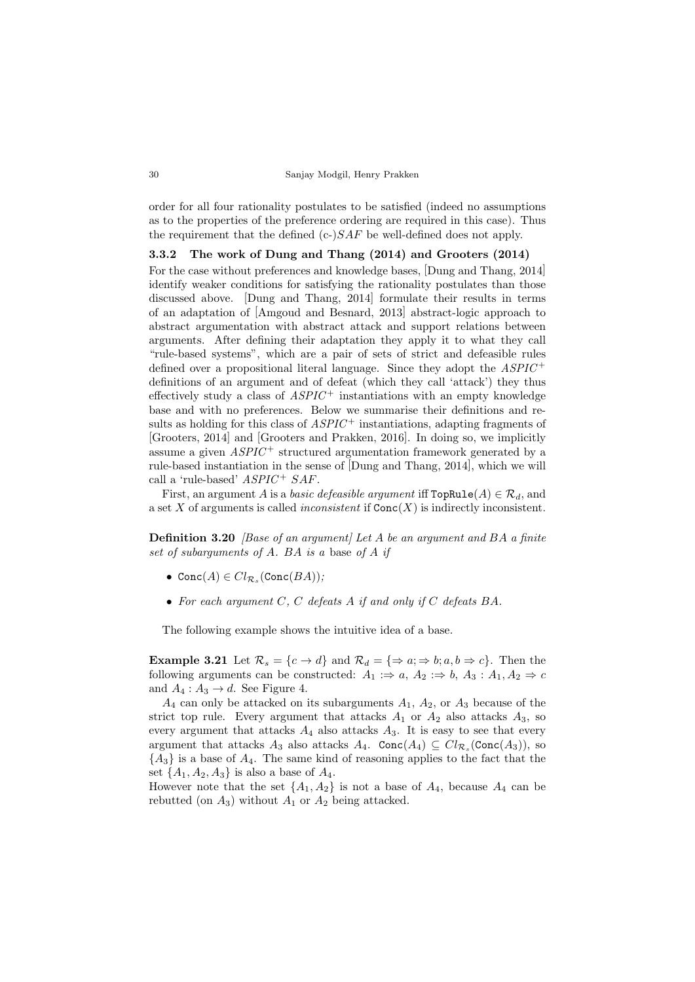order for all four rationality postulates to be satisfied (indeed no assumptions as to the properties of the preference ordering are required in this case). Thus the requirement that the defined  $(c-)SAF$  be well-defined does not apply.

# 3.3.2 The work of Dung and Thang (2014) and Grooters (2014)

For the case without preferences and knowledge bases, [Dung and Thang, 2014] identify weaker conditions for satisfying the rationality postulates than those discussed above. [Dung and Thang, 2014] formulate their results in terms of an adaptation of [Amgoud and Besnard, 2013] abstract-logic approach to abstract argumentation with abstract attack and support relations between arguments. After defining their adaptation they apply it to what they call "rule-based systems", which are a pair of sets of strict and defeasible rules defined over a propositional literal language. Since they adopt the  $ASPIC^+$ definitions of an argument and of defeat (which they call 'attack') they thus effectively study a class of  $ASPIC^+$  instantiations with an empty knowledge base and with no preferences. Below we summarise their definitions and results as holding for this class of  $ASPIC^+$  instantiations, adapting fragments of [Grooters, 2014] and [Grooters and Prakken, 2016]. In doing so, we implicitly assume a given  $ASPIC^+$  structured argumentation framework generated by a rule-based instantiation in the sense of [Dung and Thang, 2014], which we will call a 'rule-based'  $ASPIC + SAF$ .

First, an argument A is a *basic defeasible argument* iff  $\text{TopRule}(A) \in \mathcal{R}_d$ , and a set X of arguments is called *inconsistent* if  $Conc(X)$  is indirectly inconsistent.

**Definition 3.20** *[Base of an argument]* Let A be an argument and BA a finite set of subarguments of A. BA is a base of A if

- $Conc(A) \in Cl_{\mathcal{R}_s}(Conc(BA))$ ;
- For each argument  $C, C$  defeats  $A$  if and only if  $C$  defeats  $BA$ .

The following example shows the intuitive idea of a base.

**Example 3.21** Let  $\mathcal{R}_s = \{c \to d\}$  and  $\mathcal{R}_d = \{\Rightarrow a; \Rightarrow b; a, b \Rightarrow c\}$ . Then the following arguments can be constructed:  $A_1 \Rightarrow a, A_2 \Rightarrow b, A_3 : A_1, A_2 \Rightarrow c$ and  $A_4: A_3 \rightarrow d$ . See Figure 4.

 $A_4$  can only be attacked on its subarguments  $A_1$ ,  $A_2$ , or  $A_3$  because of the strict top rule. Every argument that attacks  $A_1$  or  $A_2$  also attacks  $A_3$ , so every argument that attacks  $A_4$  also attacks  $A_3$ . It is easy to see that every argument that attacks  $A_3$  also attacks  $A_4$ . Conc $(A_4) \subseteq Cl_{\mathcal{R}_s}(\text{Conc}(A_3))$ , so  ${A_3}$  is a base of  $A_4$ . The same kind of reasoning applies to the fact that the set  $\{A_1, A_2, A_3\}$  is also a base of  $A_4$ .

However note that the set  $\{A_1, A_2\}$  is not a base of  $A_4$ , because  $A_4$  can be rebutted (on  $A_3$ ) without  $A_1$  or  $A_2$  being attacked.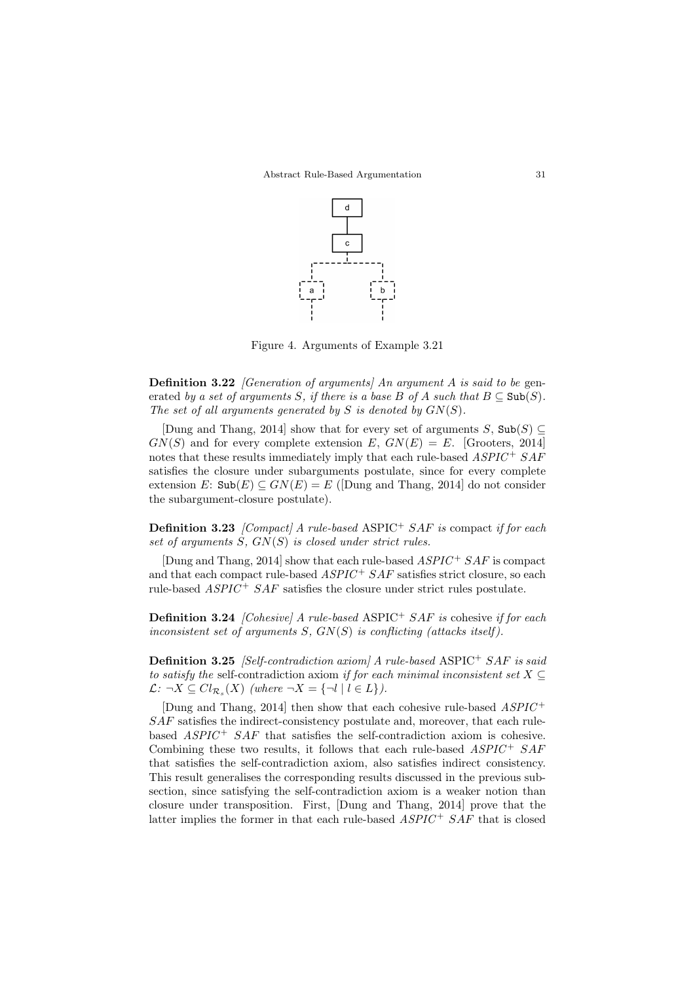

Figure 4. Arguments of Example 3.21

**Definition 3.22** [Generation of arguments] An argument A is said to be generated by a set of arguments S, if there is a base B of A such that  $B \subseteq Sub(S)$ . The set of all arguments generated by  $S$  is denoted by  $GN(S)$ .

[Dung and Thang, 2014] show that for every set of arguments S,  $\text{Sub}(S) \subseteq$  $GN(S)$  and for every complete extension E,  $GN(E) = E$ . [Grooters, 2014] notes that these results immediately imply that each rule-based  $ASPIC^+~SAF$ satisfies the closure under subarguments postulate, since for every complete extension E:  $\text{Sub}(E) \subseteq GN(E) = E$  (Dung and Thang, 2014) do not consider the subargument-closure postulate).

**Definition 3.23** [Compact] A rule-based ASPIC<sup>+</sup> SAF is compact if for each set of arguments  $S$ ,  $GN(S)$  is closed under strict rules.

[Dung and Thang, 2014] show that each rule-based  $ASPIC^+SAF$  is compact and that each compact rule-based  $ASPIC + SAF$  satisfies strict closure, so each rule-based  $ASPIC^+$  SAF satisfies the closure under strict rules postulate.

**Definition 3.24** [Cohesive] A rule-based ASPIC<sup>+</sup> SAF is cohesive if for each inconsistent set of arguments  $S$ ,  $GN(S)$  is conflicting (attacks itself).

Definition 3.25 [Self-contradiction axiom] A rule-based ASPIC<sup>+</sup> SAF is said to satisfy the self-contradiction axiom if for each minimal inconsistent set  $X \subseteq$  $\mathcal{L}: \neg X \subseteq Cl_{\mathcal{R}_s}(X)$  (where  $\neg X = \{\neg l \mid l \in L\}$ ).

[Dung and Thang, 2014] then show that each cohesive rule-based  $ASPIC^+$ SAF satisfies the indirect-consistency postulate and, moreover, that each rulebased  $ASPIC^{+}$   $SAF$  that satisfies the self-contradiction axiom is cohesive. Combining these two results, it follows that each rule-based  $ASPIC + SAF$ that satisfies the self-contradiction axiom, also satisfies indirect consistency. This result generalises the corresponding results discussed in the previous subsection, since satisfying the self-contradiction axiom is a weaker notion than closure under transposition. First, [Dung and Thang, 2014] prove that the latter implies the former in that each rule-based  $ASPIC + SAF$  that is closed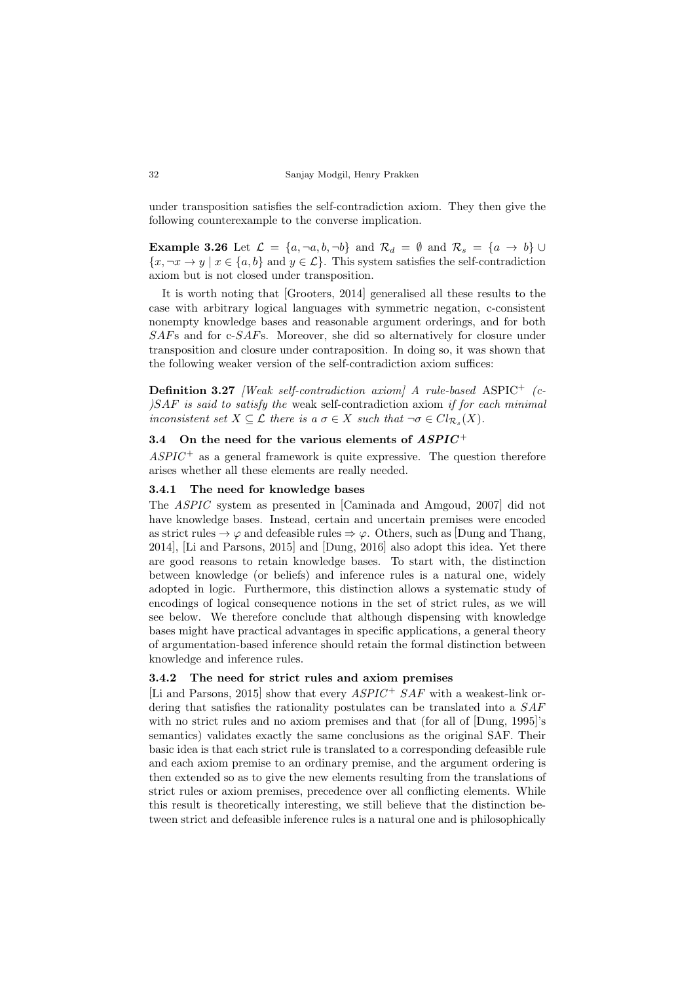under transposition satisfies the self-contradiction axiom. They then give the following counterexample to the converse implication.

Example 3.26 Let  $\mathcal{L} = \{a, \neg a, b, \neg b\}$  and  $\mathcal{R}_d = \emptyset$  and  $\mathcal{R}_s = \{a \rightarrow b\}$  ${x, \neg x \to y \mid x \in \{a, b\} \text{ and } y \in \mathcal{L}}$ . This system satisfies the self-contradiction axiom but is not closed under transposition.

It is worth noting that [Grooters, 2014] generalised all these results to the case with arbitrary logical languages with symmetric negation, c-consistent nonempty knowledge bases and reasonable argument orderings, and for both SAFs and for c-SAFs. Moreover, she did so alternatively for closure under transposition and closure under contraposition. In doing so, it was shown that the following weaker version of the self-contradiction axiom suffices:

**Definition 3.27** *[Weak self-contradiction axiom] A rule-based* ASPIC<sup>+</sup>  $(c |SAF|$  is said to satisfy the weak self-contradiction axiom if for each minimal inconsistent set  $X \subseteq \mathcal{L}$  there is a  $\sigma \in X$  such that  $\neg \sigma \in Cl_{\mathcal{R}_s}(X)$ .

# 3.4 On the need for the various elements of  $ASPIC^+$

 $ASPIC^+$  as a general framework is quite expressive. The question therefore arises whether all these elements are really needed.

# 3.4.1 The need for knowledge bases

The ASPIC system as presented in [Caminada and Amgoud, 2007] did not have knowledge bases. Instead, certain and uncertain premises were encoded as strict rules  $\rightarrow \varphi$  and defeasible rules  $\Rightarrow \varphi$ . Others, such as Dung and Thang, 2014], [Li and Parsons, 2015] and [Dung, 2016] also adopt this idea. Yet there are good reasons to retain knowledge bases. To start with, the distinction between knowledge (or beliefs) and inference rules is a natural one, widely adopted in logic. Furthermore, this distinction allows a systematic study of encodings of logical consequence notions in the set of strict rules, as we will see below. We therefore conclude that although dispensing with knowledge bases might have practical advantages in specific applications, a general theory of argumentation-based inference should retain the formal distinction between knowledge and inference rules.

# 3.4.2 The need for strict rules and axiom premises

[Li and Parsons, 2015] show that every  $ASPIC + SAF$  with a weakest-link ordering that satisfies the rationality postulates can be translated into a SAF with no strict rules and no axiom premises and that (for all of  $[Dung, 1995]$ 's semantics) validates exactly the same conclusions as the original SAF. Their basic idea is that each strict rule is translated to a corresponding defeasible rule and each axiom premise to an ordinary premise, and the argument ordering is then extended so as to give the new elements resulting from the translations of strict rules or axiom premises, precedence over all conflicting elements. While this result is theoretically interesting, we still believe that the distinction between strict and defeasible inference rules is a natural one and is philosophically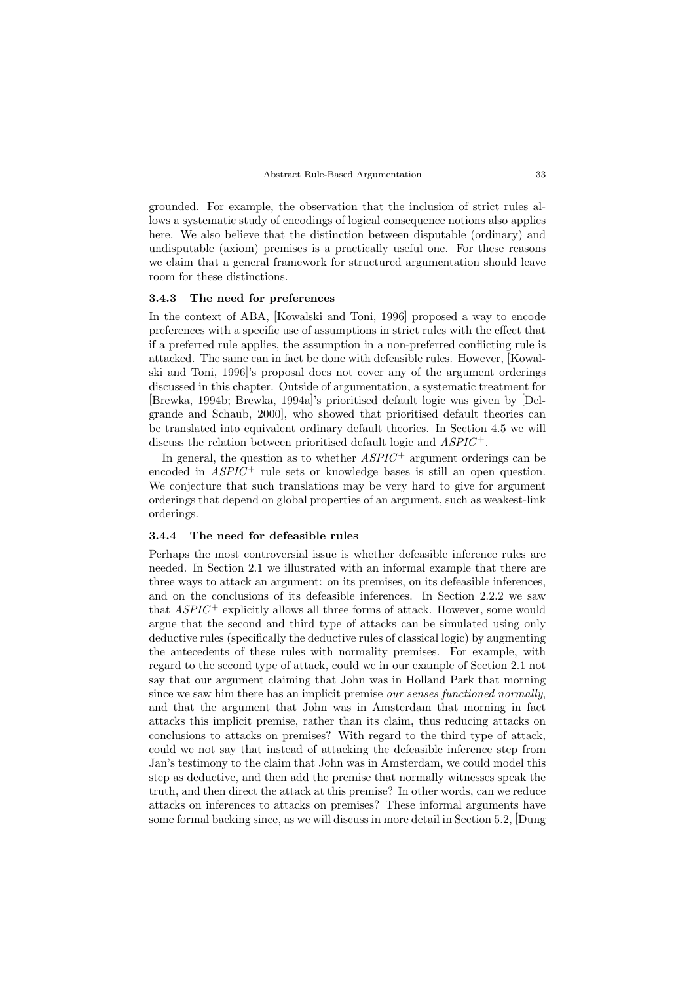grounded. For example, the observation that the inclusion of strict rules allows a systematic study of encodings of logical consequence notions also applies here. We also believe that the distinction between disputable (ordinary) and undisputable (axiom) premises is a practically useful one. For these reasons we claim that a general framework for structured argumentation should leave room for these distinctions.

# 3.4.3 The need for preferences

In the context of ABA, [Kowalski and Toni, 1996] proposed a way to encode preferences with a specific use of assumptions in strict rules with the effect that if a preferred rule applies, the assumption in a non-preferred conflicting rule is attacked. The same can in fact be done with defeasible rules. However, [Kowalski and Toni, 1996]'s proposal does not cover any of the argument orderings discussed in this chapter. Outside of argumentation, a systematic treatment for [Brewka, 1994b; Brewka, 1994a]'s prioritised default logic was given by [Delgrande and Schaub, 2000], who showed that prioritised default theories can be translated into equivalent ordinary default theories. In Section 4.5 we will discuss the relation between prioritised default logic and  $ASPIC^+$ .

In general, the question as to whether  $ASPIC^+$  argument orderings can be encoded in  $ASPIC^+$  rule sets or knowledge bases is still an open question. We conjecture that such translations may be very hard to give for argument orderings that depend on global properties of an argument, such as weakest-link orderings.

#### 3.4.4 The need for defeasible rules

Perhaps the most controversial issue is whether defeasible inference rules are needed. In Section 2.1 we illustrated with an informal example that there are three ways to attack an argument: on its premises, on its defeasible inferences, and on the conclusions of its defeasible inferences. In Section 2.2.2 we saw that  $ASPIC^+$  explicitly allows all three forms of attack. However, some would argue that the second and third type of attacks can be simulated using only deductive rules (specifically the deductive rules of classical logic) by augmenting the antecedents of these rules with normality premises. For example, with regard to the second type of attack, could we in our example of Section 2.1 not say that our argument claiming that John was in Holland Park that morning since we saw him there has an implicit premise our senses functioned normally, and that the argument that John was in Amsterdam that morning in fact attacks this implicit premise, rather than its claim, thus reducing attacks on conclusions to attacks on premises? With regard to the third type of attack, could we not say that instead of attacking the defeasible inference step from Jan's testimony to the claim that John was in Amsterdam, we could model this step as deductive, and then add the premise that normally witnesses speak the truth, and then direct the attack at this premise? In other words, can we reduce attacks on inferences to attacks on premises? These informal arguments have some formal backing since, as we will discuss in more detail in Section 5.2, [Dung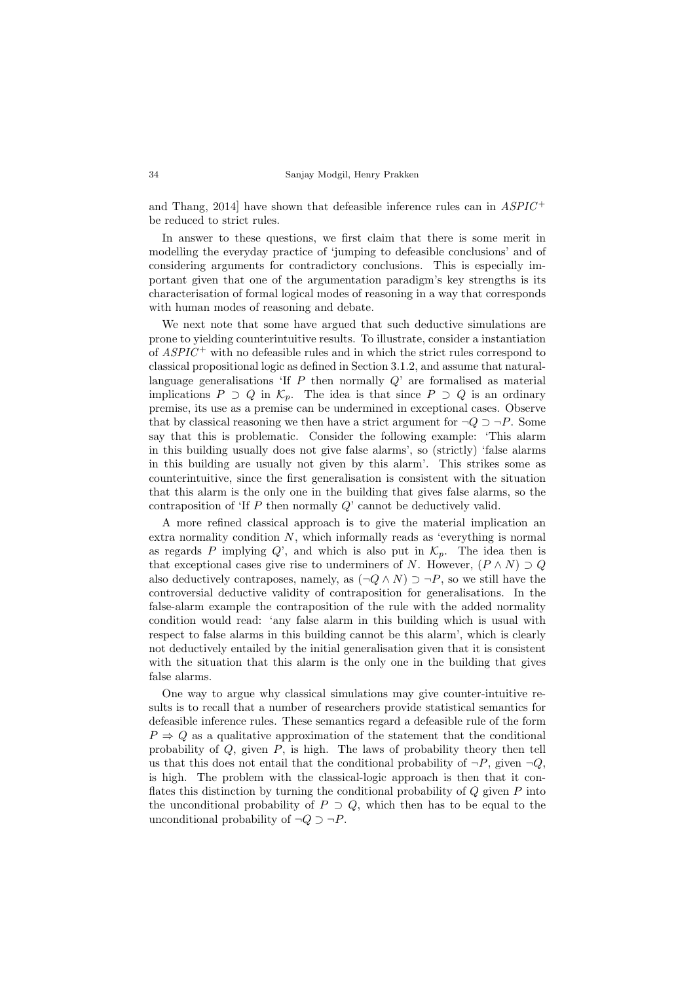and Thang, 2014] have shown that defeasible inference rules can in  $ASPIC^+$ be reduced to strict rules.

In answer to these questions, we first claim that there is some merit in modelling the everyday practice of 'jumping to defeasible conclusions' and of considering arguments for contradictory conclusions. This is especially important given that one of the argumentation paradigm's key strengths is its characterisation of formal logical modes of reasoning in a way that corresponds with human modes of reasoning and debate.

We next note that some have argued that such deductive simulations are prone to yielding counterintuitive results. To illustrate, consider a instantiation of  $ASPIC^+$  with no defeasible rules and in which the strict rules correspond to classical propositional logic as defined in Section 3.1.2, and assume that naturallanguage generalisations 'If  $P$  then normally  $Q$ ' are formalised as material implications  $P \supset Q$  in  $\mathcal{K}_p$ . The idea is that since  $P \supset Q$  is an ordinary premise, its use as a premise can be undermined in exceptional cases. Observe that by classical reasoning we then have a strict argument for  $\neg Q \supset \neg P$ . Some say that this is problematic. Consider the following example: 'This alarm in this building usually does not give false alarms', so (strictly) 'false alarms in this building are usually not given by this alarm'. This strikes some as counterintuitive, since the first generalisation is consistent with the situation that this alarm is the only one in the building that gives false alarms, so the contraposition of 'If P then normally Q' cannot be deductively valid.

A more refined classical approach is to give the material implication an extra normality condition N, which informally reads as 'everything is normal as regards P implying Q', and which is also put in  $\mathcal{K}_p$ . The idea then is that exceptional cases give rise to underminers of N. However,  $(P \wedge N) \supset Q$ also deductively contraposes, namely, as  $(\neg Q \land N) \supset \neg P$ , so we still have the controversial deductive validity of contraposition for generalisations. In the false-alarm example the contraposition of the rule with the added normality condition would read: 'any false alarm in this building which is usual with respect to false alarms in this building cannot be this alarm', which is clearly not deductively entailed by the initial generalisation given that it is consistent with the situation that this alarm is the only one in the building that gives false alarms.

One way to argue why classical simulations may give counter-intuitive results is to recall that a number of researchers provide statistical semantics for defeasible inference rules. These semantics regard a defeasible rule of the form  $P \Rightarrow Q$  as a qualitative approximation of the statement that the conditional probability of  $Q$ , given  $P$ , is high. The laws of probability theory then tell us that this does not entail that the conditional probability of  $\neg P$ , given  $\neg Q$ , is high. The problem with the classical-logic approach is then that it conflates this distinction by turning the conditional probability of  $Q$  given  $P$  into the unconditional probability of  $P \supset Q$ , which then has to be equal to the unconditional probability of  $\neg Q \supset \neg P$ .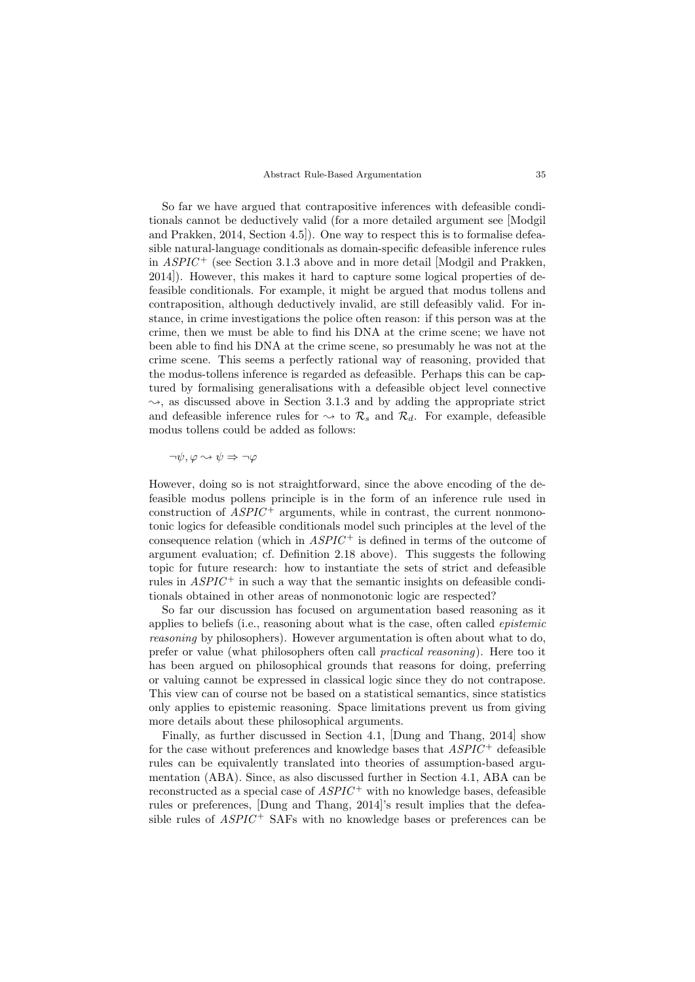So far we have argued that contrapositive inferences with defeasible conditionals cannot be deductively valid (for a more detailed argument see [Modgil and Prakken, 2014, Section 4.5]). One way to respect this is to formalise defeasible natural-language conditionals as domain-specific defeasible inference rules in  $ASPIC^+$  (see Section 3.1.3 above and in more detail [Modgil and Prakken, 2014]). However, this makes it hard to capture some logical properties of defeasible conditionals. For example, it might be argued that modus tollens and contraposition, although deductively invalid, are still defeasibly valid. For instance, in crime investigations the police often reason: if this person was at the crime, then we must be able to find his DNA at the crime scene; we have not been able to find his DNA at the crime scene, so presumably he was not at the crime scene. This seems a perfectly rational way of reasoning, provided that the modus-tollens inference is regarded as defeasible. Perhaps this can be captured by formalising generalisations with a defeasible object level connective  $\rightsquigarrow$ , as discussed above in Section 3.1.3 and by adding the appropriate strict and defeasible inference rules for  $\rightsquigarrow$  to  $\mathcal{R}_s$  and  $\mathcal{R}_d$ . For example, defeasible modus tollens could be added as follows:

 $\neg \psi, \varphi \rightsquigarrow \psi \Rightarrow \neg \varphi$ 

However, doing so is not straightforward, since the above encoding of the defeasible modus pollens principle is in the form of an inference rule used in construction of  $ASPIC^+$  arguments, while in contrast, the current nonmonotonic logics for defeasible conditionals model such principles at the level of the consequence relation (which in  $ASPIC^+$  is defined in terms of the outcome of argument evaluation; cf. Definition 2.18 above). This suggests the following topic for future research: how to instantiate the sets of strict and defeasible rules in  $ASPIC^+$  in such a way that the semantic insights on defeasible conditionals obtained in other areas of nonmonotonic logic are respected?

So far our discussion has focused on argumentation based reasoning as it applies to beliefs (i.e., reasoning about what is the case, often called epistemic reasoning by philosophers). However argumentation is often about what to do, prefer or value (what philosophers often call practical reasoning). Here too it has been argued on philosophical grounds that reasons for doing, preferring or valuing cannot be expressed in classical logic since they do not contrapose. This view can of course not be based on a statistical semantics, since statistics only applies to epistemic reasoning. Space limitations prevent us from giving more details about these philosophical arguments.

Finally, as further discussed in Section 4.1, [Dung and Thang, 2014] show for the case without preferences and knowledge bases that  $ASPIC^+$  defeasible rules can be equivalently translated into theories of assumption-based argumentation (ABA). Since, as also discussed further in Section 4.1, ABA can be reconstructed as a special case of  $ASPIC^+$  with no knowledge bases, defeasible rules or preferences, [Dung and Thang, 2014]'s result implies that the defeasible rules of  $ASPIC$  + SAFs with no knowledge bases or preferences can be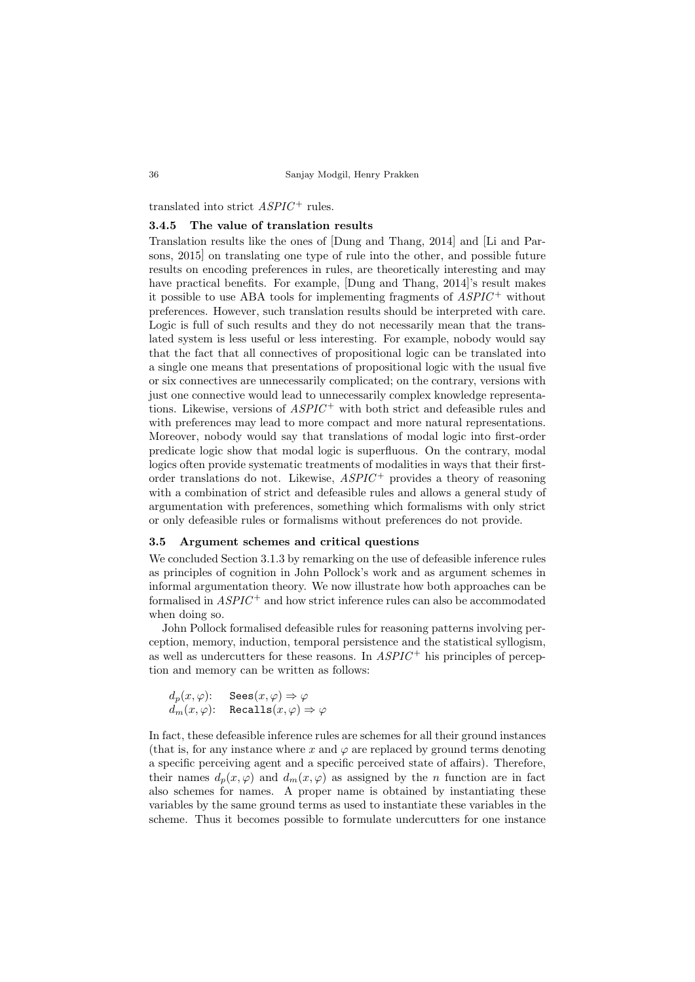#### translated into strict  $ASPIC^+$  rules.

# 3.4.5 The value of translation results

Translation results like the ones of [Dung and Thang, 2014] and [Li and Parsons, 2015] on translating one type of rule into the other, and possible future results on encoding preferences in rules, are theoretically interesting and may have practical benefits. For example, [Dung and Thang, 2014]'s result makes it possible to use ABA tools for implementing fragments of  $ASPIC^+$  without preferences. However, such translation results should be interpreted with care. Logic is full of such results and they do not necessarily mean that the translated system is less useful or less interesting. For example, nobody would say that the fact that all connectives of propositional logic can be translated into a single one means that presentations of propositional logic with the usual five or six connectives are unnecessarily complicated; on the contrary, versions with just one connective would lead to unnecessarily complex knowledge representations. Likewise, versions of  $ASPIC^+$  with both strict and defeasible rules and with preferences may lead to more compact and more natural representations. Moreover, nobody would say that translations of modal logic into first-order predicate logic show that modal logic is superfluous. On the contrary, modal logics often provide systematic treatments of modalities in ways that their firstorder translations do not. Likewise,  $ASPIC^+$  provides a theory of reasoning with a combination of strict and defeasible rules and allows a general study of argumentation with preferences, something which formalisms with only strict or only defeasible rules or formalisms without preferences do not provide.

# 3.5 Argument schemes and critical questions

We concluded Section 3.1.3 by remarking on the use of defeasible inference rules as principles of cognition in John Pollock's work and as argument schemes in informal argumentation theory. We now illustrate how both approaches can be formalised in  $ASPIC^{+}$  and how strict inference rules can also be accommodated when doing so.

John Pollock formalised defeasible rules for reasoning patterns involving perception, memory, induction, temporal persistence and the statistical syllogism, as well as undercutters for these reasons. In  $ASPIC^+$  his principles of perception and memory can be written as follows:

$$
d_p(x, \varphi): \quad \text{Sees}(x, \varphi) \Rightarrow \varphi
$$
  

$$
d_m(x, \varphi): \quad \text{Recalls}(x, \varphi) \Rightarrow \varphi
$$

In fact, these defeasible inference rules are schemes for all their ground instances (that is, for any instance where x and  $\varphi$  are replaced by ground terms denoting a specific perceiving agent and a specific perceived state of affairs). Therefore, their names  $d_p(x, \varphi)$  and  $d_m(x, \varphi)$  as assigned by the *n* function are in fact also schemes for names. A proper name is obtained by instantiating these variables by the same ground terms as used to instantiate these variables in the scheme. Thus it becomes possible to formulate undercutters for one instance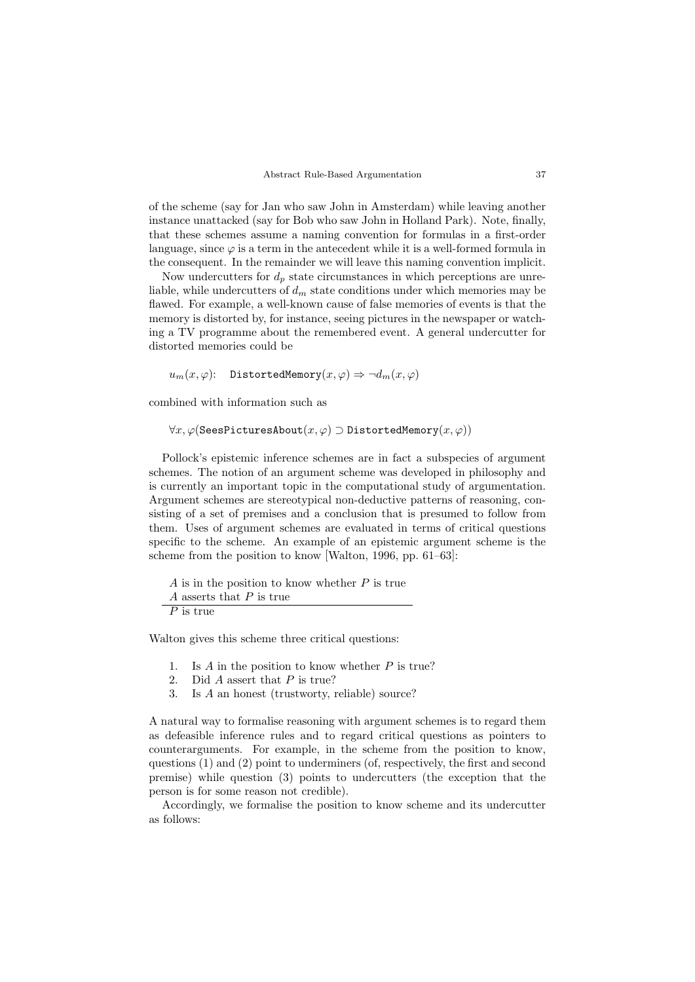of the scheme (say for Jan who saw John in Amsterdam) while leaving another instance unattacked (say for Bob who saw John in Holland Park). Note, finally, that these schemes assume a naming convention for formulas in a first-order language, since  $\varphi$  is a term in the antecedent while it is a well-formed formula in the consequent. In the remainder we will leave this naming convention implicit.

Now undercutters for  $d_p$  state circumstances in which perceptions are unreliable, while undercutters of  $d_m$  state conditions under which memories may be flawed. For example, a well-known cause of false memories of events is that the memory is distorted by, for instance, seeing pictures in the newspaper or watching a TV programme about the remembered event. A general undercutter for distorted memories could be

 $u_m(x, \varphi)$ : DistortedMemory $(x, \varphi) \Rightarrow \neg d_m(x, \varphi)$ 

combined with information such as

 $\forall x, \varphi$ (SeesPicturesAbout $(x, \varphi) \supset$ DistortedMemory $(x, \varphi)$ )

Pollock's epistemic inference schemes are in fact a subspecies of argument schemes. The notion of an argument scheme was developed in philosophy and is currently an important topic in the computational study of argumentation. Argument schemes are stereotypical non-deductive patterns of reasoning, consisting of a set of premises and a conclusion that is presumed to follow from them. Uses of argument schemes are evaluated in terms of critical questions specific to the scheme. An example of an epistemic argument scheme is the scheme from the position to know [Walton, 1996, pp. 61–63]:

 $A$  is in the position to know whether  $P$  is true  $A$  asserts that  $P$  is true  $\overline{P}$  is true

Walton gives this scheme three critical questions:

- 1. Is  $A$  in the position to know whether  $P$  is true?
- 2. Did A assert that P is true?
- 3. Is A an honest (trustworty, reliable) source?

A natural way to formalise reasoning with argument schemes is to regard them as defeasible inference rules and to regard critical questions as pointers to counterarguments. For example, in the scheme from the position to know, questions  $(1)$  and  $(2)$  point to underminers (of, respectively, the first and second premise) while question (3) points to undercutters (the exception that the person is for some reason not credible).

Accordingly, we formalise the position to know scheme and its undercutter as follows: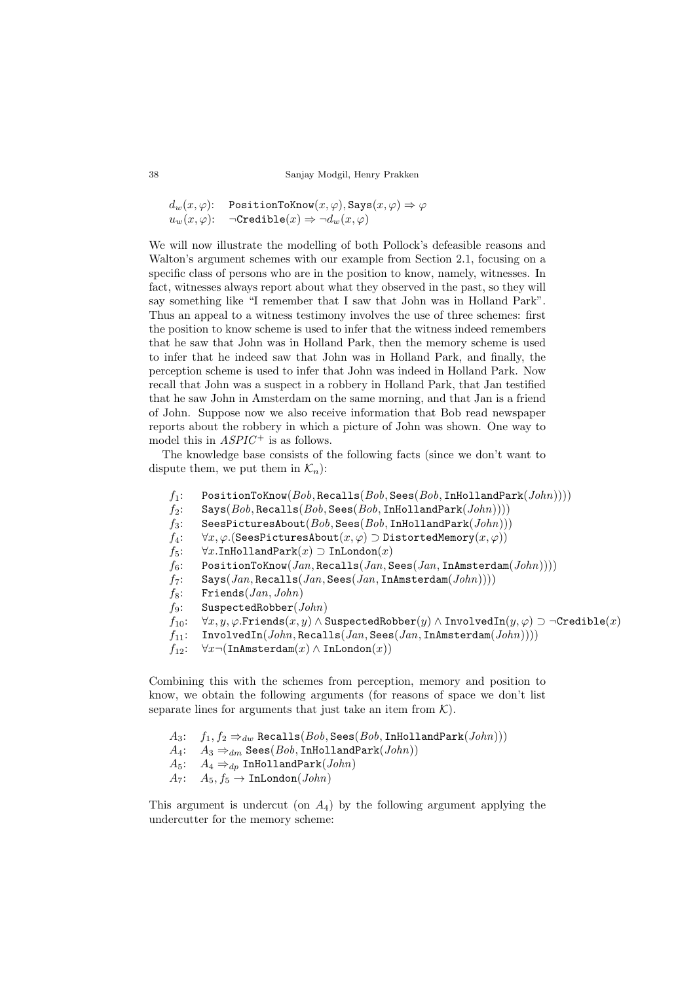$d_w(x, \varphi)$ : PositionToKnow $(x, \varphi)$ , Says $(x, \varphi) \Rightarrow \varphi$ <br> $u_w(x, \varphi)$ :  $\neg \text{Creditble}(x) \Rightarrow \neg d_w(x, \varphi)$  $\neg \texttt{Credible}(x) \Rightarrow \neg d_w(x, \varphi)$ 

We will now illustrate the modelling of both Pollock's defeasible reasons and Walton's argument schemes with our example from Section 2.1, focusing on a specific class of persons who are in the position to know, namely, witnesses. In fact, witnesses always report about what they observed in the past, so they will say something like "I remember that I saw that John was in Holland Park". Thus an appeal to a witness testimony involves the use of three schemes: first the position to know scheme is used to infer that the witness indeed remembers that he saw that John was in Holland Park, then the memory scheme is used to infer that he indeed saw that John was in Holland Park, and finally, the perception scheme is used to infer that John was indeed in Holland Park. Now recall that John was a suspect in a robbery in Holland Park, that Jan testified that he saw John in Amsterdam on the same morning, and that Jan is a friend of John. Suppose now we also receive information that Bob read newspaper reports about the robbery in which a picture of John was shown. One way to model this in  $ASPIC^+$  is as follows.

The knowledge base consists of the following facts (since we don't want to dispute them, we put them in  $\mathcal{K}_n$ :

- $f_1$ : PositionToKnow( $Bob$ , Recalls( $Bob$ , Sees( $Bob$ , InHollandPark( $John$ ))))
- $f_2$ : Says $(Bob, Recalls(Bob, Sees(Bob, InHollandPark(John))))$
- $f_3$ : SeesPicturesAbout( $Bob$ , Sees( $Bob$ , InHollandPark( $John$ )))
- $f_4$ :  $\forall x, \varphi$ .(SeesPicturesAbout $(x, \varphi) \supset$ DistortedMemory $(x, \varphi)$ )<br> $f_5$ :  $\forall x$ .InHollandPark $(x) \supset$ InLondon $(x)$
- $f_5$ :  $\forall x$ .InHollandPark $(x) \supset$ InLondon $(x)$ <br> $f_6$ : PositionToKnow $(Jan, Recalls(Jan, S))$
- $PositionToKnow(Jan, Recalls(Jan, Sees(Jan, InAmsterdam(John))))$
- $f_7$ : Says $(Jan, Recalls(Jan, Sees(Jan, InAmsterdam(John))))$
- $f_8$ : Friends(*Jan*, *John*)
- $f_9$ : SuspectedRobber( $John$ )
- $f_{10}$ : ∀x, y,  $\varphi$ .Friends $(x, y) \wedge$  SuspectedRobber $(y) \wedge$ InvolvedIn $(y, \varphi) \supset \neg$ Credible $(x)$ <br> $f_{11}$ : InvolvedIn $(John, Recalls(Jan, Sees(Jan, InAmsterdam(John))))$ 
	- $InvolvedIn(John, Recalls(Jan, Sees(Jan, InAmsterdam(John))))$
- f<sub>12</sub>:  $\forall x \neg (\texttt{InAmsterdam}(x) \land \texttt{InLondon}(x))$

Combining this with the schemes from perception, memory and position to know, we obtain the following arguments (for reasons of space we don't list separate lines for arguments that just take an item from  $\mathcal{K}$ ).

- $A_3: f_1, f_2 \Rightarrow_{dw}$  Recalls $(Bob, \text{Sees}(Bob, \text{InHollandPark}(John)))$
- $A_4$ :  $A_3 \Rightarrow_{dm}$  Sees(*Bob*, InHollandPark(*John*))
- $A_5$ :  $A_4 \Rightarrow_{dp}$  InHollandPark $(John)$
- $A_7: A_5, f_5 \rightarrow \text{InLondon}(John)$

This argument is undercut (on  $A_4$ ) by the following argument applying the undercutter for the memory scheme: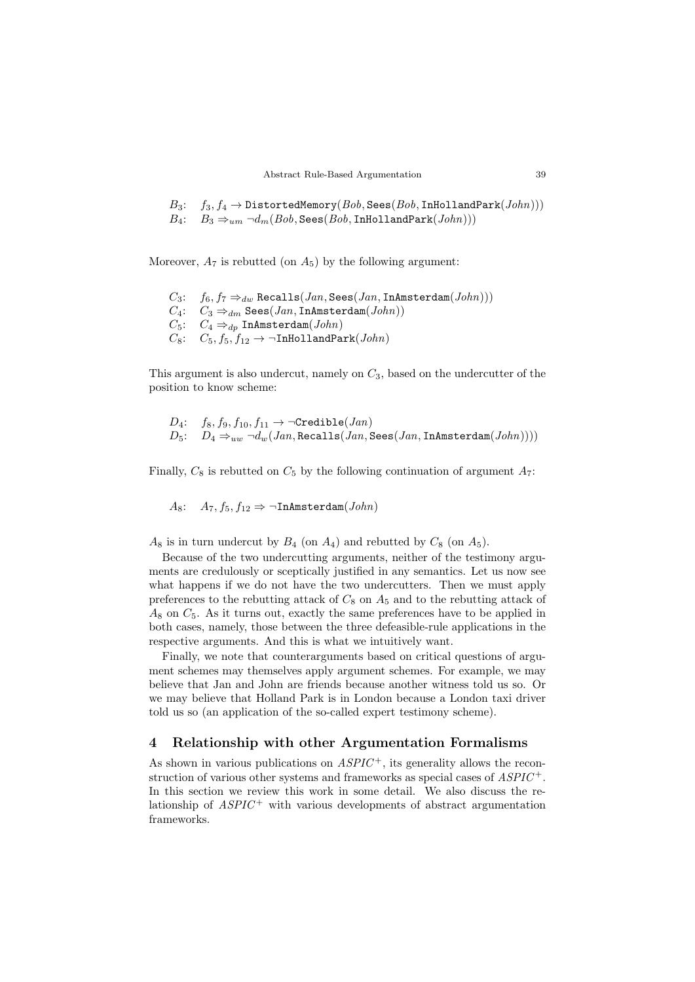$B_3$ :  $f_3, f_4 \rightarrow \text{DistortedMemory}(Bob, \text{Sees}(Bob, \text{InHollandPark}(John)))$ <br>  $B_4$ :  $B_3 \Rightarrow_{um} \neg d_m(Bob, \text{Sees}(Bob, \text{InHollandPark}(John)))$  $B_3\Rightarrow_{um}\neg d_m(Bob,\texttt{Sees}(Bob,\texttt{InHollandPark}(John)))$ 

Moreover,  $A_7$  is rebutted (on  $A_5$ ) by the following argument:

 $C_3: f_6, f_7 \Rightarrow_{dw}$  Recalls $(Jan, \text{Sees}(Jan, \text{InAmsterdam}(John)))$  $C_4$ :  $C_3 \Rightarrow_{dm}$  Sees(*Jan*, InAmsterdam(*John*))  $C_5$ :  $C_4 \Rightarrow_{dp}$  InAmsterdam $(John)$  $C_8$ :  $C_5$ ,  $f_5$ ,  $f_{12}$   $\rightarrow$   $\neg$ InHollandPark(*John*)

This argument is also undercut, namely on  $C_3$ , based on the undercutter of the position to know scheme:

$$
D_4: \quad f_8, f_9, f_{10}, f_{11} \rightarrow \neg \text{Credible}(Jan) D_5: \quad D_4 \Rightarrow_{uw} \neg d_w(Jan, \text{Recalls}(Jan, \text{Sees}(Jan, \text{InAmsterdam}(John))))
$$

Finally,  $C_8$  is rebutted on  $C_5$  by the following continuation of argument  $A_7$ :

As:  $A_7, f_5, f_{12} \Rightarrow \neg \text{InAmsterdam}(John)$ 

 $A_8$  is in turn undercut by  $B_4$  (on  $A_4$ ) and rebutted by  $C_8$  (on  $A_5$ ).

Because of the two undercutting arguments, neither of the testimony arguments are credulously or sceptically justified in any semantics. Let us now see what happens if we do not have the two undercutters. Then we must apply preferences to the rebutting attack of  $C_8$  on  $A_5$  and to the rebutting attack of  $A_8$  on  $C_5$ . As it turns out, exactly the same preferences have to be applied in both cases, namely, those between the three defeasible-rule applications in the respective arguments. And this is what we intuitively want.

Finally, we note that counterarguments based on critical questions of argument schemes may themselves apply argument schemes. For example, we may believe that Jan and John are friends because another witness told us so. Or we may believe that Holland Park is in London because a London taxi driver told us so (an application of the so-called expert testimony scheme).

### 4 Relationship with other Argumentation Formalisms

As shown in various publications on  $ASPIC^+$ , its generality allows the reconstruction of various other systems and frameworks as special cases of  $ASPIC^+$ . In this section we review this work in some detail. We also discuss the relationship of  $ASPIC^+$  with various developments of abstract argumentation frameworks.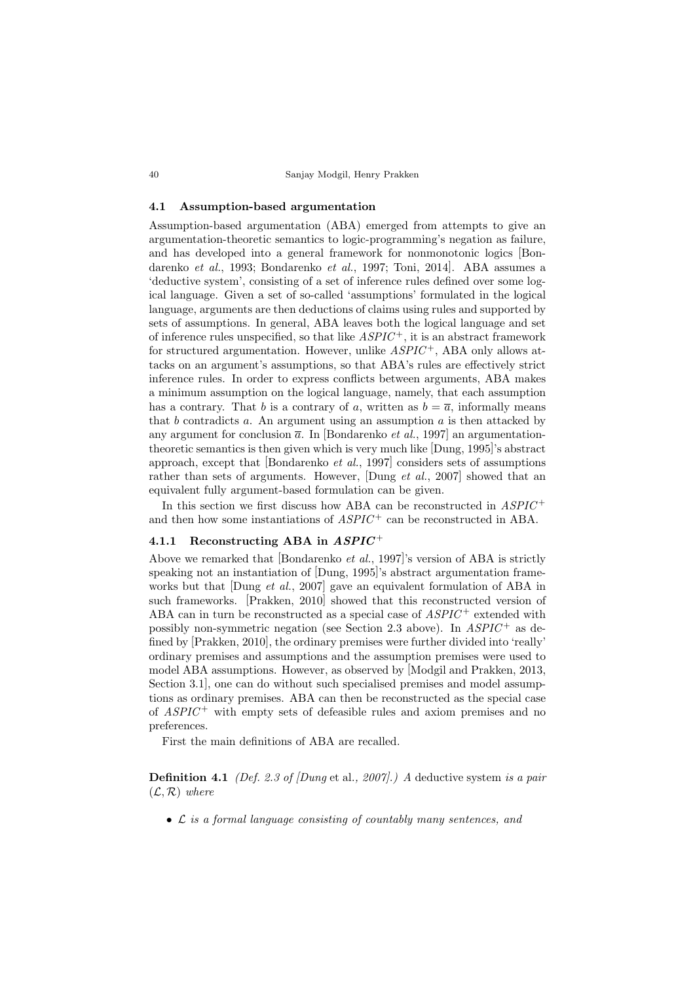40 Sanjay Modgil, Henry Prakken

### 4.1 Assumption-based argumentation

Assumption-based argumentation (ABA) emerged from attempts to give an argumentation-theoretic semantics to logic-programming's negation as failure, and has developed into a general framework for nonmonotonic logics [Bondarenko et al., 1993; Bondarenko et al., 1997; Toni, 2014]. ABA assumes a 'deductive system', consisting of a set of inference rules defined over some logical language. Given a set of so-called 'assumptions' formulated in the logical language, arguments are then deductions of claims using rules and supported by sets of assumptions. In general, ABA leaves both the logical language and set of inference rules unspecified, so that like  $ASPIC^+$ , it is an abstract framework for structured argumentation. However, unlike  $ASPIC^+$ , ABA only allows attacks on an argument's assumptions, so that ABA's rules are effectively strict inference rules. In order to express conflicts between arguments, ABA makes a minimum assumption on the logical language, namely, that each assumption has a contrary. That b is a contrary of a, written as  $b = \overline{a}$ , informally means that b contradicts a. An argument using an assumption a is then attacked by any argument for conclusion  $\bar{a}$ . In [Bondarenko *et al.*, 1997] an argumentationtheoretic semantics is then given which is very much like [Dung, 1995]'s abstract approach, except that [Bondarenko et al., 1997] considers sets of assumptions rather than sets of arguments. However, [Dung *et al.*, 2007] showed that an equivalent fully argument-based formulation can be given.

In this section we first discuss how ABA can be reconstructed in  $ASPIC^+$ and then how some instantiations of  $ASPIC^+$  can be reconstructed in ABA.

## 4.1.1 Reconstructing ABA in  $ASPIC^+$

Above we remarked that [Bondarenko et al., 1997]'s version of ABA is strictly speaking not an instantiation of [Dung, 1995]'s abstract argumentation frameworks but that Dung *et al.*, 2007 gave an equivalent formulation of ABA in such frameworks. [Prakken, 2010] showed that this reconstructed version of ABA can in turn be reconstructed as a special case of  $ASPIC^+$  extended with possibly non-symmetric negation (see Section 2.3 above). In  $ASPIC^+$  as defined by [Prakken, 2010], the ordinary premises were further divided into 'really' ordinary premises and assumptions and the assumption premises were used to model ABA assumptions. However, as observed by [Modgil and Prakken, 2013, Section 3.1], one can do without such specialised premises and model assumptions as ordinary premises. ABA can then be reconstructed as the special case of  $ASPIC^+$  with empty sets of defeasible rules and axiom premises and no preferences.

First the main definitions of ABA are recalled.

**Definition 4.1** (Def. 2.3 of [Dung et al., 2007].) A deductive system is a pair  $(\mathcal{L}, \mathcal{R})$  where

• L is a formal language consisting of countably many sentences, and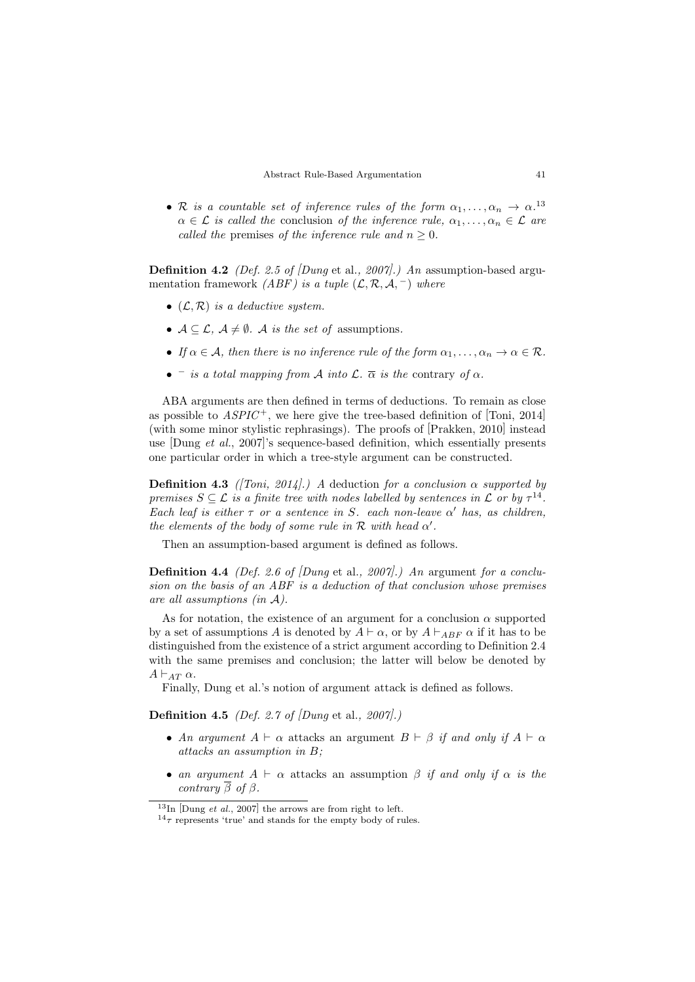• R is a countable set of inference rules of the form  $\alpha_1, \ldots, \alpha_n \to \alpha$ .<sup>13</sup>  $\alpha \in \mathcal{L}$  is called the conclusion of the inference rule,  $\alpha_1, \ldots, \alpha_n \in \mathcal{L}$  are called the premises of the inference rule and  $n \geq 0$ .

**Definition 4.2** (Def. 2.5 of  $Dung$  et al., 2007).) An assumption-based argumentation framework ( $ABF$ ) is a tuple  $(\mathcal{L}, \mathcal{R}, \mathcal{A},^{-})$  where

- $(\mathcal{L}, \mathcal{R})$  is a deductive system.
- $A \subseteq \mathcal{L}, A \neq \emptyset$ . A is the set of assumptions.
- If  $\alpha \in \mathcal{A}$ , then there is no inference rule of the form  $\alpha_1, \ldots, \alpha_n \to \alpha \in \mathcal{R}$ .
- $\overline{\phantom{a}}$  is a total mapping from A into  $\mathcal{L}$ .  $\overline{\alpha}$  is the contrary of  $\alpha$ .

ABA arguments are then defined in terms of deductions. To remain as close as possible to  $ASPIC^+$ , we here give the tree-based definition of [Toni, 2014] (with some minor stylistic rephrasings). The proofs of [Prakken, 2010] instead use [Dung et al., 2007]'s sequence-based definition, which essentially presents one particular order in which a tree-style argument can be constructed.

**Definition 4.3** ([Toni, 2014].) A deduction for a conclusion  $\alpha$  supported by premises  $S \subseteq \mathcal{L}$  is a finite tree with nodes labelled by sentences in  $\mathcal{L}$  or by  $\tau^{14}$ . Each leaf is either  $\tau$  or a sentence in S. each non-leave  $\alpha'$  has, as children, the elements of the body of some rule in  $\mathcal R$  with head  $\alpha'$ .

Then an assumption-based argument is defined as follows.

**Definition 4.4** (Def. 2.6 of Dung et al., 2007).) An argument for a conclusion on the basis of an ABF is a deduction of that conclusion whose premises are all assumptions (in A).

As for notation, the existence of an argument for a conclusion  $\alpha$  supported by a set of assumptions A is denoted by  $A \vdash \alpha$ , or by  $A \vdash_{ABF} \alpha$  if it has to be distinguished from the existence of a strict argument according to Definition 2.4 with the same premises and conclusion; the latter will below be denoted by  $A \vdash_{AT} \alpha$ .

Finally, Dung et al.'s notion of argument attack is defined as follows.

**Definition 4.5** (Def. 2.7 of  $Dung$  et al., 2007).

- An argument  $A \vdash \alpha$  attacks an argument  $B \vdash \beta$  if and only if  $A \vdash \alpha$ attacks an assumption in B;
- an argument  $A \vdash \alpha$  attacks an assumption  $\beta$  if and only if  $\alpha$  is the contrary  $\overline{\beta}$  of  $\beta$ .

 $13$ In [Dung *et al.*, 2007] the arrows are from right to left.

 $14\tau$  represents 'true' and stands for the empty body of rules.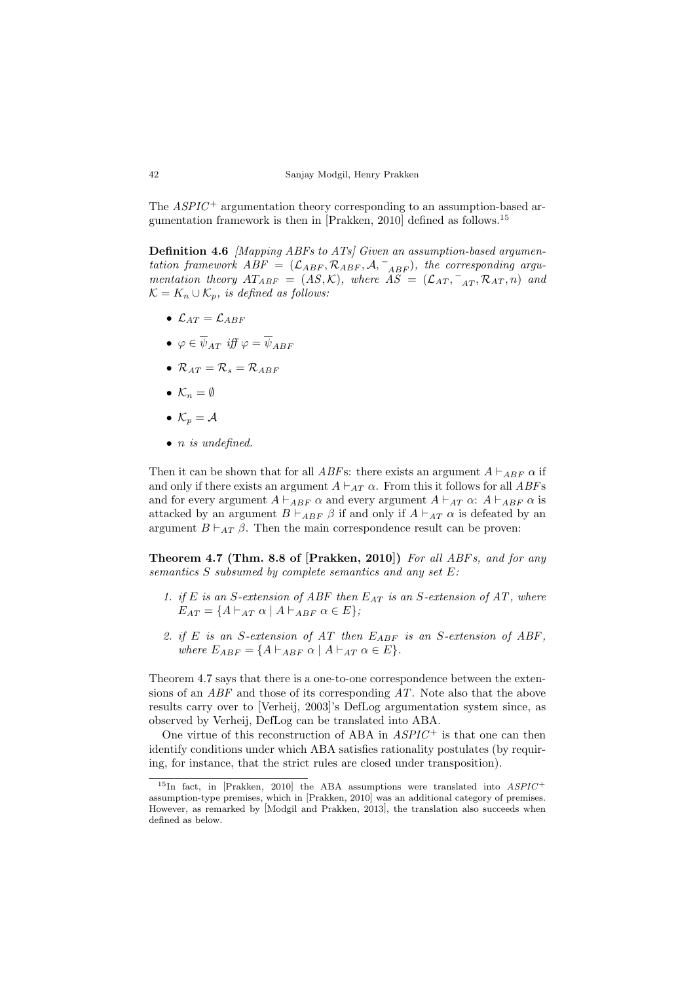The  $ASPIC^+$  argumentation theory corresponding to an assumption-based argumentation framework is then in [Prakken, 2010] defined as follows.<sup>15</sup>

Definition 4.6 [Mapping ABFs to ATs] Given an assumption-based argumentation framework  $ABF = (\mathcal{L}_{ABF}, \mathcal{R}_{ABF}, \mathcal{A}, \mathcal{L}_{ABF})$ , the corresponding argumentation theory  $AT_{ABF} = (AS, \mathcal{K})$ , where  $\widetilde{AS} = (\mathcal{L}_{AT}, \overline{A_{AT}}, \mathcal{R}_{AT}, n)$  and  $\mathcal{K} = K_n \cup \mathcal{K}_p$ , is defined as follows:

- $\mathcal{L}_{AT} = \mathcal{L}_{ABF}$
- $\bullet \varphi \in \overline{\psi}_{AT}$  iff  $\varphi = \overline{\psi}_{ABF}$
- $\mathcal{R}_{AT} = \mathcal{R}_{s} = \mathcal{R}_{ABF}$
- $\mathcal{K}_n = \emptyset$
- $\mathcal{K}_n = \mathcal{A}$
- $\bullet$  *n* is undefined.

Then it can be shown that for all *ABFs*: there exists an argument  $A \vdash_{ABF} \alpha$  if and only if there exists an argument  $A \vdash_{AT} \alpha$ . From this it follows for all ABFs and for every argument  $A \vdash_{ABF} \alpha$  and every argument  $A \vdash_{AT} \alpha$ :  $A \vdash_{ABF} \alpha$  is attacked by an argument  $B \vdash_{ABF} \beta$  if and only if  $A \vdash_{AT} \alpha$  is defeated by an argument  $B \vdash_{AT} \beta$ . Then the main correspondence result can be proven:

Theorem 4.7 (Thm. 8.8 of [Prakken, 2010]) For all ABFs, and for any semantics S subsumed by complete semantics and any set E:

- 1. if E is an S-extension of ABF then  $E_{AT}$  is an S-extension of AT, where  $E_{AT} = \{A \vdash_{AT} \alpha \mid A \vdash_{ABF} \alpha \in E\};$
- 2. if E is an S-extension of AT then  $E_{ABF}$  is an S-extension of ABF, where  $E_{ABF} = \{A \vdash_{ABF} \alpha \mid A \vdash_{AT} \alpha \in E\}.$

Theorem 4.7 says that there is a one-to-one correspondence between the extensions of an ABF and those of its corresponding AT. Note also that the above results carry over to [Verheij, 2003]'s DefLog argumentation system since, as observed by Verheij, DefLog can be translated into ABA.

One virtue of this reconstruction of ABA in  $ASPIC^+$  is that one can then identify conditions under which ABA satisfies rationality postulates (by requiring, for instance, that the strict rules are closed under transposition).

 $15$ In fact, in [Prakken, 2010] the ABA assumptions were translated into  $ASPIC^+$ assumption-type premises, which in [Prakken, 2010] was an additional category of premises. However, as remarked by [Modgil and Prakken, 2013], the translation also succeeds when defined as below.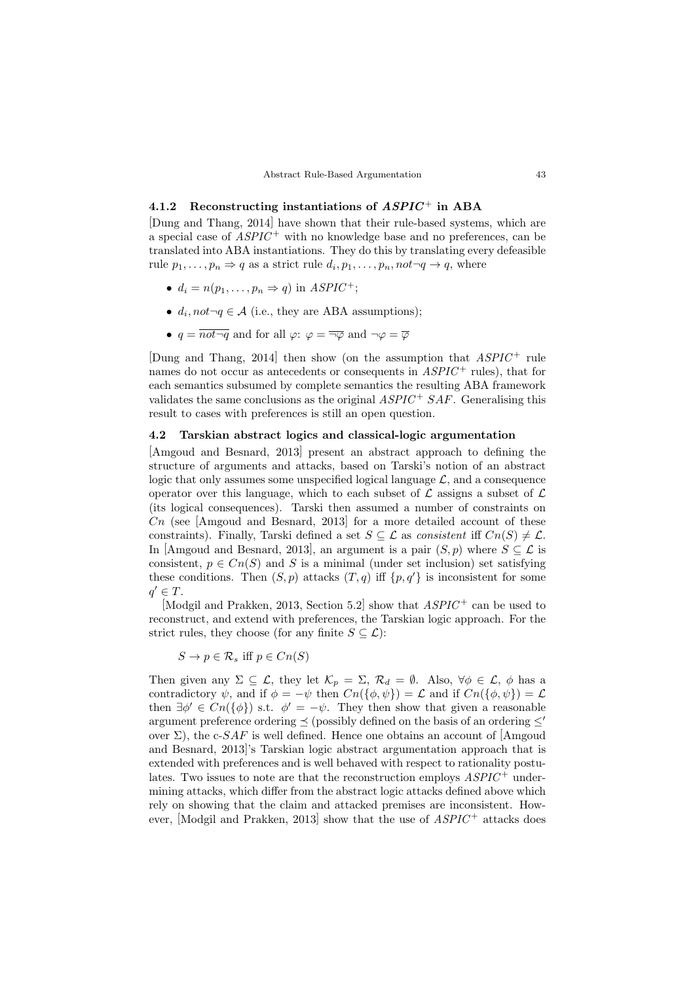### 4.1.2 Reconstructing instantiations of  $ASPIC<sup>+</sup>$  in ABA

[Dung and Thang, 2014] have shown that their rule-based systems, which are a special case of  $ASPIC^+$  with no knowledge base and no preferences, can be translated into ABA instantiations. They do this by translating every defeasible rule  $p_1, \ldots, p_n \Rightarrow q$  as a strict rule  $d_i, p_1, \ldots, p_n, not \neg q \rightarrow q$ , where

- $d_i = n(p_1, \ldots, p_n \Rightarrow q)$  in  $ASPIC^+$ ;
- $d_i$ ,  $not \neg q \in \mathcal{A}$  (i.e., they are ABA assumptions);
- $q = \overline{not \rightarrow q}$  and for all  $\varphi: \varphi = \overline{\neg \varphi}$  and  $\neg \varphi = \overline{\varphi}$

[Dung and Thang, 2014] then show (on the assumption that  $ASPIC^+$  rule names do not occur as antecedents or consequents in  $ASPIC^+$  rules), that for each semantics subsumed by complete semantics the resulting ABA framework validates the same conclusions as the original  $ASPIC^{+}SAF$ . Generalising this result to cases with preferences is still an open question.

### 4.2 Tarskian abstract logics and classical-logic argumentation

[Amgoud and Besnard, 2013] present an abstract approach to defining the structure of arguments and attacks, based on Tarski's notion of an abstract logic that only assumes some unspecified logical language  $\mathcal{L}$ , and a consequence operator over this language, which to each subset of  $\mathcal L$  assigns a subset of  $\mathcal L$ (its logical consequences). Tarski then assumed a number of constraints on  $Cn$  (see [Amgoud and Besnard, 2013] for a more detailed account of these constraints). Finally, Tarski defined a set  $S \subseteq \mathcal{L}$  as consistent iff  $Cn(S) \neq \mathcal{L}$ . In [Amgoud and Besnard, 2013], an argument is a pair  $(S, p)$  where  $S \subseteq \mathcal{L}$  is consistent,  $p \in C_n(S)$  and S is a minimal (under set inclusion) set satisfying these conditions. Then  $(S, p)$  attacks  $(T, q)$  iff  $\{p, q'\}$  is inconsistent for some  $q' \in T$ .

[Modgil and Prakken, 2013, Section 5.2] show that  $ASPIC^+$  can be used to reconstruct, and extend with preferences, the Tarskian logic approach. For the strict rules, they choose (for any finite  $S \subseteq \mathcal{L}$ ):

 $S \to p \in \mathcal{R}_s$  iff  $p \in C_n(S)$ 

Then given any  $\Sigma \subseteq \mathcal{L}$ , they let  $\mathcal{K}_p = \Sigma$ ,  $\mathcal{R}_d = \emptyset$ . Also,  $\forall \phi \in \mathcal{L}$ ,  $\phi$  has a contradictory  $\psi$ , and if  $\phi = -\psi$  then  $Cn(\{\phi, \psi\}) = \mathcal{L}$  and if  $Cn(\{\phi, \psi\}) = \mathcal{L}$ then  $\exists \phi' \in C_n(\{\phi\})$  s.t.  $\phi' = -\psi$ . They then show that given a reasonable argument preference ordering  $\prec$  (possibly defined on the basis of an ordering  $\leq$ over  $\Sigma$ ), the c-SAF is well defined. Hence one obtains an account of [Amgoud and Besnard, 2013]'s Tarskian logic abstract argumentation approach that is extended with preferences and is well behaved with respect to rationality postulates. Two issues to note are that the reconstruction employs  $ASPIC^+$  undermining attacks, which differ from the abstract logic attacks defined above which rely on showing that the claim and attacked premises are inconsistent. However, [Modgil and Prakken, 2013] show that the use of  $ASPIC^+$  attacks does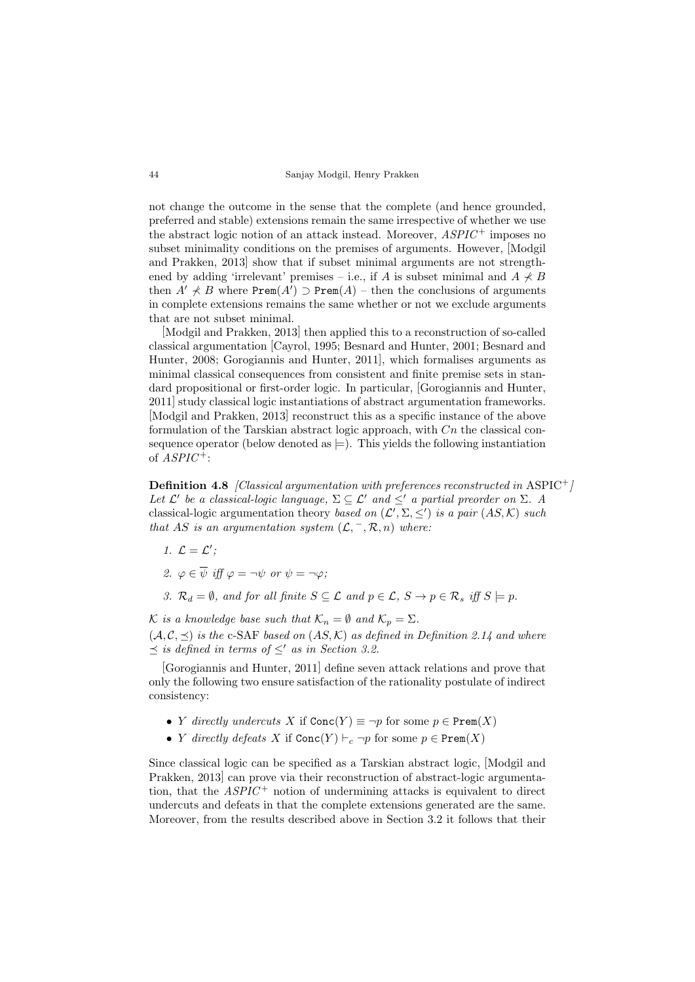not change the outcome in the sense that the complete (and hence grounded, preferred and stable) extensions remain the same irrespective of whether we use the abstract logic notion of an attack instead. Moreover,  $ASPIC^+$  imposes no subset minimality conditions on the premises of arguments. However, [Modgil and Prakken, 2013] show that if subset minimal arguments are not strengthened by adding 'irrelevant' premises – i.e., if A is subset minimal and  $A \nprec B$ then  $A' \nless B$  where  $\texttt{Prem}(A') \supset \texttt{Prem}(A)$  – then the conclusions of arguments in complete extensions remains the same whether or not we exclude arguments that are not subset minimal.

[Modgil and Prakken, 2013] then applied this to a reconstruction of so-called classical argumentation [Cayrol, 1995; Besnard and Hunter, 2001; Besnard and Hunter, 2008; Gorogiannis and Hunter, 2011], which formalises arguments as minimal classical consequences from consistent and finite premise sets in standard propositional or first-order logic. In particular, [Gorogiannis and Hunter, 2011] study classical logic instantiations of abstract argumentation frameworks. [Modgil and Prakken, 2013] reconstruct this as a specific instance of the above formulation of the Tarskian abstract logic approach, with  $C_n$  the classical consequence operator (below denoted as  $\models$ ). This yields the following instantiation of  $ASPIC^+$ :

**Definition 4.8** [Classical argumentation with preferences reconstructed in ASPIC<sup>+</sup>] Let  $\mathcal{L}'$  be a classical-logic language,  $\Sigma \subseteq \mathcal{L}'$  and  $\leq'$  a partial preorder on  $\Sigma$ . A classical-logic argumentation theory based on  $(\mathcal{L}', \Sigma, \leq')$  is a pair  $(AS, \mathcal{K})$  such that AS is an argumentation system  $(\mathcal{L}, ^-, \mathcal{R}, n)$  where:

- 1.  $\mathcal{L} = \mathcal{L}'$ ;
- 2.  $\varphi \in \overline{\psi}$  iff  $\varphi = \neg \psi$  or  $\psi = \neg \varphi$ :
- 3.  $\mathcal{R}_d = \emptyset$ , and for all finite  $S \subseteq \mathcal{L}$  and  $p \in \mathcal{L}$ ,  $S \to p \in \mathcal{R}_s$  iff  $S \models p$ .

K is a knowledge base such that  $\mathcal{K}_n = \emptyset$  and  $\mathcal{K}_n = \Sigma$ .  $(\mathcal{A}, \mathcal{C}, \preceq)$  is the c-SAF based on  $(AS, \mathcal{K})$  as defined in Definition 2.14 and where  $\preceq$  is defined in terms of  $\leq'$  as in Section 3.2.

[Gorogiannis and Hunter, 2011] define seven attack relations and prove that only the following two ensure satisfaction of the rationality postulate of indirect consistency:

- Y directly undercuts X if  $Conc(Y) \equiv \neg p$  for some  $p \in Prem(X)$
- Y directly defeats X if  $Conc(Y) \vdash_c \neg p$  for some  $p \in Prem(X)$

Since classical logic can be specified as a Tarskian abstract logic, [Modgil and Prakken, 2013] can prove via their reconstruction of abstract-logic argumentation, that the  $ASPIC^+$  notion of undermining attacks is equivalent to direct undercuts and defeats in that the complete extensions generated are the same. Moreover, from the results described above in Section 3.2 it follows that their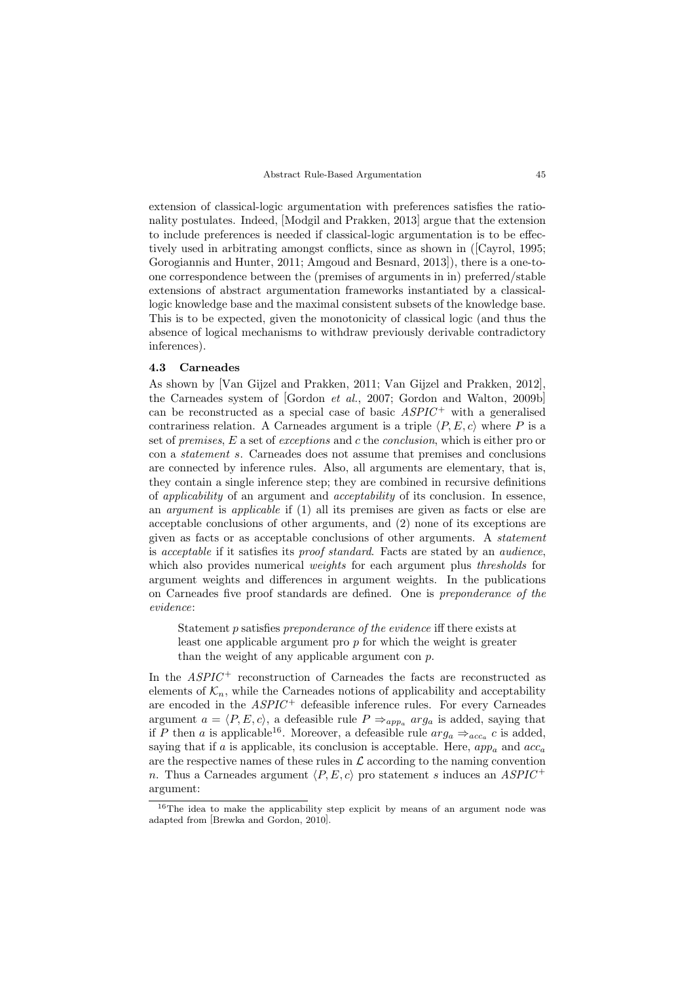extension of classical-logic argumentation with preferences satisfies the rationality postulates. Indeed, [Modgil and Prakken, 2013] argue that the extension to include preferences is needed if classical-logic argumentation is to be effectively used in arbitrating amongst conflicts, since as shown in ([Cayrol, 1995; Gorogiannis and Hunter, 2011; Amgoud and Besnard, 2013]), there is a one-toone correspondence between the (premises of arguments in in) preferred/stable extensions of abstract argumentation frameworks instantiated by a classicallogic knowledge base and the maximal consistent subsets of the knowledge base. This is to be expected, given the monotonicity of classical logic (and thus the absence of logical mechanisms to withdraw previously derivable contradictory inferences).

### 4.3 Carneades

As shown by [Van Gijzel and Prakken, 2011; Van Gijzel and Prakken, 2012], the Carneades system of [Gordon et al., 2007; Gordon and Walton, 2009b] can be reconstructed as a special case of basic  $ASPIC^+$  with a generalised contrariness relation. A Carneades argument is a triple  $\langle P, E, c \rangle$  where P is a set of premises, E a set of exceptions and c the conclusion, which is either pro or con a statement s. Carneades does not assume that premises and conclusions are connected by inference rules. Also, all arguments are elementary, that is, they contain a single inference step; they are combined in recursive definitions of applicability of an argument and acceptability of its conclusion. In essence, an argument is applicable if (1) all its premises are given as facts or else are acceptable conclusions of other arguments, and (2) none of its exceptions are given as facts or as acceptable conclusions of other arguments. A statement is acceptable if it satisfies its proof standard. Facts are stated by an audience, which also provides numerical *weights* for each argument plus *thresholds* for argument weights and differences in argument weights. In the publications on Carneades five proof standards are defined. One is preponderance of the evidence:

Statement p satisfies preponderance of the evidence iff there exists at least one applicable argument pro  $p$  for which the weight is greater than the weight of any applicable argument con  $p$ .

In the  $ASPIC^+$  reconstruction of Carneades the facts are reconstructed as elements of  $\mathcal{K}_n$ , while the Carneades notions of applicability and acceptability are encoded in the  $ASPIC^+$  defeasible inference rules. For every Carneades argument  $a = \langle P, E, c \rangle$ , a defeasible rule  $P \Rightarrow_{app_a} arg_a$  is added, saying that if P then a is applicable<sup>16</sup>. Moreover, a defeasible rule  $arg_a \Rightarrow_{acc_a} c$  is added, saying that if a is applicable, its conclusion is acceptable. Here,  $app_a$  and  $acc_a$ are the respective names of these rules in  $\mathcal L$  according to the naming convention n. Thus a Carneades argument  $\langle P, E, c \rangle$  pro statement s induces an ASPIC + argument:

<sup>16</sup>The idea to make the applicability step explicit by means of an argument node was adapted from [Brewka and Gordon, 2010].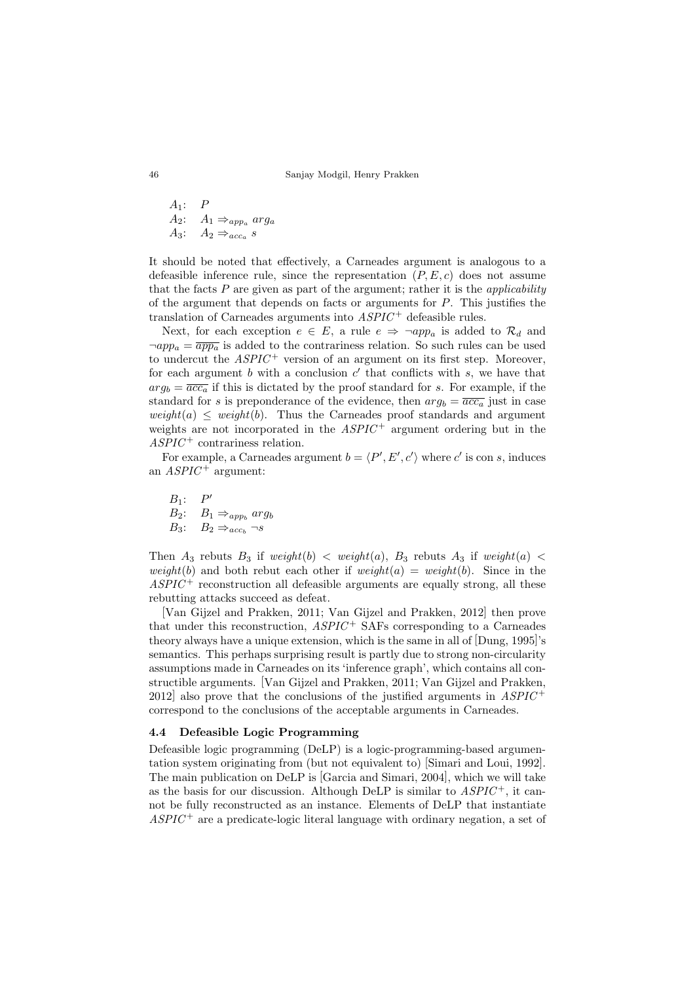$A_1: P$ A<sub>2</sub>:  $A_1 \Rightarrow_{app_a} arg_a$  $A_3$ :  $A_2 \Rightarrow_{acc_a} s$ 

It should be noted that effectively, a Carneades argument is analogous to a defeasible inference rule, since the representation  $(P, E, c)$  does not assume that the facts  $P$  are given as part of the argument; rather it is the *applicability* of the argument that depends on facts or arguments for  $P$ . This justifies the translation of Carneades arguments into  $ASPIC^+$  defeasible rules.

Next, for each exception  $e \in E$ , a rule  $e \Rightarrow \neg app_a$  is added to  $\mathcal{R}_d$  and  $\neg app_a = \overline{app_a}$  is added to the contrariness relation. So such rules can be used to undercut the  $ASPIC^+$  version of an argument on its first step. Moreover, for each argument  $b$  with a conclusion  $c'$  that conflicts with  $s$ , we have that  $arg_b = \overline{acc_a}$  if this is dictated by the proof standard for s. For example, if the standard for s is preponderance of the evidence, then  $arg_b = \overline{acc_a}$  just in case  $weight(a) \leq weight(b)$ . Thus the Carneades proof standards and argument weights are not incorporated in the  $ASPIC^+$  argument ordering but in the  $ASPIC^+$  contrariness relation.

For example, a Carneades argument  $b = \langle P', E', c' \rangle$  where c' is con s, induces an  $ASPIC^+$  argument:

 $B_1$ :  $P'$  $B_2$ :  $B_1 \Rightarrow_{app_b} arg_b$  $B_3: B_2 \Rightarrow_{acc_b} \neg s$ 

Then  $A_3$  rebuts  $B_3$  if weight(b)  $\langle$  weight(a),  $B_3$  rebuts  $A_3$  if weight(a)  $\langle$ weight(b) and both rebut each other if  $weight(a) = weight(b)$ . Since in the  $ASPIC^+$  reconstruction all defeasible arguments are equally strong, all these rebutting attacks succeed as defeat.

[Van Gijzel and Prakken, 2011; Van Gijzel and Prakken, 2012] then prove that under this reconstruction,  $ASPIC^+$  SAFs corresponding to a Carneades theory always have a unique extension, which is the same in all of [Dung, 1995]'s semantics. This perhaps surprising result is partly due to strong non-circularity assumptions made in Carneades on its 'inference graph', which contains all constructible arguments. [Van Gijzel and Prakken, 2011; Van Gijzel and Prakken, 2012 also prove that the conclusions of the justified arguments in  $ASPIC^+$ correspond to the conclusions of the acceptable arguments in Carneades.

### 4.4 Defeasible Logic Programming

Defeasible logic programming (DeLP) is a logic-programming-based argumentation system originating from (but not equivalent to) [Simari and Loui, 1992]. The main publication on DeLP is [Garcia and Simari, 2004], which we will take as the basis for our discussion. Although DeLP is similar to  $ASPIC^+$ , it cannot be fully reconstructed as an instance. Elements of DeLP that instantiate  $ASPIC^+$  are a predicate-logic literal language with ordinary negation, a set of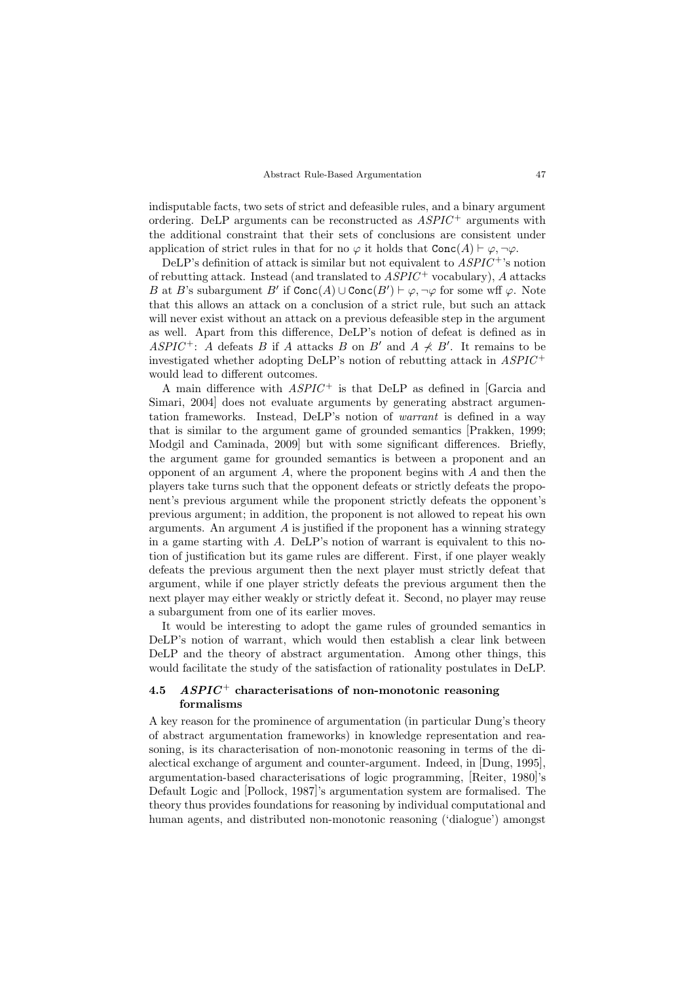indisputable facts, two sets of strict and defeasible rules, and a binary argument ordering. DeLP arguments can be reconstructed as  $ASPIC^+$  arguments with the additional constraint that their sets of conclusions are consistent under application of strict rules in that for no  $\varphi$  it holds that  $Conc(A) \vdash \varphi, \neg \varphi$ .

DeLP's definition of attack is similar but not equivalent to  $ASPIC^+$ 's notion of rebutting attack. Instead (and translated to  $ASPIC^+$  vocabulary), A attacks B at B's subargument  $B'$  if  $Conc(A) \cup Conc(B') \vdash \varphi, \neg \varphi$  for some wff  $\varphi$ . Note that this allows an attack on a conclusion of a strict rule, but such an attack will never exist without an attack on a previous defeasible step in the argument as well. Apart from this difference, DeLP's notion of defeat is defined as in ASPIC<sup>+</sup>: A defeats B if A attacks B on B' and  $A \nprec B'$ . It remains to be investigated whether adopting DeLP's notion of rebutting attack in ASPIC <sup>+</sup> would lead to different outcomes.

A main difference with  $ASPIC<sup>+</sup>$  is that DeLP as defined in [Garcia and Simari, 2004 does not evaluate arguments by generating abstract argumentation frameworks. Instead, DeLP's notion of warrant is defined in a way that is similar to the argument game of grounded semantics [Prakken, 1999; Modgil and Caminada, 2009] but with some significant differences. Briefly, the argument game for grounded semantics is between a proponent and an opponent of an argument  $A$ , where the proponent begins with  $A$  and then the players take turns such that the opponent defeats or strictly defeats the proponent's previous argument while the proponent strictly defeats the opponent's previous argument; in addition, the proponent is not allowed to repeat his own arguments. An argument  $A$  is justified if the proponent has a winning strategy in a game starting with A. DeLP's notion of warrant is equivalent to this notion of justification but its game rules are different. First, if one player weakly defeats the previous argument then the next player must strictly defeat that argument, while if one player strictly defeats the previous argument then the next player may either weakly or strictly defeat it. Second, no player may reuse a subargument from one of its earlier moves.

It would be interesting to adopt the game rules of grounded semantics in DeLP's notion of warrant, which would then establish a clear link between DeLP and the theory of abstract argumentation. Among other things, this would facilitate the study of the satisfaction of rationality postulates in DeLP.

## 4.5  $ASPIC<sup>+</sup> characterisations of non-monotonic reasoning$ formalisms

A key reason for the prominence of argumentation (in particular Dung's theory of abstract argumentation frameworks) in knowledge representation and reasoning, is its characterisation of non-monotonic reasoning in terms of the dialectical exchange of argument and counter-argument. Indeed, in [Dung, 1995], argumentation-based characterisations of logic programming, [Reiter, 1980]'s Default Logic and [Pollock, 1987]'s argumentation system are formalised. The theory thus provides foundations for reasoning by individual computational and human agents, and distributed non-monotonic reasoning ('dialogue') amongst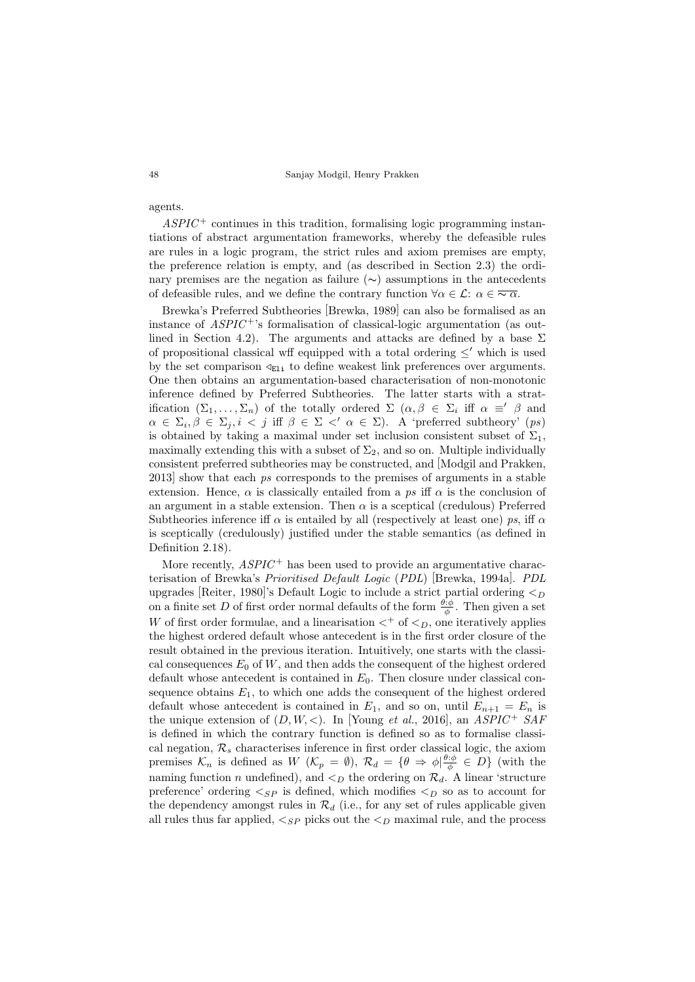48 Sanjay Modgil, Henry Prakken

agents.

 $ASPIC^+$  continues in this tradition, formalising logic programming instantiations of abstract argumentation frameworks, whereby the defeasible rules are rules in a logic program, the strict rules and axiom premises are empty, the preference relation is empty, and (as described in Section 2.3) the ordinary premises are the negation as failure (∼) assumptions in the antecedents of defeasible rules, and we define the contrary function  $\forall \alpha \in \mathcal{L}: \alpha \in \overline{\sim \alpha}$ .

Brewka's Preferred Subtheories [Brewka, 1989] can also be formalised as an instance of  $ASPIC^+$ 's formalisation of classical-logic argumentation (as outlined in Section 4.2). The arguments and attacks are defined by a base  $\Sigma$ of propositional classical wff equipped with a total ordering  $\leq'$  which is used by the set comparison  $\mathcal{L}_{E1i}$  to define weakest link preferences over arguments. One then obtains an argumentation-based characterisation of non-monotonic inference defined by Preferred Subtheories. The latter starts with a stratification  $(\Sigma_1, \ldots, \Sigma_n)$  of the totally ordered  $\Sigma$   $(\alpha, \beta \in \Sigma_i$  iff  $\alpha \equiv' \beta$  and  $\alpha \in \Sigma_i, \beta \in \Sigma_j, i \le j$  iff  $\beta \in \Sigma \le' \alpha \in \Sigma$ ). A 'preferred subtheory' (ps) is obtained by taking a maximal under set inclusion consistent subset of  $\Sigma_1$ , maximally extending this with a subset of  $\Sigma_2$ , and so on. Multiple individually consistent preferred subtheories may be constructed, and [Modgil and Prakken, 2013] show that each ps corresponds to the premises of arguments in a stable extension. Hence,  $\alpha$  is classically entailed from a ps iff  $\alpha$  is the conclusion of an argument in a stable extension. Then  $\alpha$  is a sceptical (credulous) Preferred Subtheories inference iff  $\alpha$  is entailed by all (respectively at least one) ps, iff  $\alpha$ is sceptically (credulously) justified under the stable semantics (as defined in Definition 2.18).

More recently,  $ASPIC^+$  has been used to provide an argumentative characterisation of Brewka's Prioritised Default Logic (PDL) [Brewka, 1994a]. PDL upgrades [Reiter, 1980]'s Default Logic to include a strict partial ordering  $\lt_D$ on a finite set D of first order normal defaults of the form  $\frac{\theta:\phi}{\phi}$ . Then given a set W of first order formulae, and a linearisation  $\lt^+$  of  $\lt_D$ , one iteratively applies the highest ordered default whose antecedent is in the first order closure of the result obtained in the previous iteration. Intuitively, one starts with the classical consequences  $E_0$  of W, and then adds the consequent of the highest ordered default whose antecedent is contained in  $E_0$ . Then closure under classical consequence obtains  $E_1$ , to which one adds the consequent of the highest ordered default whose antecedent is contained in  $E_1$ , and so on, until  $E_{n+1} = E_n$  is the unique extension of  $(D, W, <)$ . In [Young *et al.*, 2016], an *ASPIC*<sup>+</sup> SAF is defined in which the contrary function is defined so as to formalise classical negation,  $\mathcal{R}_s$  characterises inference in first order classical logic, the axiom premises  $\mathcal{K}_n$  is defined as  $W(\mathcal{K}_p = \emptyset)$ ,  $\mathcal{R}_d = \{\theta \Rightarrow \phi | \frac{\theta : \phi}{\phi} \in D\}$  (with the naming function n undefined), and  $\lt_D$  the ordering on  $\mathcal{R}_d$ . A linear 'structure preference' ordering  $\langle$ <sub>SP</sub> is defined, which modifies  $\langle$ <sub>D</sub> so as to account for the dependency amongst rules in  $\mathcal{R}_d$  (i.e., for any set of rules applicable given all rules thus far applied,  $\lt_{SP}$  picks out the  $\lt_D$  maximal rule, and the process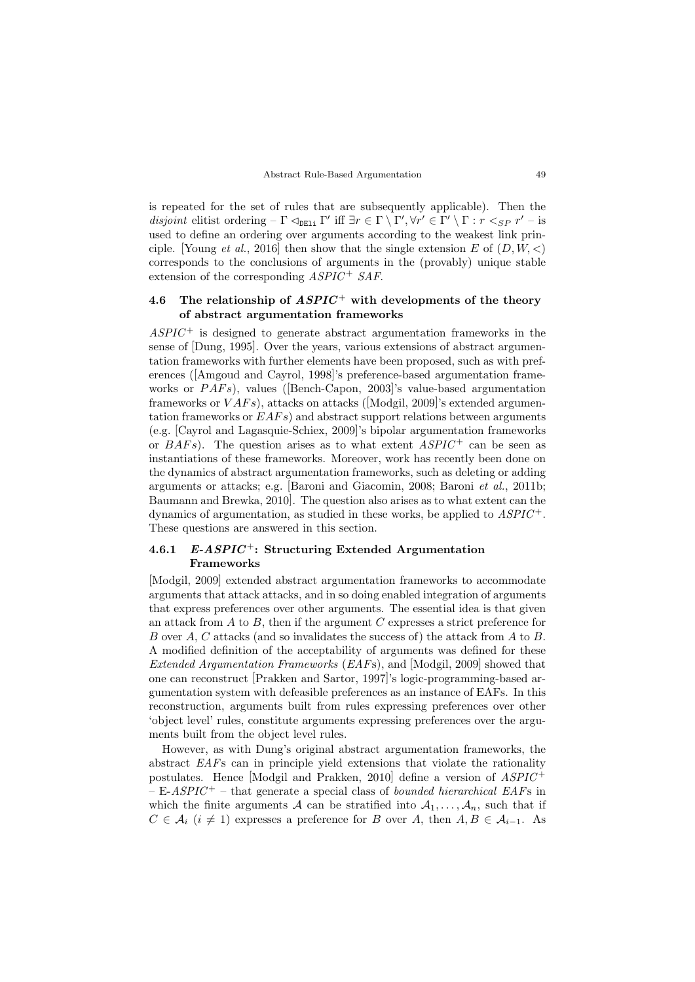is repeated for the set of rules that are subsequently applicable). Then the disjoint elitist ordering –  $\Gamma$   $\vartriangleleft_{DE1i}$   $\Gamma'$  iff  $\exists r \in \Gamma \setminus \Gamma', \forall r' \in \Gamma' \setminus \Gamma : r \leq_{SP} r' -$  is used to define an ordering over arguments according to the weakest link principle. [Young *et al.*, 2016] then show that the single extension E of  $(D, W, \lt)$ corresponds to the conclusions of arguments in the (provably) unique stable extension of the corresponding  $ASPIC^+SAF$ .

# 4.6 The relationship of  $ASPIC^+$  with developments of the theory of abstract argumentation frameworks

 $ASPIC^+$  is designed to generate abstract argumentation frameworks in the sense of [Dung, 1995]. Over the years, various extensions of abstract argumentation frameworks with further elements have been proposed, such as with preferences ([Amgoud and Cayrol, 1998]'s preference-based argumentation frameworks or  $PAFs$ ), values ([Bench-Capon, 2003]'s value-based argumentation frameworks or  $VAFs$ ), attacks on attacks ([Modgil, 2009]'s extended argumentation frameworks or  $EAFs$ ) and abstract support relations between arguments (e.g. [Cayrol and Lagasquie-Schiex, 2009]'s bipolar argumentation frameworks or  $BAFs$ ). The question arises as to what extent  $ASPIC^+$  can be seen as instantiations of these frameworks. Moreover, work has recently been done on the dynamics of abstract argumentation frameworks, such as deleting or adding arguments or attacks; e.g. [Baroni and Giacomin, 2008; Baroni et al., 2011b; Baumann and Brewka, 2010]. The question also arises as to what extent can the dynamics of argumentation, as studied in these works, be applied to  $ASPIC^+$ . These questions are answered in this section.

# 4.6.1 E-ASPIC<sup>+</sup>: Structuring Extended Argumentation Frameworks

[Modgil, 2009] extended abstract argumentation frameworks to accommodate arguments that attack attacks, and in so doing enabled integration of arguments that express preferences over other arguments. The essential idea is that given an attack from  $A$  to  $B$ , then if the argument  $C$  expresses a strict preference for B over A, C attacks (and so invalidates the success of) the attack from A to B. A modified definition of the acceptability of arguments was defined for these Extended Argumentation Frameworks (EAFs), and [Modgil, 2009] showed that one can reconstruct [Prakken and Sartor, 1997]'s logic-programming-based argumentation system with defeasible preferences as an instance of EAFs. In this reconstruction, arguments built from rules expressing preferences over other 'object level' rules, constitute arguments expressing preferences over the arguments built from the object level rules.

However, as with Dung's original abstract argumentation frameworks, the abstract EAFs can in principle yield extensions that violate the rationality postulates. Hence [Modgil and Prakken, 2010] define a version of  $ASPIC^+$  $- E-ASPIC^+$  – that generate a special class of bounded hierarchical EAFs in which the finite arguments A can be stratified into  $A_1, \ldots, A_n$ , such that if  $C \in \mathcal{A}_i$   $(i \neq 1)$  expresses a preference for B over A, then  $A, B \in \mathcal{A}_{i-1}$ . As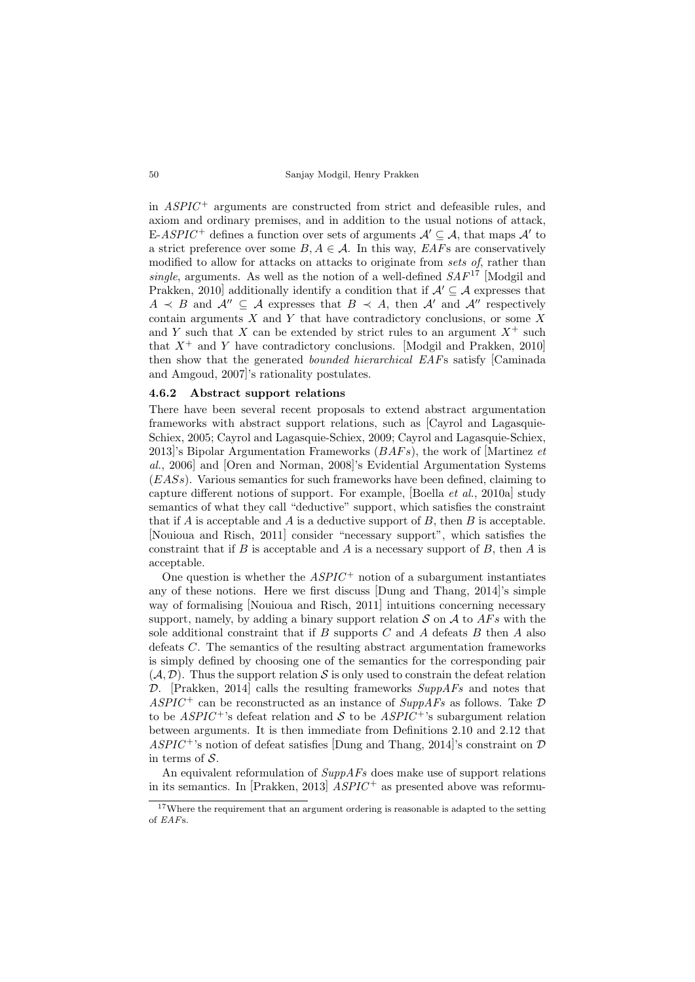in  $ASPIC^+$  arguments are constructed from strict and defeasible rules, and axiom and ordinary premises, and in addition to the usual notions of attack, E-ASPIC<sup>+</sup> defines a function over sets of arguments  $\mathcal{A}' \subseteq \mathcal{A}$ , that maps  $\mathcal{A}'$  to a strict preference over some  $B, A \in \mathcal{A}$ . In this way,  $EAFs$  are conservatively modified to allow for attacks on attacks to originate from sets of, rather than single, arguments. As well as the notion of a well-defined  $SAF^{17}$  [Modgil and Prakken, 2010] additionally identify a condition that if  $\mathcal{A}' \subseteq \mathcal{A}$  expresses that  $A \prec B$  and  $\mathcal{A}'' \subset \mathcal{A}$  expresses that  $B \prec A$ , then  $\mathcal{A}'$  and  $\mathcal{A}''$  respectively contain arguments  $X$  and  $Y$  that have contradictory conclusions, or some  $X$ and Y such that X can be extended by strict rules to an argument  $X^+$  such that  $X^+$  and Y have contradictory conclusions. [Modgil and Prakken, 2010] then show that the generated bounded hierarchical EAFs satisfy [Caminada and Amgoud, 2007]'s rationality postulates.

### 4.6.2 Abstract support relations

There have been several recent proposals to extend abstract argumentation frameworks with abstract support relations, such as [Cayrol and Lagasquie-Schiex, 2005; Cayrol and Lagasquie-Schiex, 2009; Cayrol and Lagasquie-Schiex, 2013]'s Bipolar Argumentation Frameworks  $(BAFs)$ , the work of [Martinez et al., 2006] and [Oren and Norman, 2008]'s Evidential Argumentation Systems  $(EASs)$ . Various semantics for such frameworks have been defined, claiming to capture different notions of support. For example, [Boella *et al.*, 2010a] study semantics of what they call "deductive" support, which satisfies the constraint that if  $A$  is acceptable and  $A$  is a deductive support of  $B$ , then  $B$  is acceptable. [Nouioua and Risch, 2011] consider "necessary support", which satisfies the constraint that if B is acceptable and A is a necessary support of B, then A is acceptable.

One question is whether the  $ASPIC^+$  notion of a subargument instantiates any of these notions. Here we first discuss [Dung and Thang, 2014]'s simple way of formalising [Nouioua and Risch, 2011] intuitions concerning necessary support, namely, by adding a binary support relation  $S$  on  $A$  to  $AFs$  with the sole additional constraint that if  $B$  supports  $C$  and  $A$  defeats  $B$  then  $A$  also defeats C. The semantics of the resulting abstract argumentation frameworks is simply defined by choosing one of the semantics for the corresponding pair  $(A, \mathcal{D})$ . Thus the support relation S is only used to constrain the defeat relation  $\mathcal{D}$ . [Prakken, 2014] calls the resulting frameworks  $SuppAFs$  and notes that  $ASPIC^+$  can be reconstructed as an instance of  $SuppAFs$  as follows. Take  $D$ to be  $ASPIC^{+}$ 's defeat relation and S to be  $ASPIC^{+}$ 's subargument relation between arguments. It is then immediate from Definitions 2.10 and 2.12 that  $ASPIC^+$ 's notion of defeat satisfies [Dung and Thang, 2014]'s constraint on  $D$ in terms of  $S$ .

An equivalent reformulation of  $SuppAFs$  does make use of support relations in its semantics. In [Prakken, 2013]  $ASPIC^+$  as presented above was reformu-

<sup>&</sup>lt;sup>17</sup>Where the requirement that an argument ordering is reasonable is adapted to the setting of EAFs.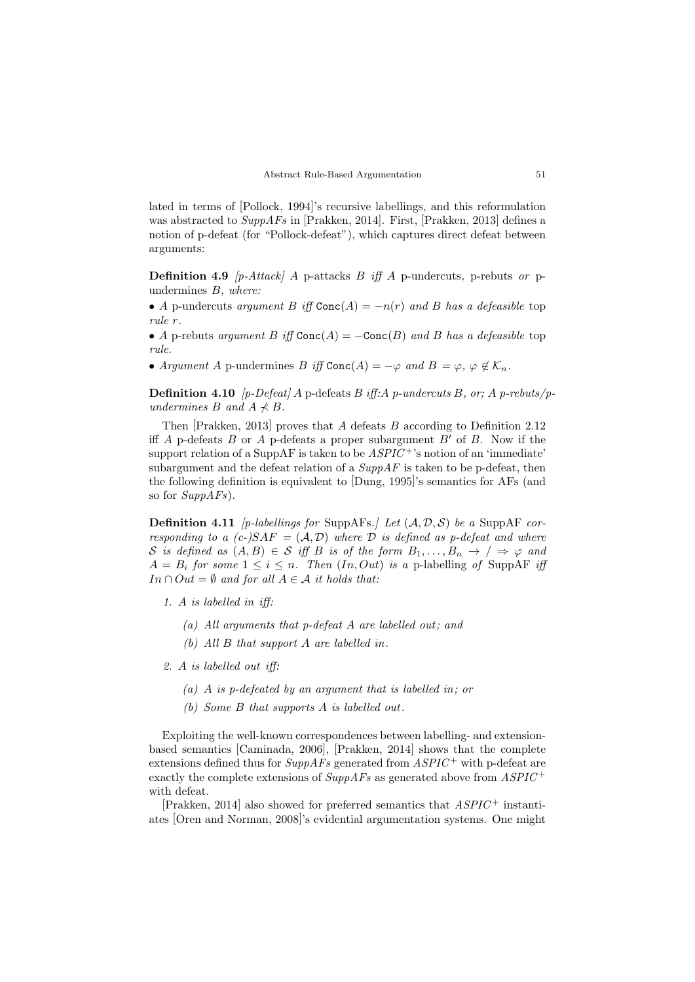lated in terms of [Pollock, 1994]'s recursive labellings, and this reformulation was abstracted to  $SuppAFs$  in [Prakken, 2014]. First, [Prakken, 2013] defines a notion of p-defeat (for "Pollock-defeat"), which captures direct defeat between arguments:

**Definition 4.9**  $[p\text{-}Attack]$  A p-attacks B iff A p-undercuts, p-rebuts or pundermines B, where:

• A p-undercuts argument B iff  $Conc(A) = -n(r)$  and B has a defeasible top rule r.

• A p-rebuts argument B iff  $Conc(A) = -Conc(B)$  and B has a defeasible top rule.

• Argument A p-undermines B iff Conc(A) =  $-\varphi$  and B =  $\varphi$ ,  $\varphi \notin \mathcal{K}_n$ .

**Definition 4.10** [p-Defeat] A p-defeats B iff: A p-undercuts B, or; A p-rebuts/pundermines B and  $A \nless B$ .

Then  $[Prakken, 2013]$  proves that A defeats B according to Definition 2.12 iff A p-defeats B or A p-defeats a proper subargument  $B'$  of B. Now if the support relation of a SuppAF is taken to be  $ASPIC^+$ 's notion of an 'immediate' subargument and the defeat relation of a  $SuppAF$  is taken to be p-defeat, then the following definition is equivalent to [Dung, 1995]'s semantics for AFs (and so for  $SuppAFs$ ).

**Definition 4.11** [p-labellings for SuppAFs.] Let  $(A, \mathcal{D}, \mathcal{S})$  be a SuppAF corresponding to a  $(c-)SAF = (A, D)$  where D is defined as p-defeat and where S is defined as  $(A, B) \in S$  iff B is of the form  $B_1, \ldots, B_n \to / \Rightarrow \varphi$  and  $A = B_i$  for some  $1 \leq i \leq n$ . Then  $(In, Out)$  is a p-labelling of SuppAF iff  $In \cap Out = \emptyset$  and for all  $A \in \mathcal{A}$  it holds that:

- 1. A is labelled in iff:
	- (a) All arguments that p-defeat  $A$  are labelled out; and
	- (b) All  $B$  that support  $A$  are labelled in.
- 2. A is labelled out iff:
	- (a) A is p-defeated by an argument that is labelled in; or
	- (b) Some  $B$  that supports  $A$  is labelled out.

Exploiting the well-known correspondences between labelling- and extensionbased semantics [Caminada, 2006], [Prakken, 2014] shows that the complete extensions defined thus for  $\textit{SuppAFs}$  generated from  $\textit{ASPIC}^+$  with p-defeat are exactly the complete extensions of  $SuppAFs$  as generated above from  $ASPIC^+$ with defeat.

[Prakken, 2014] also showed for preferred semantics that  $ASPIC^+$  instantiates [Oren and Norman, 2008]'s evidential argumentation systems. One might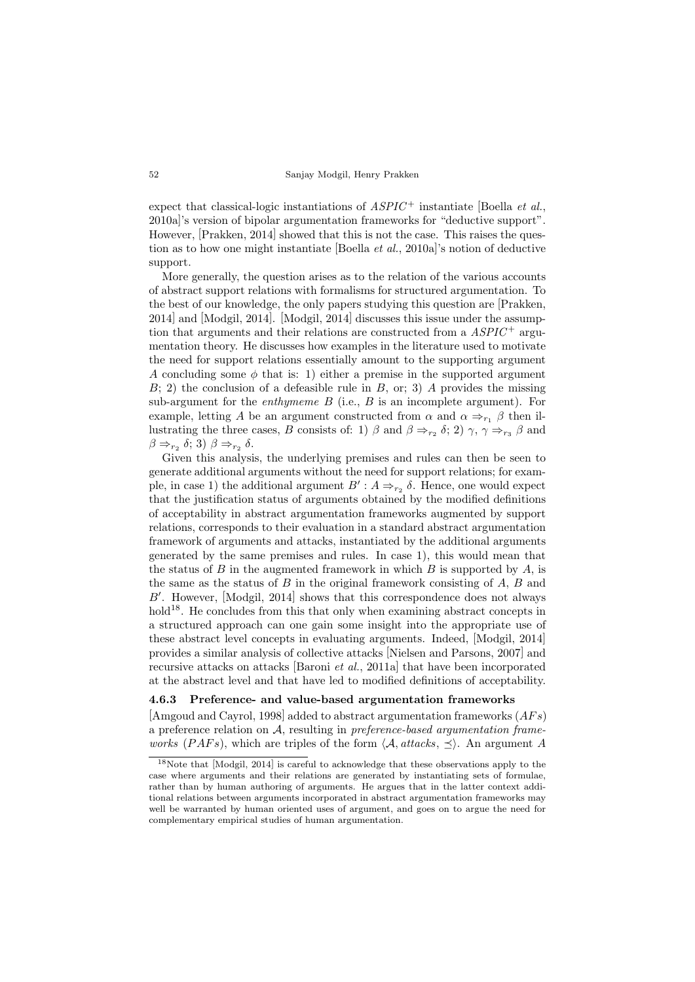expect that classical-logic instantiations of  $ASPIC^+$  instantiate [Boella *et al.*, 2010a]'s version of bipolar argumentation frameworks for "deductive support". However, [Prakken, 2014] showed that this is not the case. This raises the question as to how one might instantiate [Boella et al., 2010a]'s notion of deductive support.

More generally, the question arises as to the relation of the various accounts of abstract support relations with formalisms for structured argumentation. To the best of our knowledge, the only papers studying this question are [Prakken, 2014] and [Modgil, 2014]. [Modgil, 2014] discusses this issue under the assumption that arguments and their relations are constructed from a  $ASPIC^+$  argumentation theory. He discusses how examples in the literature used to motivate the need for support relations essentially amount to the supporting argument A concluding some  $\phi$  that is: 1) either a premise in the supported argument  $B$ ; 2) the conclusion of a defeasible rule in  $B$ , or; 3) A provides the missing sub-argument for the *enthymeme B* (i.e.,  $B$  is an incomplete argument). For example, letting A be an argument constructed from  $\alpha$  and  $\alpha \Rightarrow_{r_1} \beta$  then illustrating the three cases, B consists of: 1)  $\beta$  and  $\beta \Rightarrow_{r_2} \delta$ ; 2)  $\gamma$ ,  $\gamma \Rightarrow_{r_3} \beta$  and  $\beta \Rightarrow_{r_2} \delta; 3$   $\beta \Rightarrow_{r_2} \delta$ .

Given this analysis, the underlying premises and rules can then be seen to generate additional arguments without the need for support relations; for example, in case 1) the additional argument  $B': A \Rightarrow_{r_2} \delta$ . Hence, one would expect that the justification status of arguments obtained by the modified definitions of acceptability in abstract argumentation frameworks augmented by support relations, corresponds to their evaluation in a standard abstract argumentation framework of arguments and attacks, instantiated by the additional arguments generated by the same premises and rules. In case 1), this would mean that the status of B in the augmented framework in which B is supported by A, is the same as the status of  $B$  in the original framework consisting of  $A$ ,  $B$  and  $B'$ . However, [Modgil, 2014] shows that this correspondence does not always hold<sup>18</sup>. He concludes from this that only when examining abstract concepts in a structured approach can one gain some insight into the appropriate use of these abstract level concepts in evaluating arguments. Indeed, [Modgil, 2014] provides a similar analysis of collective attacks [Nielsen and Parsons, 2007] and recursive attacks on attacks [Baroni et al., 2011a] that have been incorporated at the abstract level and that have led to modified definitions of acceptability.

### 4.6.3 Preference- and value-based argumentation frameworks

[Amgoud and Cayrol, 1998] added to abstract argumentation frameworks  $(AFs)$ a preference relation on  $A$ , resulting in *preference-based argumentation frameworks (PAFs)*, which are triples of the form  $\langle A, \text{attack}, \preceq \rangle$ . An argument A

<sup>18</sup>Note that [Modgil, 2014] is careful to acknowledge that these observations apply to the case where arguments and their relations are generated by instantiating sets of formulae, rather than by human authoring of arguments. He argues that in the latter context additional relations between arguments incorporated in abstract argumentation frameworks may well be warranted by human oriented uses of argument, and goes on to argue the need for complementary empirical studies of human argumentation.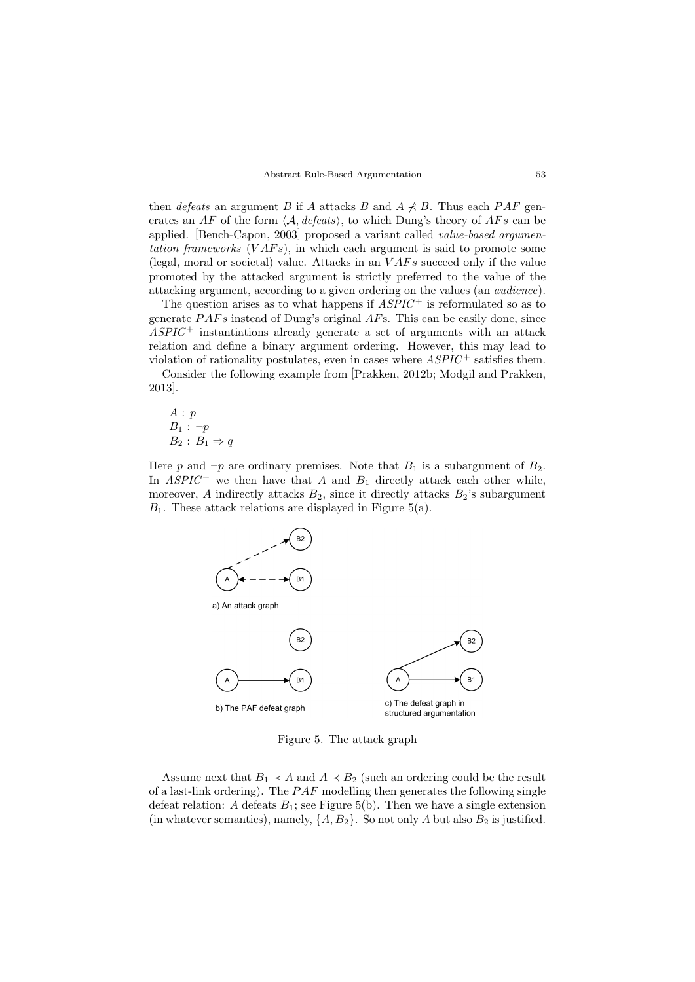then *defeats* an argument B if A attacks B and  $A \nless B$ . Thus each PAF generates an AF of the form  $\langle A, \text{defeats} \rangle$ , to which Dung's theory of AFs can be applied. [Bench-Capon, 2003] proposed a variant called value-based argumentation frameworks  $(VAFs)$ , in which each argument is said to promote some (legal, moral or societal) value. Attacks in an  $VAFs$  succeed only if the value promoted by the attacked argument is strictly preferred to the value of the attacking argument, according to a given ordering on the values (an audience).

The question arises as to what happens if  $ASPIC^+$  is reformulated so as to generate  $PAFs$  instead of Dung's original  $AFs$ . This can be easily done, since  $ASPIC^+$  instantiations already generate a set of arguments with an attack relation and define a binary argument ordering. However, this may lead to violation of rationality postulates, even in cases where  $ASPIC^+$  satisfies them.

Consider the following example from [Prakken, 2012b; Modgil and Prakken, 2013].

$$
A: p
$$
  
\n
$$
B_1: \neg p
$$
  
\n
$$
B_2: B_1 \Rightarrow q
$$

Here p and  $\neg p$  are ordinary premises. Note that  $B_1$  is a subargument of  $B_2$ . In  $ASPIC^+$  we then have that A and  $B_1$  directly attack each other while, moreover, A indirectly attacks  $B_2$ , since it directly attacks  $B_2$ 's subargument  $B_1$ . These attack relations are displayed in Figure 5(a).



Figure 5. The attack graph

Assume next that  $B_1 \prec A$  and  $A \prec B_2$  (such an ordering could be the result of a last-link ordering). The  $PAF$  modelling then generates the following single defeat relation: A defeats  $B_1$ ; see Figure 5(b). Then we have a single extension (in whatever semantics), namely,  $\{A, B_2\}$ . So not only A but also  $B_2$  is justified.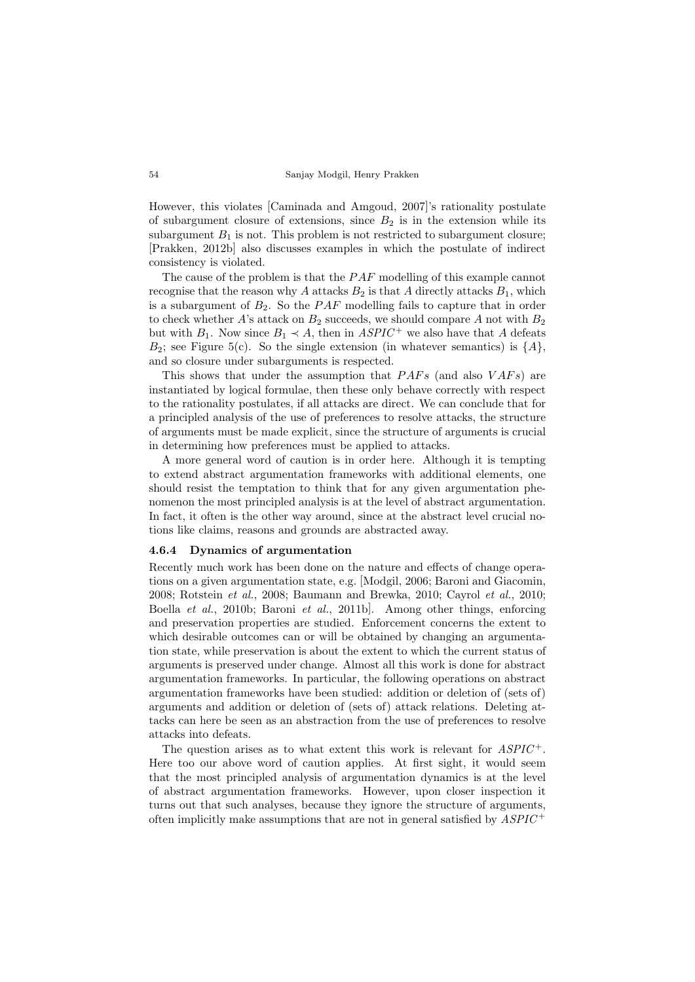However, this violates [Caminada and Amgoud, 2007]'s rationality postulate of subargument closure of extensions, since  $B_2$  is in the extension while its subargument  $B_1$  is not. This problem is not restricted to subargument closure; [Prakken, 2012b] also discusses examples in which the postulate of indirect consistency is violated.

The cause of the problem is that the  $PAF$  modelling of this example cannot recognise that the reason why A attacks  $B_2$  is that A directly attacks  $B_1$ , which is a subargument of  $B_2$ . So the  $PAF$  modelling fails to capture that in order to check whether A's attack on  $B_2$  succeeds, we should compare A not with  $B_2$ but with  $B_1$ . Now since  $B_1 \prec A$ , then in  $ASPIC^+$  we also have that A defeats  $B_2$ ; see Figure 5(c). So the single extension (in whatever semantics) is  $\{A\}$ , and so closure under subarguments is respected.

This shows that under the assumption that  $PAFs$  (and also  $VAFs$ ) are instantiated by logical formulae, then these only behave correctly with respect to the rationality postulates, if all attacks are direct. We can conclude that for a principled analysis of the use of preferences to resolve attacks, the structure of arguments must be made explicit, since the structure of arguments is crucial in determining how preferences must be applied to attacks.

A more general word of caution is in order here. Although it is tempting to extend abstract argumentation frameworks with additional elements, one should resist the temptation to think that for any given argumentation phenomenon the most principled analysis is at the level of abstract argumentation. In fact, it often is the other way around, since at the abstract level crucial notions like claims, reasons and grounds are abstracted away.

## 4.6.4 Dynamics of argumentation

Recently much work has been done on the nature and effects of change operations on a given argumentation state, e.g. [Modgil, 2006; Baroni and Giacomin, 2008; Rotstein et al., 2008; Baumann and Brewka, 2010; Cayrol et al., 2010; Boella et al., 2010b; Baroni et al., 2011b]. Among other things, enforcing and preservation properties are studied. Enforcement concerns the extent to which desirable outcomes can or will be obtained by changing an argumentation state, while preservation is about the extent to which the current status of arguments is preserved under change. Almost all this work is done for abstract argumentation frameworks. In particular, the following operations on abstract argumentation frameworks have been studied: addition or deletion of (sets of) arguments and addition or deletion of (sets of) attack relations. Deleting attacks can here be seen as an abstraction from the use of preferences to resolve attacks into defeats.

The question arises as to what extent this work is relevant for  $ASPIC^+$ . Here too our above word of caution applies. At first sight, it would seem that the most principled analysis of argumentation dynamics is at the level of abstract argumentation frameworks. However, upon closer inspection it turns out that such analyses, because they ignore the structure of arguments, often implicitly make assumptions that are not in general satisfied by  $ASPIC^+$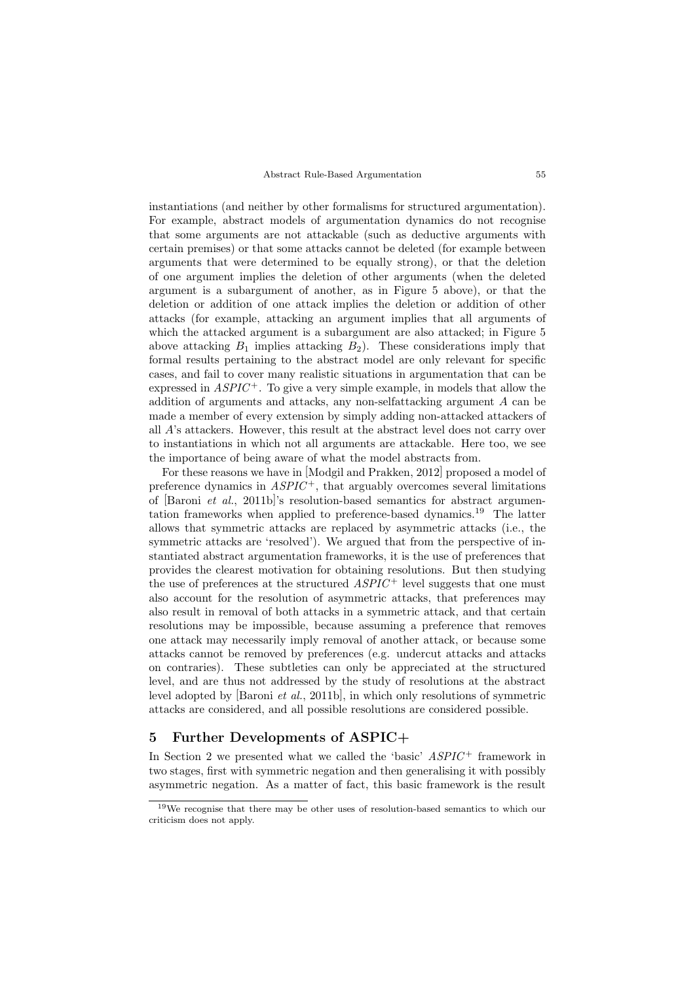instantiations (and neither by other formalisms for structured argumentation). For example, abstract models of argumentation dynamics do not recognise that some arguments are not attackable (such as deductive arguments with certain premises) or that some attacks cannot be deleted (for example between arguments that were determined to be equally strong), or that the deletion of one argument implies the deletion of other arguments (when the deleted argument is a subargument of another, as in Figure 5 above), or that the deletion or addition of one attack implies the deletion or addition of other attacks (for example, attacking an argument implies that all arguments of which the attacked argument is a subargument are also attacked; in Figure 5 above attacking  $B_1$  implies attacking  $B_2$ ). These considerations imply that formal results pertaining to the abstract model are only relevant for specific cases, and fail to cover many realistic situations in argumentation that can be expressed in  $ASPIC^+$ . To give a very simple example, in models that allow the addition of arguments and attacks, any non-selfattacking argument A can be made a member of every extension by simply adding non-attacked attackers of all A's attackers. However, this result at the abstract level does not carry over to instantiations in which not all arguments are attackable. Here too, we see the importance of being aware of what the model abstracts from.

For these reasons we have in [Modgil and Prakken, 2012] proposed a model of preference dynamics in  $ASPIC^+$ , that arguably overcomes several limitations of  $[Baroni et al., 2011b]$ 's resolution-based semantics for abstract argumentation frameworks when applied to preference-based dynamics.<sup>19</sup> The latter allows that symmetric attacks are replaced by asymmetric attacks (i.e., the symmetric attacks are 'resolved'). We argued that from the perspective of instantiated abstract argumentation frameworks, it is the use of preferences that provides the clearest motivation for obtaining resolutions. But then studying the use of preferences at the structured  $ASPIC<sup>+</sup>$  level suggests that one must also account for the resolution of asymmetric attacks, that preferences may also result in removal of both attacks in a symmetric attack, and that certain resolutions may be impossible, because assuming a preference that removes one attack may necessarily imply removal of another attack, or because some attacks cannot be removed by preferences (e.g. undercut attacks and attacks on contraries). These subtleties can only be appreciated at the structured level, and are thus not addressed by the study of resolutions at the abstract level adopted by [Baroni et al., 2011b], in which only resolutions of symmetric attacks are considered, and all possible resolutions are considered possible.

## 5 Further Developments of ASPIC+

In Section 2 we presented what we called the 'basic'  $ASPIC^+$  framework in two stages, first with symmetric negation and then generalising it with possibly asymmetric negation. As a matter of fact, this basic framework is the result

<sup>19</sup>We recognise that there may be other uses of resolution-based semantics to which our criticism does not apply.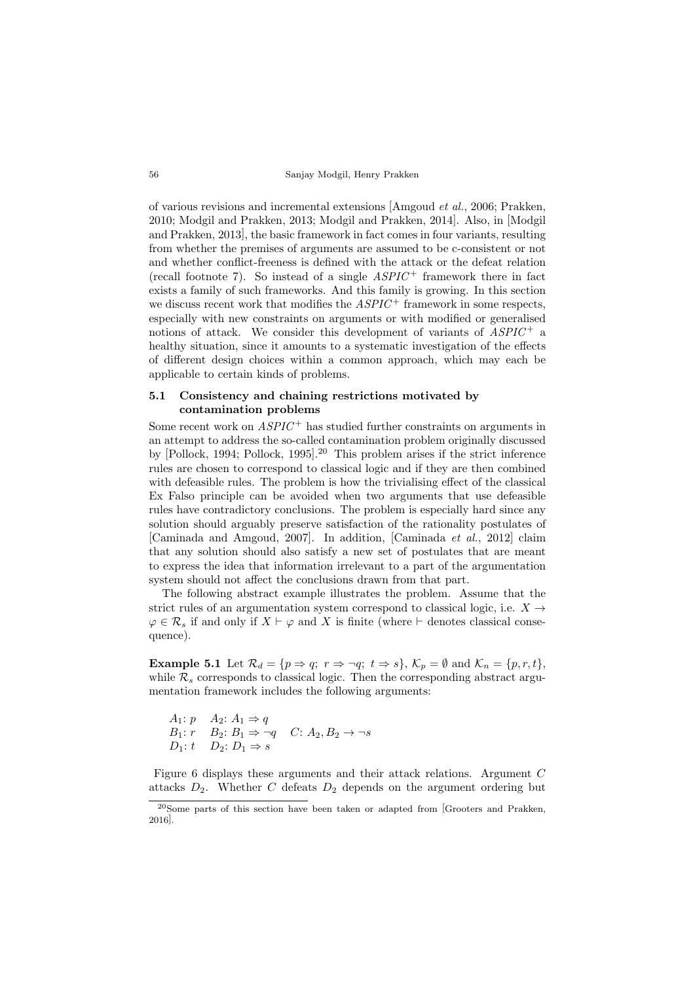of various revisions and incremental extensions [Amgoud et al., 2006; Prakken, 2010; Modgil and Prakken, 2013; Modgil and Prakken, 2014]. Also, in [Modgil and Prakken, 2013], the basic framework in fact comes in four variants, resulting from whether the premises of arguments are assumed to be c-consistent or not and whether conflict-freeness is defined with the attack or the defeat relation (recall footnote 7). So instead of a single  $ASPIC^+$  framework there in fact exists a family of such frameworks. And this family is growing. In this section we discuss recent work that modifies the  $ASPIC^+$  framework in some respects. especially with new constraints on arguments or with modified or generalised notions of attack. We consider this development of variants of  $ASPIC^+$  a healthy situation, since it amounts to a systematic investigation of the effects of different design choices within a common approach, which may each be applicable to certain kinds of problems.

## 5.1 Consistency and chaining restrictions motivated by contamination problems

Some recent work on  $ASPIC^+$  has studied further constraints on arguments in an attempt to address the so-called contamination problem originally discussed by [Pollock, 1994; Pollock, 1995]. <sup>20</sup> This problem arises if the strict inference rules are chosen to correspond to classical logic and if they are then combined with defeasible rules. The problem is how the trivialising effect of the classical Ex Falso principle can be avoided when two arguments that use defeasible rules have contradictory conclusions. The problem is especially hard since any solution should arguably preserve satisfaction of the rationality postulates of [Caminada and Amgoud, 2007]. In addition, [Caminada et al., 2012] claim that any solution should also satisfy a new set of postulates that are meant to express the idea that information irrelevant to a part of the argumentation system should not affect the conclusions drawn from that part.

The following abstract example illustrates the problem. Assume that the strict rules of an argumentation system correspond to classical logic, i.e.  $X \rightarrow$  $\varphi \in \mathcal{R}_s$  if and only if  $X \vdash \varphi$  and X is finite (where  $\vdash$  denotes classical consequence).

**Example 5.1** Let  $\mathcal{R}_d = \{p \Rightarrow q; r \Rightarrow \neg q; t \Rightarrow s\}, \mathcal{K}_p = \emptyset$  and  $\mathcal{K}_n = \{p, r, t\},\$ while  $\mathcal{R}_s$  corresponds to classical logic. Then the corresponding abstract argumentation framework includes the following arguments:

 $A_1: p \quad A_2: A_1 \Rightarrow q$  $B_1: r \quad B_2: B_1 \Rightarrow \neg q \quad C: A_2, B_2 \to \neg s$  $D_1: t \quad D_2: D_1 \Rightarrow s$ 

Figure 6 displays these arguments and their attack relations. Argument C attacks  $D_2$ . Whether C defeats  $D_2$  depends on the argument ordering but

<sup>20</sup>Some parts of this section have been taken or adapted from [Grooters and Prakken, 2016].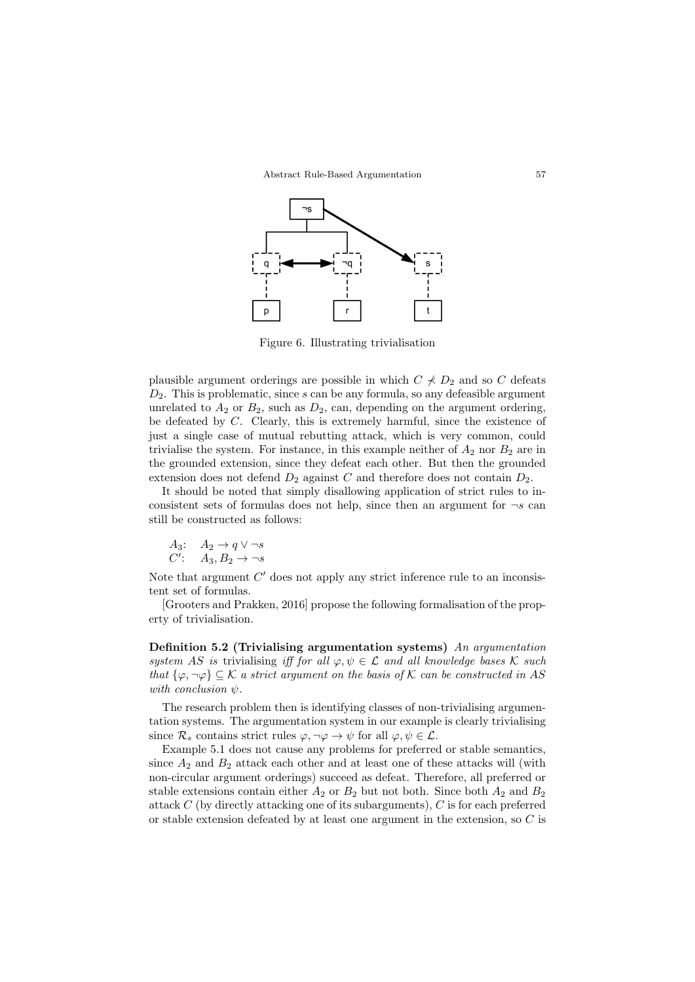

Figure 6. Illustrating trivialisation

plausible argument orderings are possible in which  $C \nless D_2$  and so C defeats  $D_2$ . This is problematic, since s can be any formula, so any defeasible argument unrelated to  $A_2$  or  $B_2$ , such as  $D_2$ , can, depending on the argument ordering, be defeated by C. Clearly, this is extremely harmful, since the existence of just a single case of mutual rebutting attack, which is very common, could trivialise the system. For instance, in this example neither of  $A_2$  nor  $B_2$  are in the grounded extension, since they defeat each other. But then the grounded extension does not defend  $D_2$  against C and therefore does not contain  $D_2$ .

It should be noted that simply disallowing application of strict rules to inconsistent sets of formulas does not help, since then an argument for  $\neg s$  can still be constructed as follows:

$$
A_3: A_2 \to q \lor \neg s
$$
  

$$
C': A_3, B_2 \to \neg s
$$

Note that argument  $C'$  does not apply any strict inference rule to an inconsistent set of formulas.

[Grooters and Prakken, 2016] propose the following formalisation of the property of trivialisation.

Definition 5.2 (Trivialising argumentation systems) An argumentation system AS is trivialising iff for all  $\varphi, \psi \in \mathcal{L}$  and all knowledge bases K such that  $\{\varphi, \neg \varphi\} \subseteq \mathcal{K}$  a strict argument on the basis of  $\mathcal{K}$  can be constructed in AS with conclusion  $\psi$ .

The research problem then is identifying classes of non-trivialising argumentation systems. The argumentation system in our example is clearly trivialising since  $\mathcal{R}_s$  contains strict rules  $\varphi, \neg \varphi \to \psi$  for all  $\varphi, \psi \in \mathcal{L}$ .

Example 5.1 does not cause any problems for preferred or stable semantics, since  $A_2$  and  $B_2$  attack each other and at least one of these attacks will (with non-circular argument orderings) succeed as defeat. Therefore, all preferred or stable extensions contain either  $A_2$  or  $B_2$  but not both. Since both  $A_2$  and  $B_2$ attack C (by directly attacking one of its subarguments), C is for each preferred or stable extension defeated by at least one argument in the extension, so  $C$  is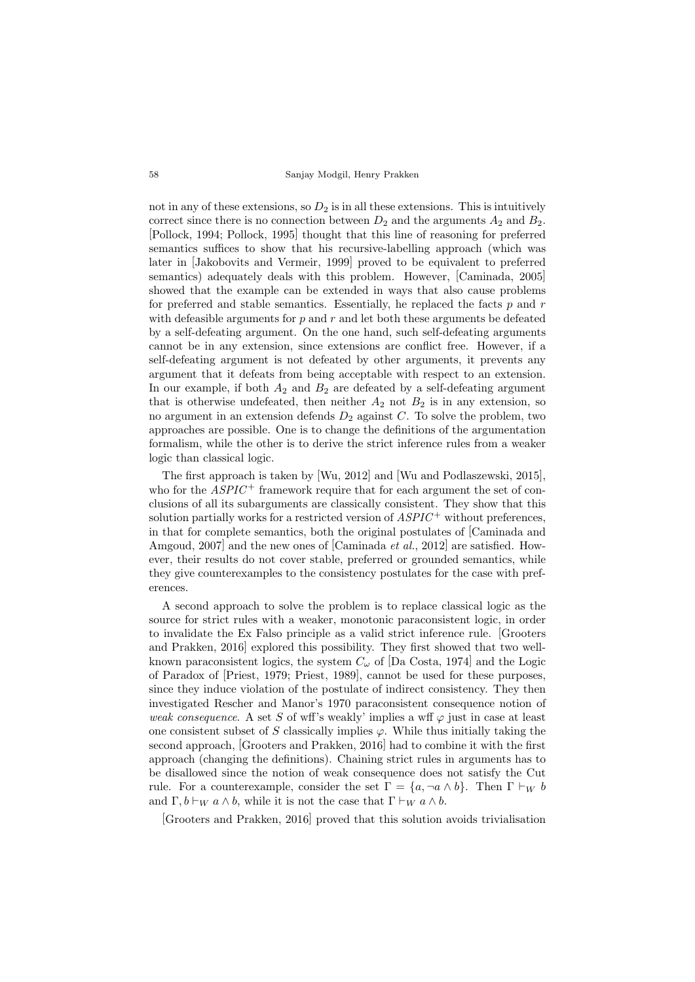not in any of these extensions, so  $D_2$  is in all these extensions. This is intuitively correct since there is no connection between  $D_2$  and the arguments  $A_2$  and  $B_2$ . [Pollock, 1994; Pollock, 1995] thought that this line of reasoning for preferred semantics suffices to show that his recursive-labelling approach (which was later in [Jakobovits and Vermeir, 1999] proved to be equivalent to preferred semantics) adequately deals with this problem. However, [Caminada, 2005] showed that the example can be extended in ways that also cause problems for preferred and stable semantics. Essentially, he replaced the facts  $p$  and  $r$ with defeasible arguments for  $p$  and  $r$  and let both these arguments be defeated by a self-defeating argument. On the one hand, such self-defeating arguments cannot be in any extension, since extensions are conflict free. However, if a self-defeating argument is not defeated by other arguments, it prevents any argument that it defeats from being acceptable with respect to an extension. In our example, if both  $A_2$  and  $B_2$  are defeated by a self-defeating argument that is otherwise undefeated, then neither  $A_2$  not  $B_2$  is in any extension, so no argument in an extension defends  $D_2$  against C. To solve the problem, two approaches are possible. One is to change the definitions of the argumentation formalism, while the other is to derive the strict inference rules from a weaker logic than classical logic.

The first approach is taken by [Wu, 2012] and [Wu and Podlaszewski, 2015], who for the  $ASPIC^+$  framework require that for each argument the set of conclusions of all its subarguments are classically consistent. They show that this solution partially works for a restricted version of  $ASPIC^+$  without preferences, in that for complete semantics, both the original postulates of [Caminada and Amgoud, 2007 and the new ones of  $[Caminada et al., 2012]$  are satisfied. However, their results do not cover stable, preferred or grounded semantics, while they give counterexamples to the consistency postulates for the case with preferences.

A second approach to solve the problem is to replace classical logic as the source for strict rules with a weaker, monotonic paraconsistent logic, in order to invalidate the Ex Falso principle as a valid strict inference rule. [Grooters and Prakken, 2016] explored this possibility. They first showed that two wellknown paraconsistent logics, the system  $C_{\omega}$  of [Da Costa, 1974] and the Logic of Paradox of [Priest, 1979; Priest, 1989], cannot be used for these purposes, since they induce violation of the postulate of indirect consistency. They then investigated Rescher and Manor's 1970 paraconsistent consequence notion of weak consequence. A set S of wff's weakly' implies a wff  $\varphi$  just in case at least one consistent subset of S classically implies  $\varphi$ . While thus initially taking the second approach, [Grooters and Prakken, 2016] had to combine it with the first approach (changing the definitions). Chaining strict rules in arguments has to be disallowed since the notion of weak consequence does not satisfy the Cut rule. For a counterexample, consider the set  $\Gamma = \{a, \neg a \wedge b\}$ . Then  $\Gamma \vdash_W b$ and  $\Gamma$ ,  $b \vdash_W a \wedge b$ , while it is not the case that  $\Gamma \vdash_W a \wedge b$ .

[Grooters and Prakken, 2016] proved that this solution avoids trivialisation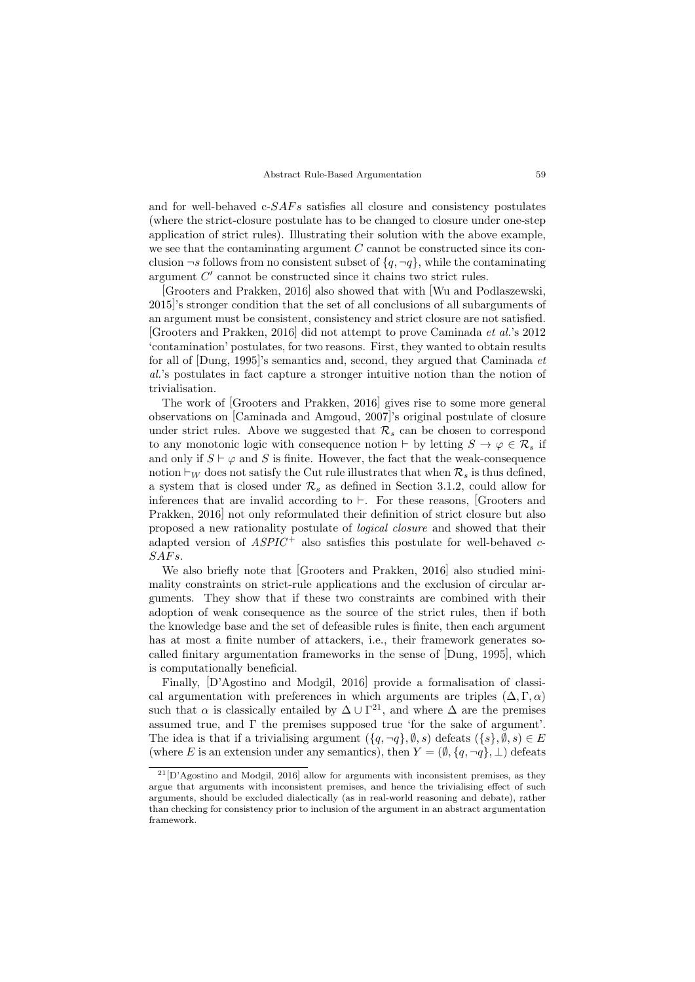and for well-behaved  $c$ - $SAFs$  satisfies all closure and consistency postulates (where the strict-closure postulate has to be changed to closure under one-step application of strict rules). Illustrating their solution with the above example, we see that the contaminating argument  $C$  cannot be constructed since its conclusion  $\neg s$  follows from no consistent subset of  $\{q, \neg q\}$ , while the contaminating argument  $C'$  cannot be constructed since it chains two strict rules.

[Grooters and Prakken, 2016] also showed that with [Wu and Podlaszewski, 2015]'s stronger condition that the set of all conclusions of all subarguments of an argument must be consistent, consistency and strict closure are not satisfied. [Grooters and Prakken, 2016] did not attempt to prove Caminada et al.'s 2012 'contamination' postulates, for two reasons. First, they wanted to obtain results for all of [Dung, 1995]'s semantics and, second, they argued that Caminada et al.'s postulates in fact capture a stronger intuitive notion than the notion of trivialisation.

The work of [Grooters and Prakken, 2016] gives rise to some more general observations on [Caminada and Amgoud, 2007]'s original postulate of closure under strict rules. Above we suggested that  $\mathcal{R}_s$  can be chosen to correspond to any monotonic logic with consequence notion  $\vdash$  by letting  $S \to \varphi \in \mathcal{R}_s$  if and only if  $S \vdash \varphi$  and S is finite. However, the fact that the weak-consequence notion  $\vdash_W$  does not satisfy the Cut rule illustrates that when  $\mathcal{R}_s$  is thus defined, a system that is closed under  $\mathcal{R}_s$  as defined in Section 3.1.2, could allow for inferences that are invalid according to  $\vdash$ . For these reasons, [Grooters and Prakken, 2016] not only reformulated their definition of strict closure but also proposed a new rationality postulate of logical closure and showed that their adapted version of  $ASPIC^+$  also satisfies this postulate for well-behaved  $c$ - $SAFs$ .

We also briefly note that [Grooters and Prakken, 2016] also studied minimality constraints on strict-rule applications and the exclusion of circular arguments. They show that if these two constraints are combined with their adoption of weak consequence as the source of the strict rules, then if both the knowledge base and the set of defeasible rules is finite, then each argument has at most a finite number of attackers, i.e., their framework generates socalled finitary argumentation frameworks in the sense of [Dung, 1995], which is computationally beneficial.

Finally, [D'Agostino and Modgil, 2016] provide a formalisation of classical argumentation with preferences in which arguments are triples  $(\Delta, \Gamma, \alpha)$ such that  $\alpha$  is classically entailed by  $\Delta \cup \Gamma^{21}$ , and where  $\Delta$  are the premises assumed true, and Γ the premises supposed true 'for the sake of argument'. The idea is that if a trivialising argument  $(\{q, \neg q\}, \emptyset, s)$  defeats  $(\{s\}, \emptyset, s) \in E$ (where E is an extension under any semantics), then  $Y = (\emptyset, \{q, \neg q\}, \bot)$  defeats

 $^{21}[D'Agostino]$  and Modgil, 2016 allow for arguments with inconsistent premises, as they argue that arguments with inconsistent premises, and hence the trivialising effect of such arguments, should be excluded dialectically (as in real-world reasoning and debate), rather than checking for consistency prior to inclusion of the argument in an abstract argumentation framework.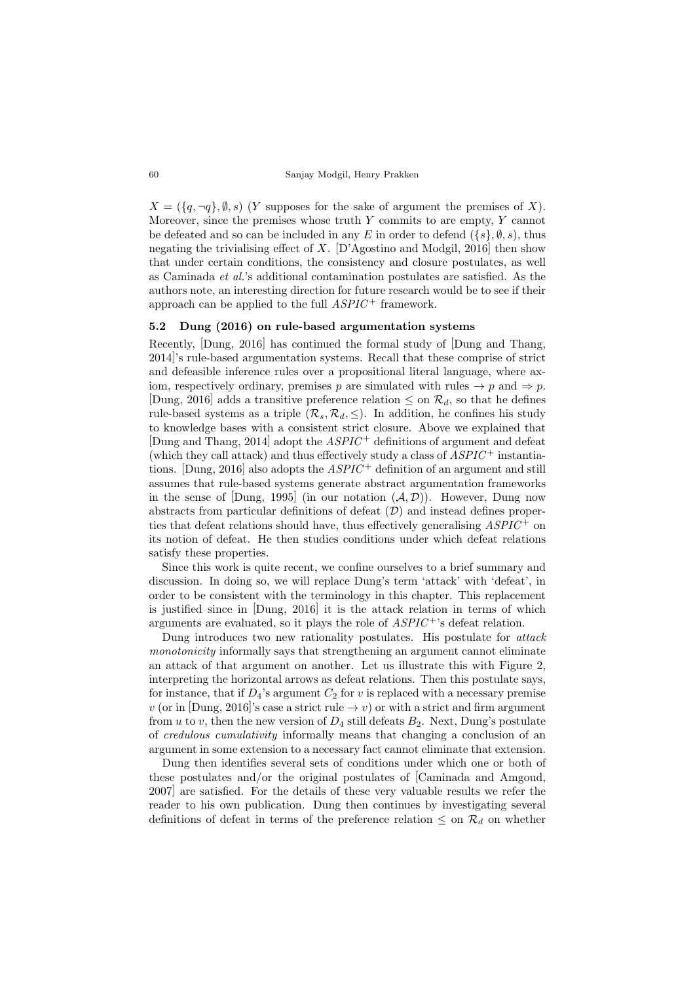$X = (\{q, \neg q\}, \emptyset, s)$  (Y supposes for the sake of argument the premises of X). Moreover, since the premises whose truth  $Y$  commits to are empty,  $Y$  cannot be defeated and so can be included in any E in order to defend  $({s}, \emptyset, s)$ , thus negating the trivialising effect of  $X$ . [D'Agostino and Modgil, 2016] then show that under certain conditions, the consistency and closure postulates, as well as Caminada et al.'s additional contamination postulates are satisfied. As the authors note, an interesting direction for future research would be to see if their approach can be applied to the full  $ASPIC^+$  framework.

## 5.2 Dung (2016) on rule-based argumentation systems

Recently, [Dung, 2016] has continued the formal study of [Dung and Thang, 2014]'s rule-based argumentation systems. Recall that these comprise of strict and defeasible inference rules over a propositional literal language, where axiom, respectively ordinary, premises p are simulated with rules  $\rightarrow p$  and  $\Rightarrow p$ . [Dung, 2016] adds a transitive preference relation  $\leq$  on  $\mathcal{R}_d$ , so that he defines rule-based systems as a triple  $(\mathcal{R}_s, \mathcal{R}_d, \leq)$ . In addition, he confines his study to knowledge bases with a consistent strict closure. Above we explained that [Dung and Thang, 2014] adopt the  $ASPIC^+$  definitions of argument and defeat (which they call attack) and thus effectively study a class of  $ASPIC^+$  instantiations. [Dung, 2016] also adopts the  $ASPIC^+$  definition of an argument and still assumes that rule-based systems generate abstract argumentation frameworks in the sense of  $(Dung, 1995)$  (in our notation  $(\mathcal{A}, \mathcal{D})$ ). However, Dung now abstracts from particular definitions of defeat  $(\mathcal{D})$  and instead defines properties that defeat relations should have, thus effectively generalising  $ASPIC^+$  on its notion of defeat. He then studies conditions under which defeat relations satisfy these properties.

Since this work is quite recent, we confine ourselves to a brief summary and discussion. In doing so, we will replace Dung's term 'attack' with 'defeat', in order to be consistent with the terminology in this chapter. This replacement is justified since in [Dung, 2016] it is the attack relation in terms of which arguments are evaluated, so it plays the role of  $ASPIC^{+}$ 's defeat relation.

Dung introduces two new rationality postulates. His postulate for attack monotonicity informally says that strengthening an argument cannot eliminate an attack of that argument on another. Let us illustrate this with Figure 2, interpreting the horizontal arrows as defeat relations. Then this postulate says, for instance, that if  $D_4$ 's argument  $C_2$  for v is replaced with a necessary premise v (or in [Dung, 2016]'s case a strict rule  $\rightarrow v$ ) or with a strict and firm argument from u to v, then the new version of  $D_4$  still defeats  $B_2$ . Next, Dung's postulate of credulous cumulativity informally means that changing a conclusion of an argument in some extension to a necessary fact cannot eliminate that extension.

Dung then identifies several sets of conditions under which one or both of these postulates and/or the original postulates of [Caminada and Amgoud, 2007] are satisfied. For the details of these very valuable results we refer the reader to his own publication. Dung then continues by investigating several definitions of defeat in terms of the preference relation  $\leq$  on  $\mathcal{R}_d$  on whether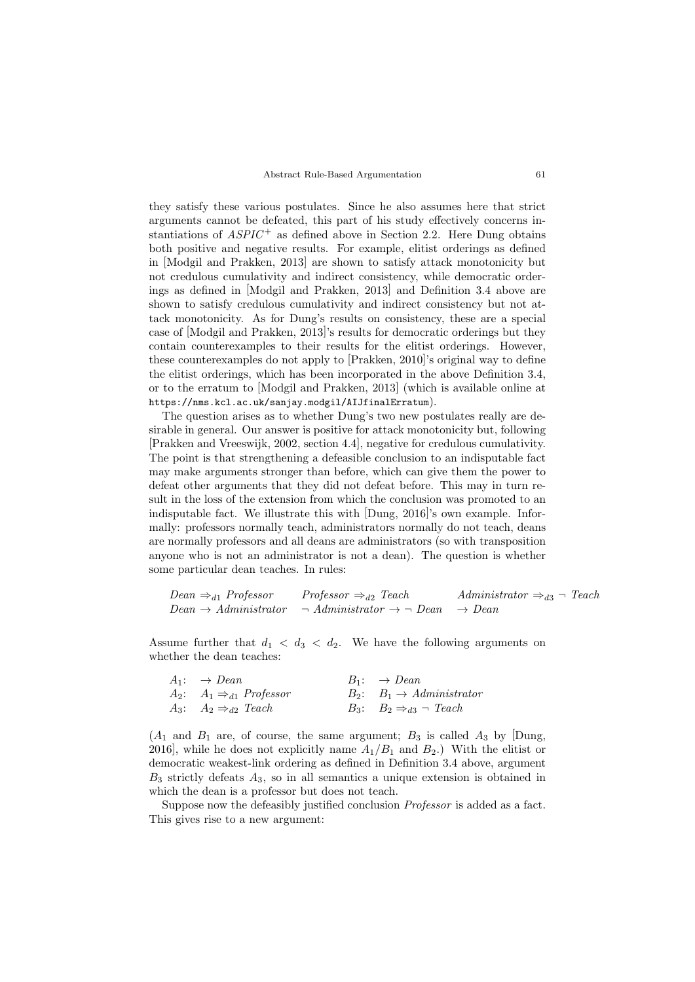they satisfy these various postulates. Since he also assumes here that strict arguments cannot be defeated, this part of his study effectively concerns instantiations of  $ASPIC^+$  as defined above in Section 2.2. Here Dung obtains both positive and negative results. For example, elitist orderings as defined in [Modgil and Prakken, 2013] are shown to satisfy attack monotonicity but not credulous cumulativity and indirect consistency, while democratic orderings as defined in [Modgil and Prakken, 2013] and Definition 3.4 above are shown to satisfy credulous cumulativity and indirect consistency but not attack monotonicity. As for Dung's results on consistency, these are a special case of [Modgil and Prakken, 2013]'s results for democratic orderings but they contain counterexamples to their results for the elitist orderings. However, these counterexamples do not apply to [Prakken, 2010]'s original way to define the elitist orderings, which has been incorporated in the above Definition 3.4, or to the erratum to [Modgil and Prakken, 2013] (which is available online at https://nms.kcl.ac.uk/sanjay.modgil/AIJfinalErratum).

The question arises as to whether Dung's two new postulates really are desirable in general. Our answer is positive for attack monotonicity but, following [Prakken and Vreeswijk, 2002, section 4.4], negative for credulous cumulativity. The point is that strengthening a defeasible conclusion to an indisputable fact may make arguments stronger than before, which can give them the power to defeat other arguments that they did not defeat before. This may in turn result in the loss of the extension from which the conclusion was promoted to an indisputable fact. We illustrate this with [Dung, 2016]'s own example. Informally: professors normally teach, administrators normally do not teach, deans are normally professors and all deans are administrators (so with transposition anyone who is not an administrator is not a dean). The question is whether some particular dean teaches. In rules:

$$
Dean \Rightarrow_{d1} Professor \Rightarrow_{d2}Teach
$$
  $Administrator \Rightarrow_{d3} \neg$ Teach   
 $Dean \rightarrow Administrator \Rightarrow Administrator \Rightarrow Dean$ 

Assume further that  $d_1 < d_3 < d_2$ . We have the following arguments on whether the dean teaches:

| $A_1: \rightarrow Dean$                  | $B_1: \rightarrow Dean$                   |
|------------------------------------------|-------------------------------------------|
| $A_2$ : $A_1 \Rightarrow_{d1}$ Professor | $B_2$ : $B_1 \rightarrow$ Administrator   |
| $A_3$ : $A_2 \Rightarrow_{d2}$ Teach     | $B_3$ : $B_2 \Rightarrow_{d3} \neg$ Teach |

 $(A_1 \text{ and } B_1 \text{ are, of course, the same argument}; B_3 \text{ is called } A_3 \text{ by } [\text{Dung}]$ 2016], while he does not explicitly name  $A_1/B_1$  and  $B_2$ .) With the elitist or democratic weakest-link ordering as defined in Definition 3.4 above, argument  $B_3$  strictly defeats  $A_3$ , so in all semantics a unique extension is obtained in which the dean is a professor but does not teach.

Suppose now the defeasibly justified conclusion Professor is added as a fact. This gives rise to a new argument: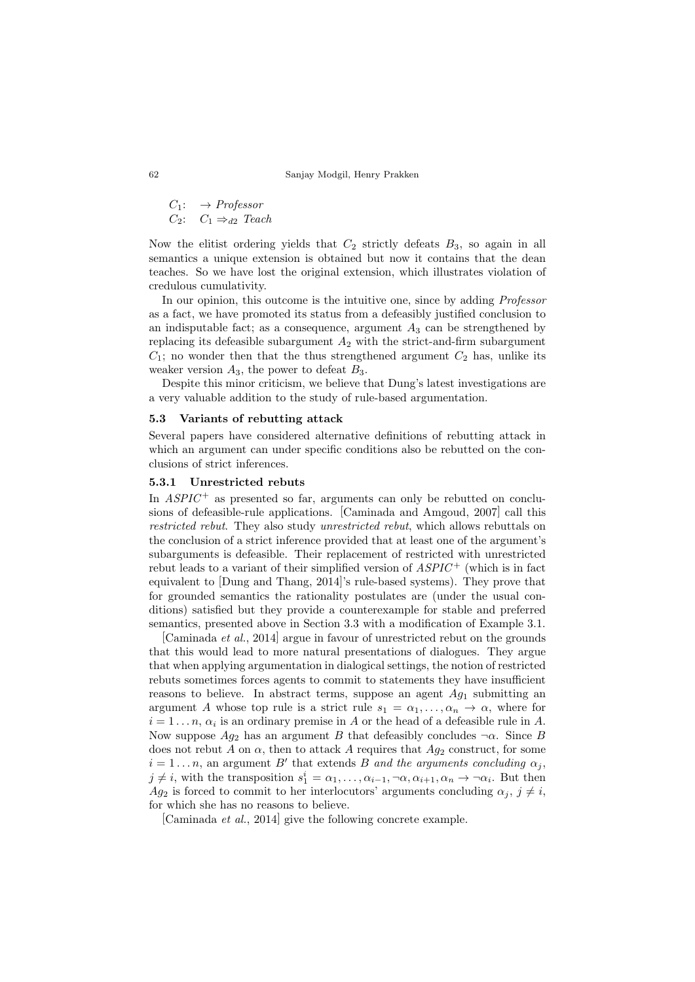$C_1: \rightarrow Professor$  $C_2$ :  $C_1 \Rightarrow_{d2}$  Teach

Now the elitist ordering yields that  $C_2$  strictly defeats  $B_3$ , so again in all semantics a unique extension is obtained but now it contains that the dean teaches. So we have lost the original extension, which illustrates violation of credulous cumulativity.

In our opinion, this outcome is the intuitive one, since by adding *Professor* as a fact, we have promoted its status from a defeasibly justified conclusion to an indisputable fact; as a consequence, argument  $A_3$  can be strengthened by replacing its defeasible subargument  $A_2$  with the strict-and-firm subargument  $C_1$ ; no wonder then that the thus strengthened argument  $C_2$  has, unlike its weaker version  $A_3$ , the power to defeat  $B_3$ .

Despite this minor criticism, we believe that Dung's latest investigations are a very valuable addition to the study of rule-based argumentation.

#### 5.3 Variants of rebutting attack

Several papers have considered alternative definitions of rebutting attack in which an argument can under specific conditions also be rebutted on the conclusions of strict inferences.

### 5.3.1 Unrestricted rebuts

In  $ASPIC^+$  as presented so far, arguments can only be rebutted on conclusions of defeasible-rule applications. [Caminada and Amgoud, 2007] call this restricted rebut. They also study unrestricted rebut, which allows rebuttals on the conclusion of a strict inference provided that at least one of the argument's subarguments is defeasible. Their replacement of restricted with unrestricted rebut leads to a variant of their simplified version of  $ASPIC^{+}$  (which is in fact equivalent to [Dung and Thang, 2014]'s rule-based systems). They prove that for grounded semantics the rationality postulates are (under the usual conditions) satisfied but they provide a counterexample for stable and preferred semantics, presented above in Section 3.3 with a modification of Example 3.1.

[Caminada et al., 2014] argue in favour of unrestricted rebut on the grounds that this would lead to more natural presentations of dialogues. They argue that when applying argumentation in dialogical settings, the notion of restricted rebuts sometimes forces agents to commit to statements they have insufficient reasons to believe. In abstract terms, suppose an agent  $Ag<sub>1</sub>$  submitting an argument A whose top rule is a strict rule  $s_1 = \alpha_1, \ldots, \alpha_n \to \alpha$ , where for  $i = 1 \dots n$ ,  $\alpha_i$  is an ordinary premise in A or the head of a defeasible rule in A. Now suppose  $Ag_2$  has an argument B that defeasibly concludes  $\neg \alpha$ . Since B does not rebut A on  $\alpha$ , then to attack A requires that  $Aq_2$  construct, for some  $i = 1 \dots n$ , an argument B' that extends B and the arguments concluding  $\alpha_j$ ,  $j \neq i$ , with the transposition  $s_1^i = \alpha_1, \ldots, \alpha_{i-1}, \neg \alpha, \alpha_{i+1}, \alpha_n \to \neg \alpha_i$ . But then  $Ag_2$  is forced to commit to her interlocutors' arguments concluding  $\alpha_j$ ,  $j \neq i$ , for which she has no reasons to believe.

[Caminada et al., 2014] give the following concrete example.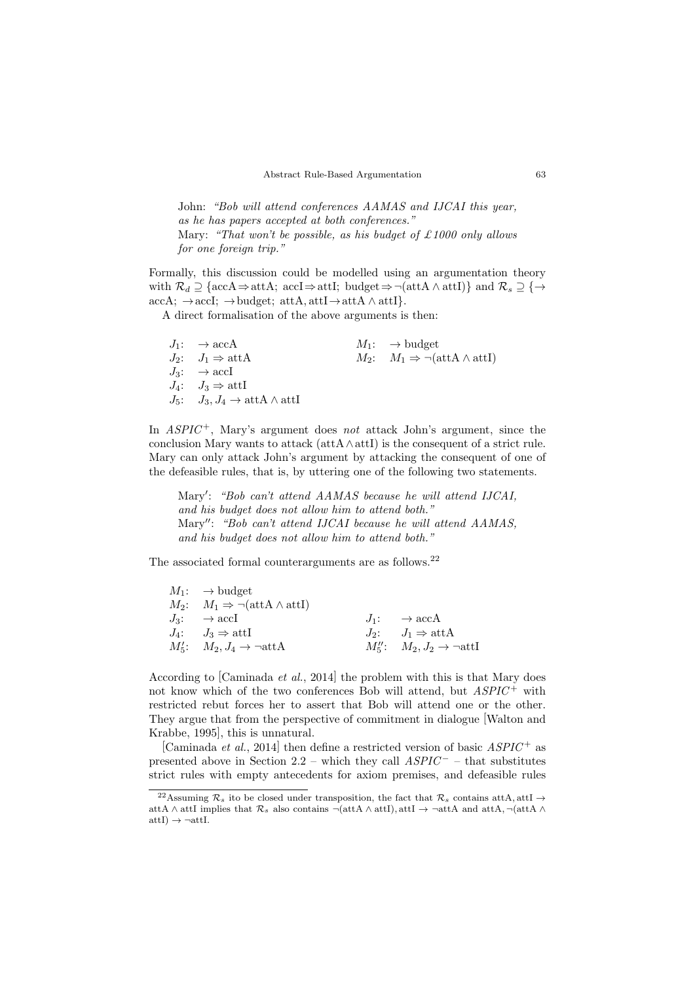John: "Bob will attend conferences AAMAS and IJCAI this year, as he has papers accepted at both conferences." Mary: "That won't be possible, as his budget of £1000 only allows for one foreign trip."

Formally, this discussion could be modelled using an argumentation theory with  $\mathcal{R}_d \supseteq {\text{accA} \Rightarrow \text{attA}}$ ;  $\text{accI} \Rightarrow \text{attI}$ ;  $\text{budget} \Rightarrow \neg (\text{attA} \land \text{attI})$ } and  $\mathcal{R}_s \supseteq {\rightarrow}$  $\text{accA:} \rightarrow \text{accI:} \rightarrow \text{budget:} \text{attA,attI} \rightarrow \text{attA} \land \text{attI}.$ 

A direct formalisation of the above arguments is then:

 $J_1: \rightarrow \text{accA}$   $M_1: \rightarrow \text{budget}$  $J_2$ :  $J_1 \Rightarrow \text{attA}$   $M_2$ :  $M_1 \Rightarrow \neg(\text{attA} \land \text{attI})$  $J_3: \rightarrow \text{accI}$  $J_4:$   $J_3 \Rightarrow \text{attI}$  $J_5:$   $J_3, J_4 \rightarrow \text{attA} \wedge \text{attI}$ 

In  $ASPIC^+$ , Mary's argument does not attack John's argument, since the conclusion Mary wants to attack (att $A \wedge \text{att}$ ) is the consequent of a strict rule. Mary can only attack John's argument by attacking the consequent of one of the defeasible rules, that is, by uttering one of the following two statements.

Mary': "Bob can't attend AAMAS because he will attend IJCAI, and his budget does not allow him to attend both." Mary": "Bob can't attend IJCAI because he will attend AAMAS. and his budget does not allow him to attend both."

The associated formal counterarguments are as follows.<sup>22</sup>

| $M_1: \rightarrow$ budget                                      |                                                   |
|----------------------------------------------------------------|---------------------------------------------------|
| $M_2$ : $M_1 \Rightarrow \neg(\text{attA} \wedge \text{attI})$ |                                                   |
| $J_3: \rightarrow \text{accI}$                                 | $J_1: \rightarrow \text{accA}$                    |
| $J_4: \quad J_3 \Rightarrow \text{attI}$                       | $J_2: \tJ_1 \Rightarrow \text{attA}$              |
| $M'_5$ : $M_2, J_4 \rightarrow \neg \text{attA}$               | $M''_5$ : $M_2, J_2 \rightarrow \neg \text{attI}$ |

According to [Caminada et al., 2014] the problem with this is that Mary does not know which of the two conferences Bob will attend, but  $ASPIC^+$  with restricted rebut forces her to assert that Bob will attend one or the other. They argue that from the perspective of commitment in dialogue [Walton and Krabbe, 1995], this is unnatural.

[Caminada *et al.*, 2014] then define a restricted version of basic  $ASPIC^+$  as presented above in Section 2.2 – which they call  $ASPIC^-$  – that substitutes strict rules with empty antecedents for axiom premises, and defeasible rules

<sup>&</sup>lt;sup>22</sup>Assuming  $\mathcal{R}_s$  ito be closed under transposition, the fact that  $\mathcal{R}_s$  contains attA, attI  $\rightarrow$ attA ∧ attI implies that  $\mathcal{R}_s$  also contains  $\neg(\text{attA} \land \text{attI}), \text{attI} \rightarrow \neg \text{attA}$  and  $\text{attA}, \neg(\text{attA} \land \text{attI})$  $attI) \rightarrow \neg attI.$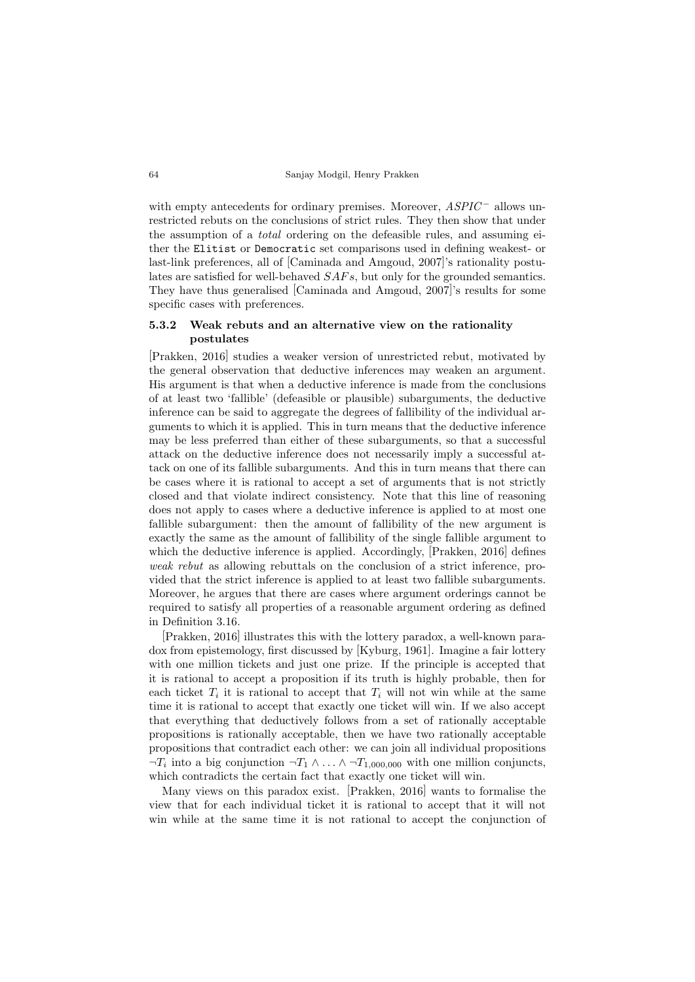with empty antecedents for ordinary premises. Moreover,  $ASPIC^-$  allows unrestricted rebuts on the conclusions of strict rules. They then show that under the assumption of a total ordering on the defeasible rules, and assuming either the Elitist or Democratic set comparisons used in defining weakest- or last-link preferences, all of [Caminada and Amgoud, 2007]'s rationality postulates are satisfied for well-behaved  $SAFs$ , but only for the grounded semantics. They have thus generalised [Caminada and Amgoud, 2007]'s results for some specific cases with preferences.

## 5.3.2 Weak rebuts and an alternative view on the rationality postulates

[Prakken, 2016] studies a weaker version of unrestricted rebut, motivated by the general observation that deductive inferences may weaken an argument. His argument is that when a deductive inference is made from the conclusions of at least two 'fallible' (defeasible or plausible) subarguments, the deductive inference can be said to aggregate the degrees of fallibility of the individual arguments to which it is applied. This in turn means that the deductive inference may be less preferred than either of these subarguments, so that a successful attack on the deductive inference does not necessarily imply a successful attack on one of its fallible subarguments. And this in turn means that there can be cases where it is rational to accept a set of arguments that is not strictly closed and that violate indirect consistency. Note that this line of reasoning does not apply to cases where a deductive inference is applied to at most one fallible subargument: then the amount of fallibility of the new argument is exactly the same as the amount of fallibility of the single fallible argument to which the deductive inference is applied. Accordingly,  $[Prakken, 2016]$  defines weak rebut as allowing rebuttals on the conclusion of a strict inference, provided that the strict inference is applied to at least two fallible subarguments. Moreover, he argues that there are cases where argument orderings cannot be required to satisfy all properties of a reasonable argument ordering as defined in Definition 3.16.

[Prakken, 2016] illustrates this with the lottery paradox, a well-known paradox from epistemology, first discussed by [Kyburg, 1961]. Imagine a fair lottery with one million tickets and just one prize. If the principle is accepted that it is rational to accept a proposition if its truth is highly probable, then for each ticket  $T_i$  it is rational to accept that  $T_i$  will not win while at the same time it is rational to accept that exactly one ticket will win. If we also accept that everything that deductively follows from a set of rationally acceptable propositions is rationally acceptable, then we have two rationally acceptable propositions that contradict each other: we can join all individual propositions  $\neg T_i$  into a big conjunction  $\neg T_1 \wedge \dots \wedge \neg T_{1,000,000}$  with one million conjuncts, which contradicts the certain fact that exactly one ticket will win.

Many views on this paradox exist. [Prakken, 2016] wants to formalise the view that for each individual ticket it is rational to accept that it will not win while at the same time it is not rational to accept the conjunction of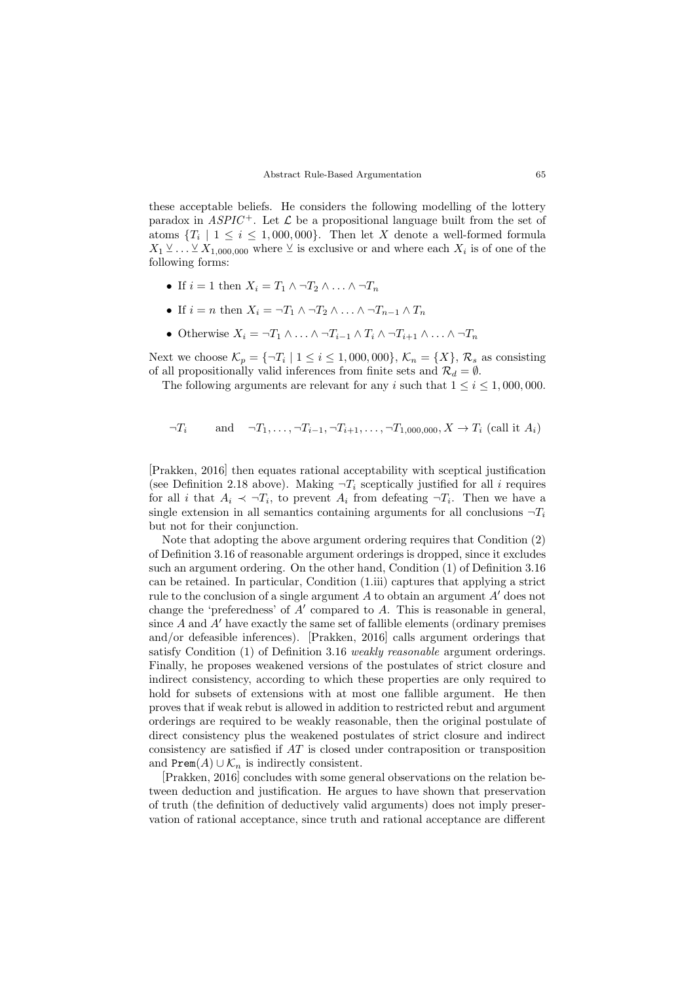these acceptable beliefs. He considers the following modelling of the lottery paradox in  $ASPIC^+$ . Let  $\mathcal L$  be a propositional language built from the set of atoms  $\{T_i \mid 1 \leq i \leq 1,000,000\}$ . Then let X denote a well-formed formula  $X_1 \vee \ldots \vee X_{1,000,000}$  where  $\vee$  is exclusive or and where each  $X_i$  is of one of the following forms:

- If  $i = 1$  then  $X_i = T_1 \wedge \neg T_2 \wedge \dots \wedge \neg T_n$
- If  $i = n$  then  $X_i = \neg T_1 \land \neg T_2 \land \dots \land \neg T_{n-1} \land T_n$
- Otherwise  $X_i = \neg T_1 \wedge \dots \wedge \neg T_{i-1} \wedge T_i \wedge \neg T_{i+1} \wedge \dots \wedge \neg T_n$

Next we choose  $\mathcal{K}_p = \{\neg T_i \mid 1 \leq i \leq 1,000,000\}, \, \mathcal{K}_n = \{X\}, \, \mathcal{R}_s$  as consisting of all propositionally valid inferences from finite sets and  $\mathcal{R}_d = \emptyset$ .

The following arguments are relevant for any i such that  $1 \leq i \leq 1,000,000$ .

$$
\neg T_i
$$
 and  $\neg T_1, \dots, \neg T_{i-1}, \neg T_{i+1}, \dots, \neg T_{1,000,000}, X \to T_i$  (call it  $A_i$ )

[Prakken, 2016] then equates rational acceptability with sceptical justification (see Definition 2.18 above). Making  $\neg T_i$  sceptically justified for all i requires for all i that  $A_i \prec \neg T_i$ , to prevent  $A_i$  from defeating  $\neg T_i$ . Then we have a single extension in all semantics containing arguments for all conclusions  $\neg T_i$ but not for their conjunction.

Note that adopting the above argument ordering requires that Condition (2) of Definition 3.16 of reasonable argument orderings is dropped, since it excludes such an argument ordering. On the other hand, Condition (1) of Definition 3.16 can be retained. In particular, Condition (1.iii) captures that applying a strict rule to the conclusion of a single argument A to obtain an argument  $A'$  does not change the 'preferedness' of  $A'$  compared to  $A$ . This is reasonable in general, since  $A$  and  $A'$  have exactly the same set of fallible elements (ordinary premises and/or defeasible inferences). [Prakken, 2016] calls argument orderings that satisfy Condition (1) of Definition 3.16 weakly reasonable argument orderings. Finally, he proposes weakened versions of the postulates of strict closure and indirect consistency, according to which these properties are only required to hold for subsets of extensions with at most one fallible argument. He then proves that if weak rebut is allowed in addition to restricted rebut and argument orderings are required to be weakly reasonable, then the original postulate of direct consistency plus the weakened postulates of strict closure and indirect consistency are satisfied if AT is closed under contraposition or transposition and  $\text{Prem}(A) \cup \mathcal{K}_n$  is indirectly consistent.

[Prakken, 2016] concludes with some general observations on the relation between deduction and justification. He argues to have shown that preservation of truth (the definition of deductively valid arguments) does not imply preservation of rational acceptance, since truth and rational acceptance are different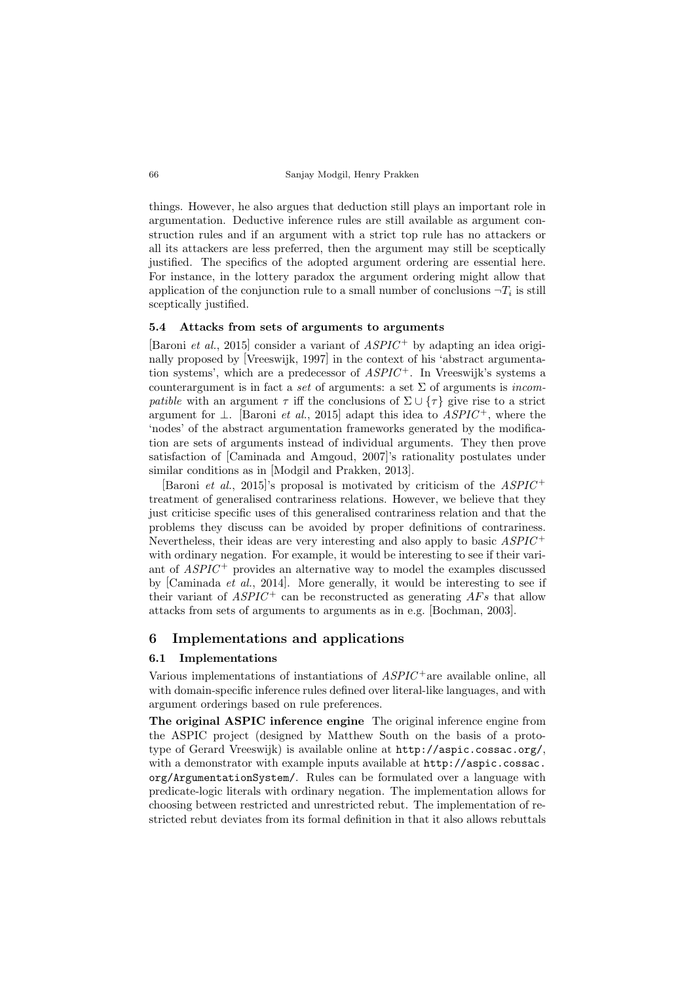things. However, he also argues that deduction still plays an important role in argumentation. Deductive inference rules are still available as argument construction rules and if an argument with a strict top rule has no attackers or all its attackers are less preferred, then the argument may still be sceptically justified. The specifics of the adopted argument ordering are essential here. For instance, in the lottery paradox the argument ordering might allow that application of the conjunction rule to a small number of conclusions  $\neg T_i$  is still sceptically justified.

## 5.4 Attacks from sets of arguments to arguments

[Baroni *et al.*, 2015] consider a variant of  $ASPIC^+$  by adapting an idea originally proposed by [Vreeswijk, 1997] in the context of his 'abstract argumentation systems', which are a predecessor of  $ASPIC^+$ . In Vreeswijk's systems a counterargument is in fact a set of arguments: a set  $\Sigma$  of arguments is *incom*patible with an argument  $\tau$  iff the conclusions of  $\Sigma \cup {\tau}$  give rise to a strict argument for  $\perp$ . [Baroni *et al.*, 2015] adapt this idea to  $ASPIC^+$ , where the 'nodes' of the abstract argumentation frameworks generated by the modification are sets of arguments instead of individual arguments. They then prove satisfaction of [Caminada and Amgoud, 2007]'s rationality postulates under similar conditions as in [Modgil and Prakken, 2013].

[Baroni *et al.*, 2015]'s proposal is motivated by criticism of the  $ASPIC^+$ treatment of generalised contrariness relations. However, we believe that they just criticise specific uses of this generalised contrariness relation and that the problems they discuss can be avoided by proper definitions of contrariness. Nevertheless, their ideas are very interesting and also apply to basic  $ASPIC^+$ with ordinary negation. For example, it would be interesting to see if their variant of  $ASPIC^+$  provides an alternative way to model the examples discussed by [Caminada et al., 2014]. More generally, it would be interesting to see if their variant of  $ASPIC^+$  can be reconstructed as generating  $AFs$  that allow attacks from sets of arguments to arguments as in e.g. [Bochman, 2003].

## 6 Implementations and applications

#### 6.1 Implementations

Various implementations of instantiations of  $ASPIC^+$  are available online, all with domain-specific inference rules defined over literal-like languages, and with argument orderings based on rule preferences.

The original ASPIC inference engine The original inference engine from the ASPIC project (designed by Matthew South on the basis of a prototype of Gerard Vreeswijk) is available online at http://aspic.cossac.org/, with a demonstrator with example inputs available at http://aspic.cossac. org/ArgumentationSystem/. Rules can be formulated over a language with predicate-logic literals with ordinary negation. The implementation allows for choosing between restricted and unrestricted rebut. The implementation of restricted rebut deviates from its formal definition in that it also allows rebuttals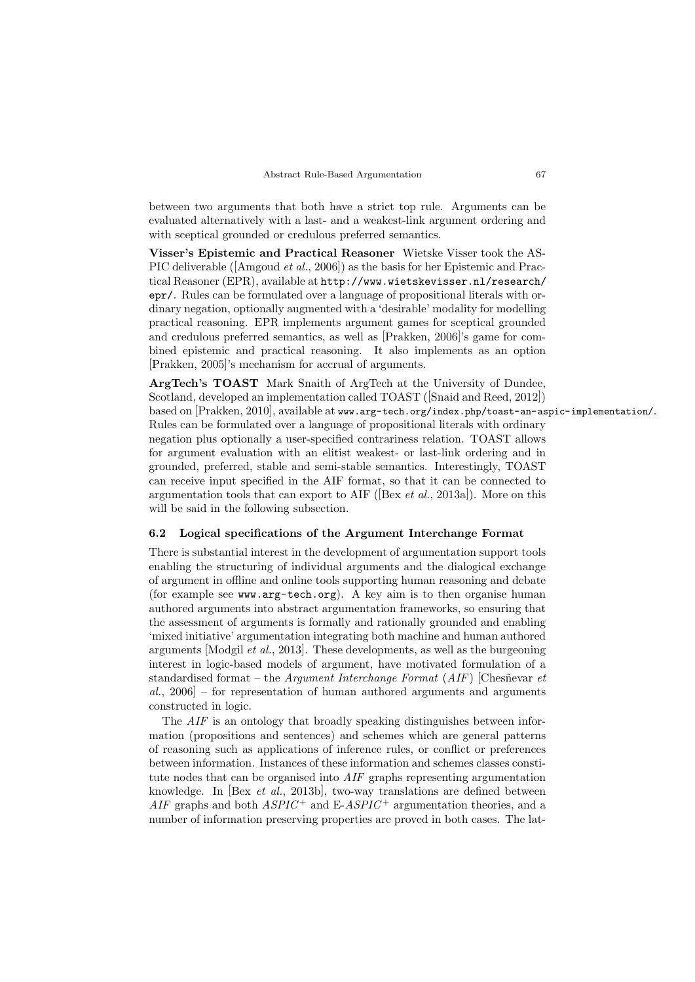between two arguments that both have a strict top rule. Arguments can be evaluated alternatively with a last- and a weakest-link argument ordering and with sceptical grounded or credulous preferred semantics.

Visser's Epistemic and Practical Reasoner Wietske Visser took the AS-PIC deliverable ([Amgoud et al., 2006]) as the basis for her Epistemic and Practical Reasoner (EPR), available at http://www.wietskevisser.nl/research/ epr/. Rules can be formulated over a language of propositional literals with ordinary negation, optionally augmented with a 'desirable' modality for modelling practical reasoning. EPR implements argument games for sceptical grounded and credulous preferred semantics, as well as [Prakken, 2006]'s game for combined epistemic and practical reasoning. It also implements as an option [Prakken, 2005]'s mechanism for accrual of arguments.

ArgTech's TOAST Mark Snaith of ArgTech at the University of Dundee, Scotland, developed an implementation called TOAST ([Snaid and Reed, 2012]) based on [Prakken, 2010], available at www.arg-tech.org/index.php/toast-an-aspic-implementation/. Rules can be formulated over a language of propositional literals with ordinary negation plus optionally a user-specified contrariness relation. TOAST allows for argument evaluation with an elitist weakest- or last-link ordering and in grounded, preferred, stable and semi-stable semantics. Interestingly, TOAST can receive input specified in the AIF format, so that it can be connected to argumentation tools that can export to AIF ([Bex *et al.*, 2013a]). More on this will be said in the following subsection.

## 6.2 Logical specifications of the Argument Interchange Format

There is substantial interest in the development of argumentation support tools enabling the structuring of individual arguments and the dialogical exchange of argument in offline and online tools supporting human reasoning and debate (for example see www.arg-tech.org). A key aim is to then organise human authored arguments into abstract argumentation frameworks, so ensuring that the assessment of arguments is formally and rationally grounded and enabling 'mixed initiative' argumentation integrating both machine and human authored arguments [Modgil et al., 2013]. These developments, as well as the burgeoning interest in logic-based models of argument, have motivated formulation of a standardised format – the Argument Interchange Format  $(AIF)$  [Chesnevar et al., 2006] – for representation of human authored arguments and arguments constructed in logic.

The AIF is an ontology that broadly speaking distinguishes between information (propositions and sentences) and schemes which are general patterns of reasoning such as applications of inference rules, or conflict or preferences between information. Instances of these information and schemes classes constitute nodes that can be organised into AIF graphs representing argumentation knowledge. In [Bex et al., 2013b], two-way translations are defined between  $AIF$  graphs and both  $ASPIC^+$  and  $E-ASPIC^+$  argumentation theories, and a number of information preserving properties are proved in both cases. The lat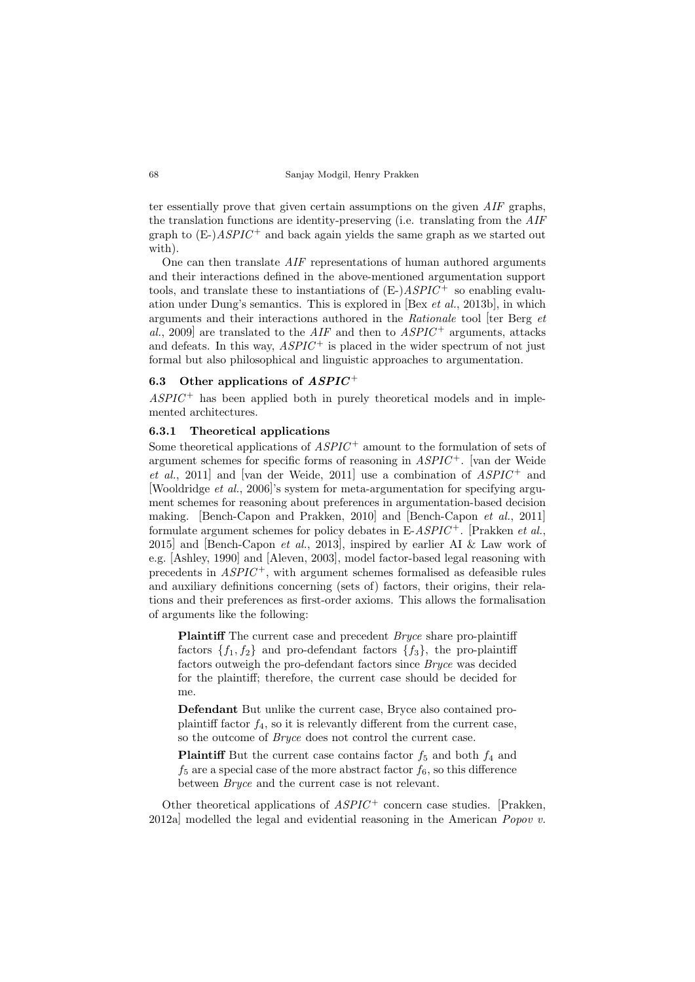ter essentially prove that given certain assumptions on the given AIF graphs, the translation functions are identity-preserving (i.e. translating from the AIF graph to  $(E-)ASPIC^+$  and back again yields the same graph as we started out with).

One can then translate AIF representations of human authored arguments and their interactions defined in the above-mentioned argumentation support tools, and translate these to instantiations of  $(E-)ASPIC^+$  so enabling evaluation under Dung's semantics. This is explored in [Bex et al., 2013b], in which arguments and their interactions authored in the Rationale tool [ter Berg et al., 2009] are translated to the  $AIF$  and then to  $ASPIC^+$  arguments, attacks and defeats. In this way,  $ASPIC^+$  is placed in the wider spectrum of not just formal but also philosophical and linguistic approaches to argumentation.

## 6.3 Other applications of  $ASPIC^+$

 $ASPIC^+$  has been applied both in purely theoretical models and in implemented architectures.

#### 6.3.1 Theoretical applications

Some theoretical applications of  $ASPIC^+$  amount to the formulation of sets of argument schemes for specific forms of reasoning in  $ASPIC^+$ . [van der Weide et al., 2011] and [van der Weide, 2011] use a combination of  $ASPIC^+$  and [Wooldridge et al., 2006]'s system for meta-argumentation for specifying argument schemes for reasoning about preferences in argumentation-based decision making. [Bench-Capon and Prakken, 2010] and [Bench-Capon et al., 2011] formulate argument schemes for policy debates in  $E\text{-}ASPIC^+$ . [Prakken *et al.*, 2015] and [Bench-Capon et al., 2013], inspired by earlier AI & Law work of e.g. [Ashley, 1990] and [Aleven, 2003], model factor-based legal reasoning with precedents in  $ASPIC^+$ , with argument schemes formalised as defeasible rules and auxiliary definitions concerning (sets of) factors, their origins, their relations and their preferences as first-order axioms. This allows the formalisation of arguments like the following:

Plaintiff The current case and precedent *Bryce* share pro-plaintiff factors  $\{f_1, f_2\}$  and pro-defendant factors  $\{f_3\}$ , the pro-plaintiff factors outweigh the pro-defendant factors since Bryce was decided for the plaintiff; therefore, the current case should be decided for me.

Defendant But unlike the current case, Bryce also contained proplaintiff factor  $f_4$ , so it is relevantly different from the current case, so the outcome of Bryce does not control the current case.

**Plaintiff** But the current case contains factor  $f_5$  and both  $f_4$  and  $f_5$  are a special case of the more abstract factor  $f_6$ , so this difference between Bryce and the current case is not relevant.

Other theoretical applications of  $ASPIC^+$  concern case studies. [Prakken, 2012a] modelled the legal and evidential reasoning in the American *Popov v.*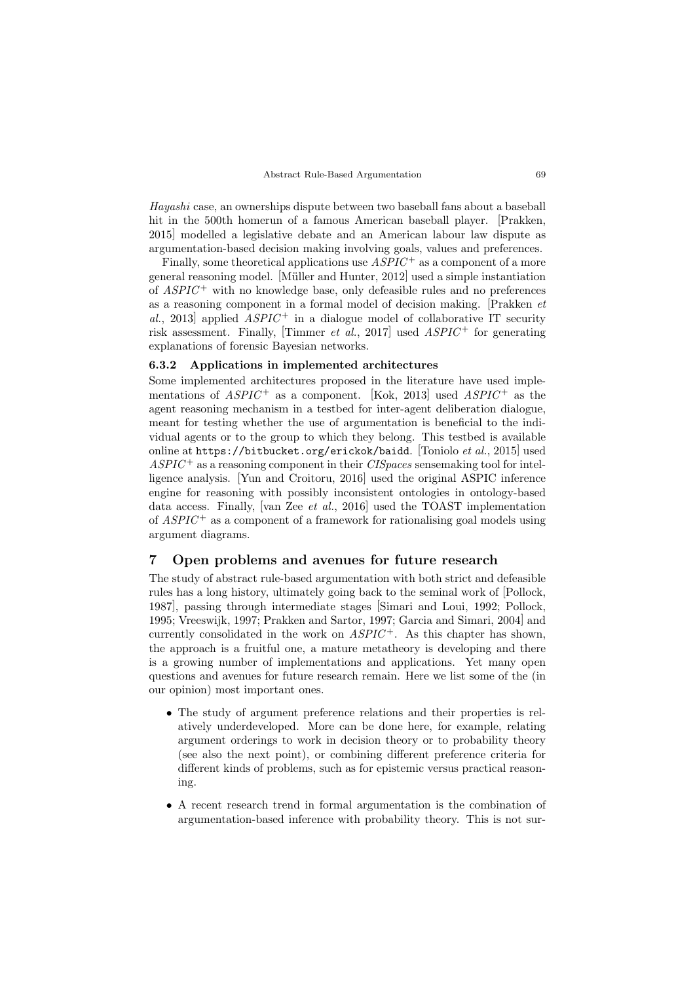Hayashi case, an ownerships dispute between two baseball fans about a baseball hit in the 500th homerun of a famous American baseball player. [Prakken, 2015] modelled a legislative debate and an American labour law dispute as argumentation-based decision making involving goals, values and preferences.

Finally, some theoretical applications use  $ASPIC^+$  as a component of a more general reasoning model. [M¨uller and Hunter, 2012] used a simple instantiation of  $ASPIC^+$  with no knowledge base, only defeasible rules and no preferences as a reasoning component in a formal model of decision making. [Prakken et al., 2013] applied  $ASPIC^+$  in a dialogue model of collaborative IT security risk assessment. Finally, [Timmer *et al.*, 2017] used  $ASPIC^+$  for generating explanations of forensic Bayesian networks.

## 6.3.2 Applications in implemented architectures

Some implemented architectures proposed in the literature have used implementations of  $ASPIC^+$  as a component. [Kok, 2013] used  $ASPIC^+$  as the agent reasoning mechanism in a testbed for inter-agent deliberation dialogue, meant for testing whether the use of argumentation is beneficial to the individual agents or to the group to which they belong. This testbed is available online at https://bitbucket.org/erickok/baidd. [Toniolo et al., 2015] used  $ASPIC^+$  as a reasoning component in their *CISpaces* sensemaking tool for intelligence analysis. [Yun and Croitoru, 2016] used the original ASPIC inference engine for reasoning with possibly inconsistent ontologies in ontology-based data access. Finally, [van Zee *et al.*, 2016] used the TOAST implementation of  $ASPIC^+$  as a component of a framework for rationalising goal models using argument diagrams.

# 7 Open problems and avenues for future research

The study of abstract rule-based argumentation with both strict and defeasible rules has a long history, ultimately going back to the seminal work of [Pollock, 1987], passing through intermediate stages [Simari and Loui, 1992; Pollock, 1995; Vreeswijk, 1997; Prakken and Sartor, 1997; Garcia and Simari, 2004] and currently consolidated in the work on  $ASPIC^+$ . As this chapter has shown, the approach is a fruitful one, a mature metatheory is developing and there is a growing number of implementations and applications. Yet many open questions and avenues for future research remain. Here we list some of the (in our opinion) most important ones.

- The study of argument preference relations and their properties is relatively underdeveloped. More can be done here, for example, relating argument orderings to work in decision theory or to probability theory (see also the next point), or combining different preference criteria for different kinds of problems, such as for epistemic versus practical reasoning.
- A recent research trend in formal argumentation is the combination of argumentation-based inference with probability theory. This is not sur-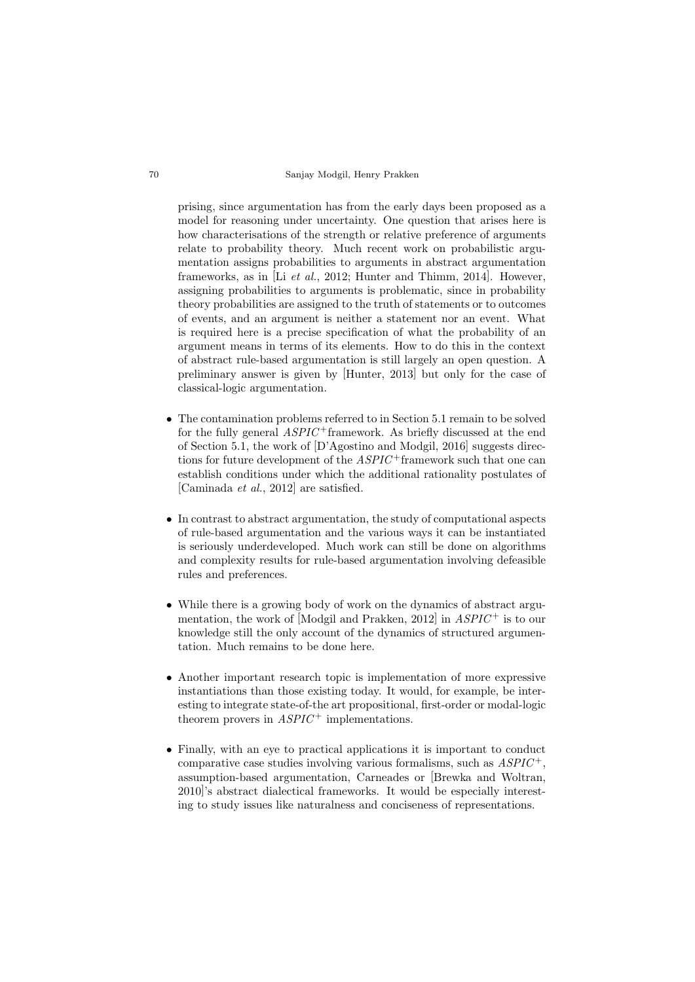prising, since argumentation has from the early days been proposed as a model for reasoning under uncertainty. One question that arises here is how characterisations of the strength or relative preference of arguments relate to probability theory. Much recent work on probabilistic argumentation assigns probabilities to arguments in abstract argumentation frameworks, as in [Li et al., 2012; Hunter and Thimm, 2014]. However, assigning probabilities to arguments is problematic, since in probability theory probabilities are assigned to the truth of statements or to outcomes of events, and an argument is neither a statement nor an event. What is required here is a precise specification of what the probability of an argument means in terms of its elements. How to do this in the context of abstract rule-based argumentation is still largely an open question. A preliminary answer is given by [Hunter, 2013] but only for the case of classical-logic argumentation.

- The contamination problems referred to in Section 5.1 remain to be solved for the fully general  $ASPIC$ <sup>+</sup>framework. As briefly discussed at the end of Section 5.1, the work of [D'Agostino and Modgil, 2016] suggests directions for future development of the  $ASPIC^+$  framework such that one can establish conditions under which the additional rationality postulates of [Caminada et al., 2012] are satisfied.
- In contrast to abstract argumentation, the study of computational aspects of rule-based argumentation and the various ways it can be instantiated is seriously underdeveloped. Much work can still be done on algorithms and complexity results for rule-based argumentation involving defeasible rules and preferences.
- While there is a growing body of work on the dynamics of abstract argumentation, the work of [Modgil and Prakken, 2012] in  $ASPIC^+$  is to our knowledge still the only account of the dynamics of structured argumentation. Much remains to be done here.
- Another important research topic is implementation of more expressive instantiations than those existing today. It would, for example, be interesting to integrate state-of-the art propositional, first-order or modal-logic theorem provers in  $ASPIC^+$  implementations.
- Finally, with an eye to practical applications it is important to conduct comparative case studies involving various formalisms, such as  $ASPIC^+$ . assumption-based argumentation, Carneades or [Brewka and Woltran, 2010]'s abstract dialectical frameworks. It would be especially interesting to study issues like naturalness and conciseness of representations.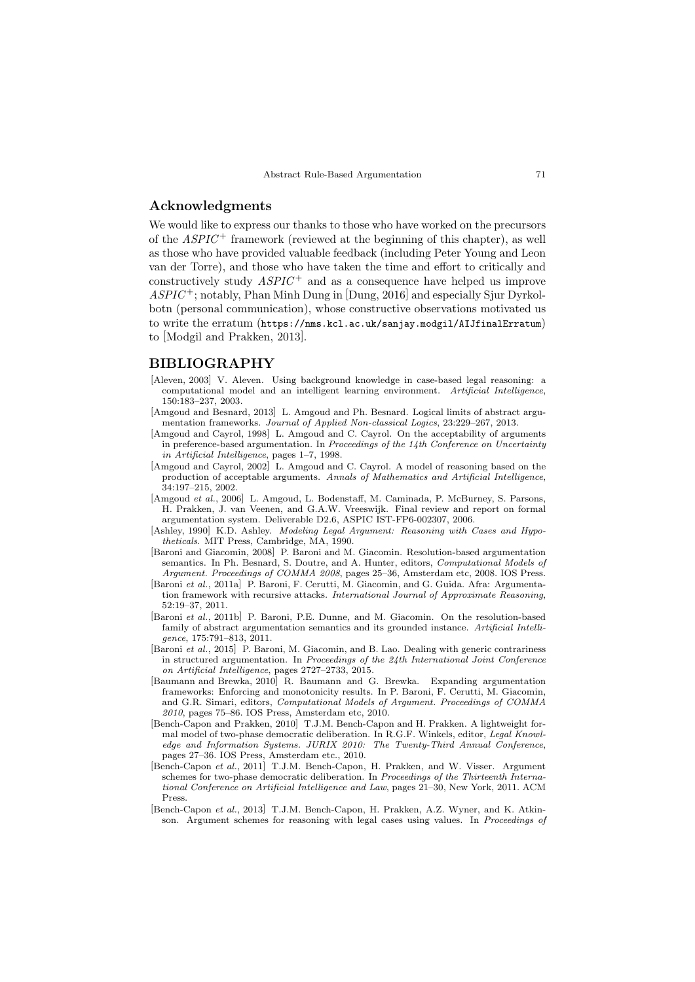## Acknowledgments

We would like to express our thanks to those who have worked on the precursors of the  $ASPIC^+$  framework (reviewed at the beginning of this chapter), as well as those who have provided valuable feedback (including Peter Young and Leon van der Torre), and those who have taken the time and effort to critically and constructively study  $ASPIC^+$  and as a consequence have helped us improve  $ASPIC^+$ ; notably, Phan Minh Dung in [Dung, 2016] and especially Sjur Dyrkolbotn (personal communication), whose constructive observations motivated us to write the erratum (https://nms.kcl.ac.uk/sanjay.modgil/AIJfinalErratum) to [Modgil and Prakken, 2013].

### BIBLIOGRAPHY

- [Aleven, 2003] V. Aleven. Using background knowledge in case-based legal reasoning: a computational model and an intelligent learning environment. Artificial Intelligence, 150:183–237, 2003.
- [Amgoud and Besnard, 2013] L. Amgoud and Ph. Besnard. Logical limits of abstract argumentation frameworks. Journal of Applied Non-classical Logics, 23:229–267, 2013.
- [Amgoud and Cayrol, 1998] L. Amgoud and C. Cayrol. On the acceptability of arguments in preference-based argumentation. In Proceedings of the 14th Conference on Uncertainty in Artificial Intelligence, pages 1–7, 1998.
- [Amgoud and Cayrol, 2002] L. Amgoud and C. Cayrol. A model of reasoning based on the production of acceptable arguments. Annals of Mathematics and Artificial Intelligence, 34:197–215, 2002.
- [Amgoud et al., 2006] L. Amgoud, L. Bodenstaff, M. Caminada, P. McBurney, S. Parsons, H. Prakken, J. van Veenen, and G.A.W. Vreeswijk. Final review and report on formal argumentation system. Deliverable D2.6, ASPIC IST-FP6-002307, 2006.
- [Ashley, 1990] K.D. Ashley. Modeling Legal Argument: Reasoning with Cases and Hypotheticals. MIT Press, Cambridge, MA, 1990.
- [Baroni and Giacomin, 2008] P. Baroni and M. Giacomin. Resolution-based argumentation semantics. In Ph. Besnard, S. Doutre, and A. Hunter, editors, Computational Models of Argument. Proceedings of COMMA 2008, pages 25–36, Amsterdam etc, 2008. IOS Press.
- [Baroni et al., 2011a] P. Baroni, F. Cerutti, M. Giacomin, and G. Guida. Afra: Argumentation framework with recursive attacks. International Journal of Approximate Reasoning, 52:19–37, 2011.
- [Baroni et al., 2011b] P. Baroni, P.E. Dunne, and M. Giacomin. On the resolution-based family of abstract argumentation semantics and its grounded instance. Artificial Intelligence, 175:791–813, 2011.
- [Baroni et al., 2015] P. Baroni, M. Giacomin, and B. Lao. Dealing with generic contrariness in structured argumentation. In Proceedings of the 24th International Joint Conference on Artificial Intelligence, pages 2727–2733, 2015.
- [Baumann and Brewka, 2010] R. Baumann and G. Brewka. Expanding argumentation frameworks: Enforcing and monotonicity results. In P. Baroni, F. Cerutti, M. Giacomin, and G.R. Simari, editors, Computational Models of Argument. Proceedings of COMMA 2010, pages 75–86. IOS Press, Amsterdam etc, 2010.
- [Bench-Capon and Prakken, 2010] T.J.M. Bench-Capon and H. Prakken. A lightweight formal model of two-phase democratic deliberation. In R.G.F. Winkels, editor, Legal Knowledge and Information Systems. JURIX 2010: The Twenty-Third Annual Conference, pages 27–36. IOS Press, Amsterdam etc., 2010.
- [Bench-Capon et al., 2011] T.J.M. Bench-Capon, H. Prakken, and W. Visser. Argument schemes for two-phase democratic deliberation. In Proceedings of the Thirteenth International Conference on Artificial Intelligence and Law, pages 21–30, New York, 2011. ACM Press.
- [Bench-Capon et al., 2013] T.J.M. Bench-Capon, H. Prakken, A.Z. Wyner, and K. Atkinson. Argument schemes for reasoning with legal cases using values. In Proceedings of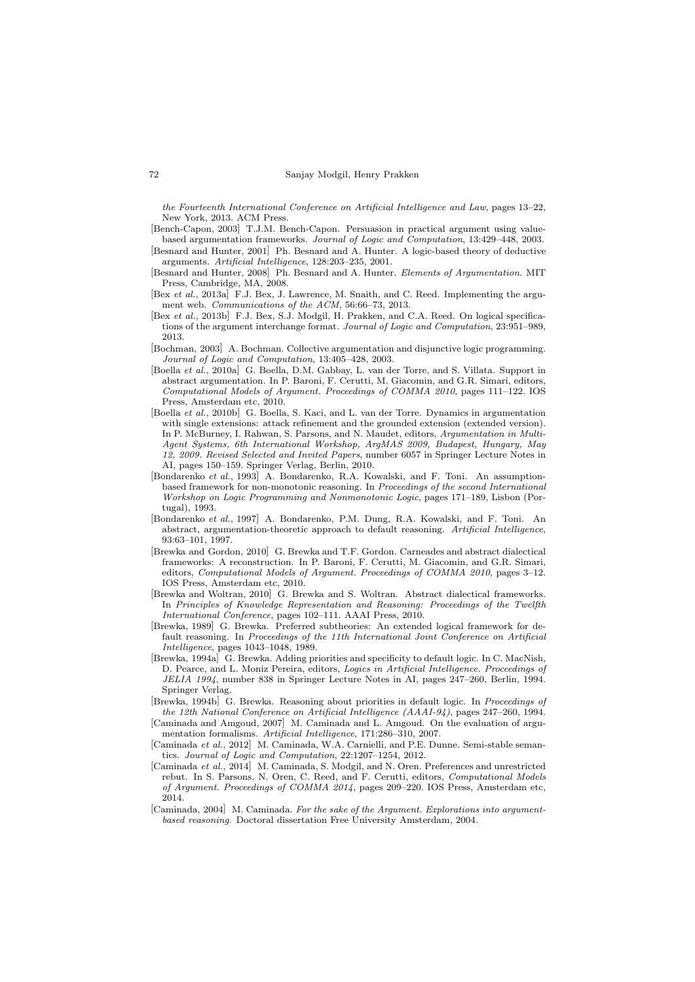the Fourteenth International Conference on Artificial Intelligence and Law, pages 13–22, New York, 2013. ACM Press.

- [Bench-Capon, 2003] T.J.M. Bench-Capon. Persuasion in practical argument using valuebased argumentation frameworks. Journal of Logic and Computation, 13:429–448, 2003.
- [Besnard and Hunter, 2001] Ph. Besnard and A. Hunter. A logic-based theory of deductive arguments. Artificial Intelligence, 128:203–235, 2001.
- [Besnard and Hunter, 2008] Ph. Besnard and A. Hunter. Elements of Argumentation. MIT Press, Cambridge, MA, 2008.
- [Bex et al., 2013a] F.J. Bex, J. Lawrence, M. Snaith, and C. Reed. Implementing the argument web. Communications of the ACM, 56:66–73, 2013.
- [Bex et al., 2013b] F.J. Bex, S.J. Modgil, H. Prakken, and C.A. Reed. On logical specifications of the argument interchange format. Journal of Logic and Computation, 23:951–989, 2013.
- [Bochman, 2003] A. Bochman. Collective argumentation and disjunctive logic programming. Journal of Logic and Computation, 13:405–428, 2003.
- [Boella et al., 2010a] G. Boella, D.M. Gabbay, L. van der Torre, and S. Villata. Support in abstract argumentation. In P. Baroni, F. Cerutti, M. Giacomin, and G.R. Simari, editors, Computational Models of Argument. Proceedings of COMMA 2010, pages 111–122. IOS Press, Amsterdam etc, 2010.
- [Boella et al., 2010b] G. Boella, S. Kaci, and L. van der Torre. Dynamics in argumentation with single extensions: attack refinement and the grounded extension (extended version). In P. McBurney, I. Rahwan, S. Parsons, and N. Maudet, editors, Argumentation in Multi-Agent Systems, 6th International Workshop, ArgMAS 2009, Budapest, Hungary, May 12, 2009. Revised Selected and Invited Papers, number 6057 in Springer Lecture Notes in AI, pages 150–159. Springer Verlag, Berlin, 2010.
- [Bondarenko et al., 1993] A. Bondarenko, R.A. Kowalski, and F. Toni. An assumptionbased framework for non-monotonic reasoning. In Proceedings of the second International Workshop on Logic Programming and Nonmonotonic Logic, pages 171–189, Lisbon (Portugal), 1993.
- [Bondarenko et al., 1997] A. Bondarenko, P.M. Dung, R.A. Kowalski, and F. Toni. An abstract, argumentation-theoretic approach to default reasoning. Artificial Intelligence, 93:63–101, 1997.
- [Brewka and Gordon, 2010] G. Brewka and T.F. Gordon. Carneades and abstract dialectical frameworks: A reconstruction. In P. Baroni, F. Cerutti, M. Giacomin, and G.R. Simari, editors, Computational Models of Argument. Proceedings of COMMA 2010, pages 3–12. IOS Press, Amsterdam etc, 2010.
- [Brewka and Woltran, 2010] G. Brewka and S. Woltran. Abstract dialectical frameworks. In Principles of Knowledge Representation and Reasoning: Proceedings of the Twelfth International Conference, pages 102–111. AAAI Press, 2010.
- [Brewka, 1989] G. Brewka. Preferred subtheories: An extended logical framework for default reasoning. In Proceedings of the 11th International Joint Conference on Artificial Intelligence, pages 1043–1048, 1989.
- [Brewka, 1994a] G. Brewka. Adding priorities and specificity to default logic. In C. MacNish, D. Pearce, and L. Moniz Pereira, editors, Logics in Artificial Intelligence. Proceedings of JELIA 1994, number 838 in Springer Lecture Notes in AI, pages 247–260, Berlin, 1994. Springer Verlag.
- [Brewka, 1994b] G. Brewka. Reasoning about priorities in default logic. In Proceedings of the 12th National Conference on Artificial Intelligence (AAAI-94), pages 247–260, 1994.
- [Caminada and Amgoud, 2007] M. Caminada and L. Amgoud. On the evaluation of argumentation formalisms. Artificial Intelligence, 171:286–310, 2007.
- [Caminada et al., 2012] M. Caminada, W.A. Carnielli, and P.E. Dunne. Semi-stable semantics. Journal of Logic and Computation, 22:1207–1254, 2012.
- [Caminada et al., 2014] M. Caminada, S. Modgil, and N. Oren. Preferences and unrestricted rebut. In S. Parsons, N. Oren, C. Reed, and F. Cerutti, editors, Computational Models of Argument. Proceedings of COMMA 2014, pages 209–220. IOS Press, Amsterdam etc, 2014.
- [Caminada, 2004] M. Caminada. For the sake of the Argument. Explorations into argumentbased reasoning. Doctoral dissertation Free University Amsterdam, 2004.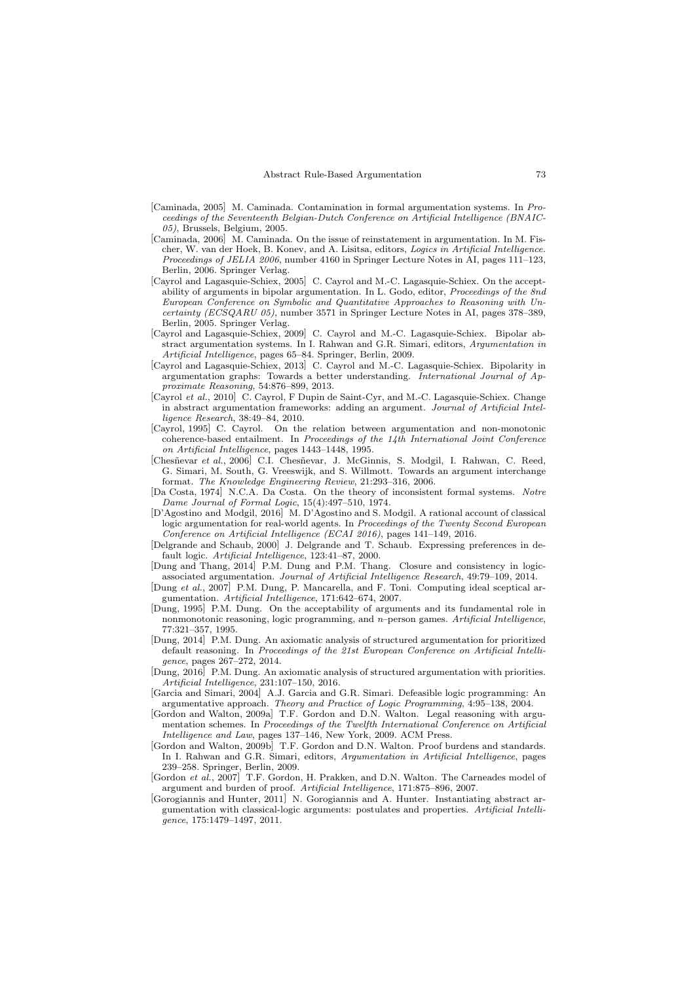- [Caminada, 2005] M. Caminada. Contamination in formal argumentation systems. In Proceedings of the Seventeenth Belgian-Dutch Conference on Artificial Intelligence (BNAIC-05), Brussels, Belgium, 2005.
- [Caminada, 2006] M. Caminada. On the issue of reinstatement in argumentation. In M. Fischer, W. van der Hoek, B. Konev, and A. Lisitsa, editors, Logics in Artificial Intelligence. Proceedings of JELIA 2006, number 4160 in Springer Lecture Notes in AI, pages 111–123, Berlin, 2006. Springer Verlag.
- [Cayrol and Lagasquie-Schiex, 2005] C. Cayrol and M.-C. Lagasquie-Schiex. On the acceptability of arguments in bipolar argumentation. In L. Godo, editor, Proceedings of the 8nd European Conference on Symbolic and Quantitative Approaches to Reasoning with Uncertainty (ECSQARU 05), number 3571 in Springer Lecture Notes in AI, pages 378–389, Berlin, 2005. Springer Verlag.
- [Cayrol and Lagasquie-Schiex, 2009] C. Cayrol and M.-C. Lagasquie-Schiex. Bipolar abstract argumentation systems. In I. Rahwan and G.R. Simari, editors, Argumentation in Artificial Intelligence, pages 65–84. Springer, Berlin, 2009.
- [Cayrol and Lagasquie-Schiex, 2013] C. Cayrol and M.-C. Lagasquie-Schiex. Bipolarity in argumentation graphs: Towards a better understanding. International Journal of Approximate Reasoning, 54:876–899, 2013.
- [Cayrol et al., 2010] C. Cayrol, F Dupin de Saint-Cyr, and M.-C. Lagasquie-Schiex. Change in abstract argumentation frameworks: adding an argument. Journal of Artificial Intelligence Research, 38:49–84, 2010.
- [Cayrol, 1995] C. Cayrol. On the relation between argumentation and non-monotonic coherence-based entailment. In Proceedings of the 14th International Joint Conference on Artificial Intelligence, pages 1443–1448, 1995.
- [Chesñevar et al., 2006] C.I. Chesñevar, J. McGinnis, S. Modgil, I. Rahwan, C. Reed, G. Simari, M. South, G. Vreeswijk, and S. Willmott. Towards an argument interchange format. The Knowledge Engineering Review, 21:293–316, 2006.
- [Da Costa, 1974] N.C.A. Da Costa. On the theory of inconsistent formal systems. Notre Dame Journal of Formal Logic, 15(4):497–510, 1974.
- [D'Agostino and Modgil, 2016] M. D'Agostino and S. Modgil. A rational account of classical logic argumentation for real-world agents. In Proceedings of the Twenty Second European Conference on Artificial Intelligence (ECAI 2016), pages 141–149, 2016.
- [Delgrande and Schaub, 2000] J. Delgrande and T. Schaub. Expressing preferences in default logic. Artificial Intelligence, 123:41–87, 2000.
- [Dung and Thang, 2014] P.M. Dung and P.M. Thang. Closure and consistency in logicassociated argumentation. Journal of Artificial Intelligence Research, 49:79–109, 2014.
- [Dung et al., 2007] P.M. Dung, P. Mancarella, and F. Toni. Computing ideal sceptical argumentation. Artificial Intelligence, 171:642–674, 2007.
- [Dung, 1995] P.M. Dung. On the acceptability of arguments and its fundamental role in nonmonotonic reasoning, logic programming, and n–person games. Artificial Intelligence, 77:321–357, 1995.
- [Dung, 2014] P.M. Dung. An axiomatic analysis of structured argumentation for prioritized default reasoning. In Proceedings of the 21st European Conference on Artificial Intelligence, pages 267–272, 2014.
- [Dung, 2016] P.M. Dung. An axiomatic analysis of structured argumentation with priorities. Artificial Intelligence, 231:107–150, 2016.
- [Garcia and Simari, 2004] A.J. Garcia and G.R. Simari. Defeasible logic programming: An argumentative approach. Theory and Practice of Logic Programming, 4:95–138, 2004.
- [Gordon and Walton, 2009a] T.F. Gordon and D.N. Walton. Legal reasoning with argumentation schemes. In Proceedings of the Twelfth International Conference on Artificial Intelligence and Law, pages 137–146, New York, 2009. ACM Press.
- [Gordon and Walton, 2009b] T.F. Gordon and D.N. Walton. Proof burdens and standards. In I. Rahwan and G.R. Simari, editors, Argumentation in Artificial Intelligence, pages 239–258. Springer, Berlin, 2009.
- [Gordon et al., 2007] T.F. Gordon, H. Prakken, and D.N. Walton. The Carneades model of argument and burden of proof. Artificial Intelligence, 171:875–896, 2007.
- [Gorogiannis and Hunter, 2011] N. Gorogiannis and A. Hunter. Instantiating abstract argumentation with classical-logic arguments: postulates and properties. Artificial Intelligence, 175:1479–1497, 2011.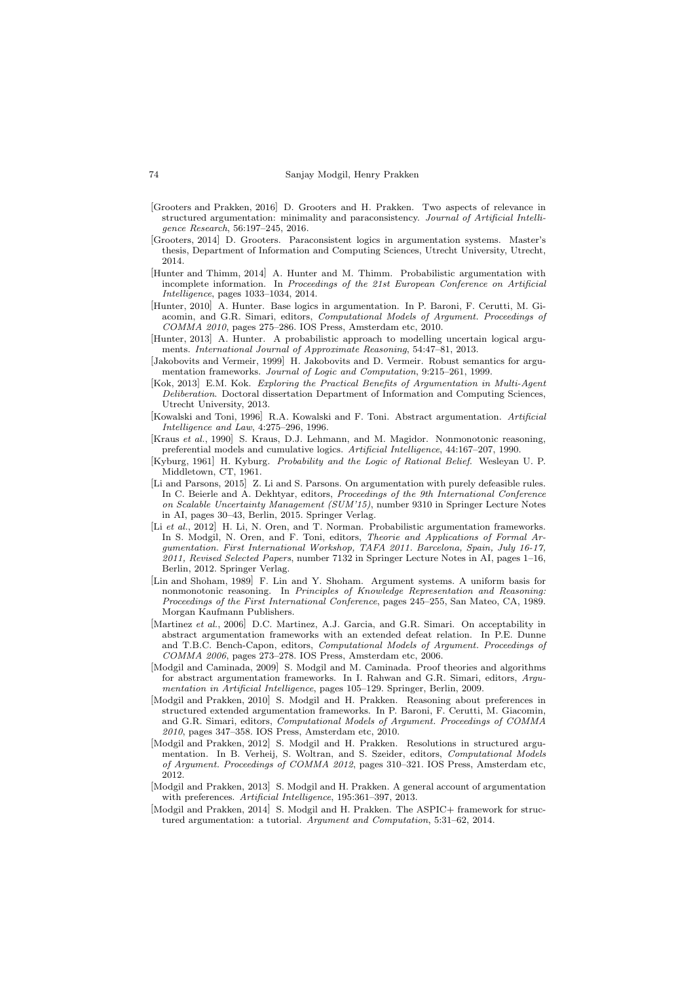- [Grooters and Prakken, 2016] D. Grooters and H. Prakken. Two aspects of relevance in structured argumentation: minimality and paraconsistency. Journal of Artificial Intelligence Research, 56:197–245, 2016.
- [Grooters, 2014] D. Grooters. Paraconsistent logics in argumentation systems. Master's thesis, Department of Information and Computing Sciences, Utrecht University, Utrecht, 2014.
- [Hunter and Thimm, 2014] A. Hunter and M. Thimm. Probabilistic argumentation with incomplete information. In Proceedings of the 21st European Conference on Artificial Intelligence, pages 1033–1034, 2014.
- [Hunter, 2010] A. Hunter. Base logics in argumentation. In P. Baroni, F. Cerutti, M. Giacomin, and G.R. Simari, editors, Computational Models of Argument. Proceedings of COMMA 2010, pages 275–286. IOS Press, Amsterdam etc, 2010.
- [Hunter, 2013] A. Hunter. A probabilistic approach to modelling uncertain logical arguments. International Journal of Approximate Reasoning, 54:47–81, 2013.
- [Jakobovits and Vermeir, 1999] H. Jakobovits and D. Vermeir. Robust semantics for argumentation frameworks. Journal of Logic and Computation, 9:215–261, 1999.
- [Kok, 2013] E.M. Kok. Exploring the Practical Benefits of Argumentation in Multi-Agent Deliberation. Doctoral dissertation Department of Information and Computing Sciences, Utrecht University, 2013.
- [Kowalski and Toni, 1996] R.A. Kowalski and F. Toni. Abstract argumentation. Artificial Intelligence and Law, 4:275–296, 1996.
- [Kraus et al., 1990] S. Kraus, D.J. Lehmann, and M. Magidor. Nonmonotonic reasoning, preferential models and cumulative logics. Artificial Intelligence, 44:167–207, 1990.
- [Kyburg, 1961] H. Kyburg. Probability and the Logic of Rational Belief. Wesleyan U. P. Middletown, CT, 1961.
- [Li and Parsons, 2015] Z. Li and S. Parsons. On argumentation with purely defeasible rules. In C. Beierle and A. Dekhtyar, editors, Proceedings of the 9th International Conference on Scalable Uncertainty Management (SUM'15), number 9310 in Springer Lecture Notes in AI, pages 30–43, Berlin, 2015. Springer Verlag.
- [Li et al., 2012] H. Li, N. Oren, and T. Norman. Probabilistic argumentation frameworks. In S. Modgil, N. Oren, and F. Toni, editors, Theorie and Applications of Formal Argumentation. First International Workshop, TAFA 2011. Barcelona, Spain, July 16-17, 2011, Revised Selected Papers, number 7132 in Springer Lecture Notes in AI, pages 1–16, Berlin, 2012. Springer Verlag.
- [Lin and Shoham, 1989] F. Lin and Y. Shoham. Argument systems. A uniform basis for nonmonotonic reasoning. In Principles of Knowledge Representation and Reasoning: Proceedings of the First International Conference, pages 245–255, San Mateo, CA, 1989. Morgan Kaufmann Publishers.
- [Martinez et al., 2006] D.C. Martinez, A.J. Garcia, and G.R. Simari. On acceptability in abstract argumentation frameworks with an extended defeat relation. In P.E. Dunne and T.B.C. Bench-Capon, editors, Computational Models of Argument. Proceedings of COMMA 2006, pages 273–278. IOS Press, Amsterdam etc, 2006.
- [Modgil and Caminada, 2009] S. Modgil and M. Caminada. Proof theories and algorithms for abstract argumentation frameworks. In I. Rahwan and G.R. Simari, editors, Argumentation in Artificial Intelligence, pages 105–129. Springer, Berlin, 2009.
- [Modgil and Prakken, 2010] S. Modgil and H. Prakken. Reasoning about preferences in structured extended argumentation frameworks. In P. Baroni, F. Cerutti, M. Giacomin, and G.R. Simari, editors, Computational Models of Argument. Proceedings of COMMA 2010, pages 347–358. IOS Press, Amsterdam etc, 2010.
- [Modgil and Prakken, 2012] S. Modgil and H. Prakken. Resolutions in structured argumentation. In B. Verheij, S. Woltran, and S. Szeider, editors, Computational Models of Argument. Proceedings of COMMA 2012, pages 310–321. IOS Press, Amsterdam etc, 2012.
- [Modgil and Prakken, 2013] S. Modgil and H. Prakken. A general account of argumentation with preferences. Artificial Intelligence, 195:361-397, 2013.
- [Modgil and Prakken, 2014] S. Modgil and H. Prakken. The ASPIC+ framework for structured argumentation: a tutorial. Argument and Computation, 5:31–62, 2014.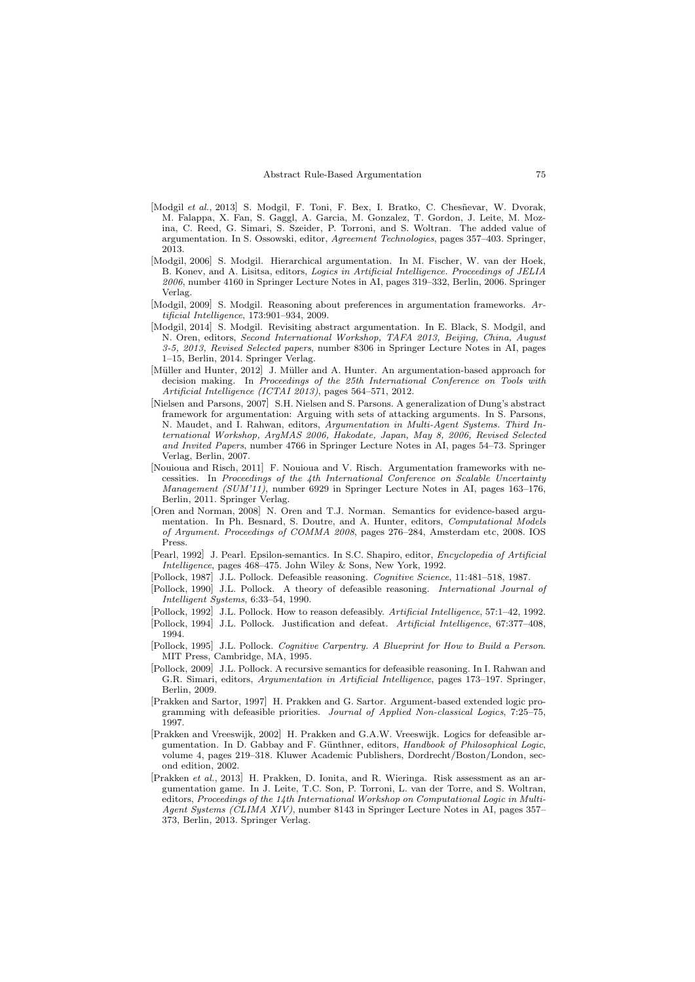- [Modgil et al., 2013] S. Modgil, F. Toni, F. Bex, I. Bratko, C. Chesñevar, W. Dvorak, M. Falappa, X. Fan, S. Gaggl, A. Garcia, M. Gonzalez, T. Gordon, J. Leite, M. Mozina, C. Reed, G. Simari, S. Szeider, P. Torroni, and S. Woltran. The added value of argumentation. In S. Ossowski, editor, Agreement Technologies, pages 357–403. Springer, 2013.
- [Modgil, 2006] S. Modgil. Hierarchical argumentation. In M. Fischer, W. van der Hoek, B. Konev, and A. Lisitsa, editors, Logics in Artificial Intelligence. Proceedings of JELIA 2006, number 4160 in Springer Lecture Notes in AI, pages 319–332, Berlin, 2006. Springer Verlag.
- [Modgil, 2009] S. Modgil. Reasoning about preferences in argumentation frameworks. Artificial Intelligence, 173:901–934, 2009.
- [Modgil, 2014] S. Modgil. Revisiting abstract argumentation. In E. Black, S. Modgil, and N. Oren, editors, Second International Workshop, TAFA 2013, Beijing, China, August 3-5, 2013, Revised Selected papers, number 8306 in Springer Lecture Notes in AI, pages 1–15, Berlin, 2014. Springer Verlag.
- [Müller and Hunter, 2012] J. Müller and A. Hunter. An argumentation-based approach for decision making. In Proceedings of the 25th International Conference on Tools with Artificial Intelligence (ICTAI 2013), pages 564–571, 2012.
- [Nielsen and Parsons, 2007] S.H. Nielsen and S. Parsons. A generalization of Dung's abstract framework for argumentation: Arguing with sets of attacking arguments. In S. Parsons, N. Maudet, and I. Rahwan, editors, Argumentation in Multi-Agent Systems. Third International Workshop, ArgMAS 2006, Hakodate, Japan, May 8, 2006, Revised Selected and Invited Papers, number 4766 in Springer Lecture Notes in AI, pages 54–73. Springer Verlag, Berlin, 2007.
- [Nouioua and Risch, 2011] F. Nouioua and V. Risch. Argumentation frameworks with necessities. In Proceedings of the 4th International Conference on Scalable Uncertainty Management (SUM'11), number 6929 in Springer Lecture Notes in AI, pages 163–176, Berlin, 2011. Springer Verlag.
- [Oren and Norman, 2008] N. Oren and T.J. Norman. Semantics for evidence-based argumentation. In Ph. Besnard, S. Doutre, and A. Hunter, editors, Computational Models of Argument. Proceedings of COMMA 2008, pages 276–284, Amsterdam etc, 2008. IOS Press.
- [Pearl, 1992] J. Pearl. Epsilon-semantics. In S.C. Shapiro, editor, Encyclopedia of Artificial Intelligence, pages 468–475. John Wiley & Sons, New York, 1992.
- [Pollock, 1987] J.L. Pollock. Defeasible reasoning. Cognitive Science, 11:481–518, 1987.
- [Pollock, 1990] J.L. Pollock. A theory of defeasible reasoning. International Journal of Intelligent Systems, 6:33–54, 1990.
- [Pollock, 1992] J.L. Pollock. How to reason defeasibly. Artificial Intelligence, 57:1–42, 1992.
- [Pollock, 1994] J.L. Pollock. Justification and defeat. Artificial Intelligence, 67:377–408, 1994.
- [Pollock, 1995] J.L. Pollock. Cognitive Carpentry. A Blueprint for How to Build a Person. MIT Press, Cambridge, MA, 1995.
- [Pollock, 2009] J.L. Pollock. A recursive semantics for defeasible reasoning. In I. Rahwan and G.R. Simari, editors, Argumentation in Artificial Intelligence, pages 173–197. Springer, Berlin, 2009.
- [Prakken and Sartor, 1997] H. Prakken and G. Sartor. Argument-based extended logic programming with defeasible priorities. Journal of Applied Non-classical Logics, 7:25–75, 1997.
- [Prakken and Vreeswijk, 2002] H. Prakken and G.A.W. Vreeswijk. Logics for defeasible argumentation. In D. Gabbay and F. Günthner, editors, Handbook of Philosophical Logic, volume 4, pages 219–318. Kluwer Academic Publishers, Dordrecht/Boston/London, second edition, 2002.
- [Prakken et al., 2013] H. Prakken, D. Ionita, and R. Wieringa. Risk assessment as an argumentation game. In J. Leite, T.C. Son, P. Torroni, L. van der Torre, and S. Woltran, editors, Proceedings of the 14th International Workshop on Computational Logic in Multi-Agent Systems (CLIMA XIV), number 8143 in Springer Lecture Notes in AI, pages 357– 373, Berlin, 2013. Springer Verlag.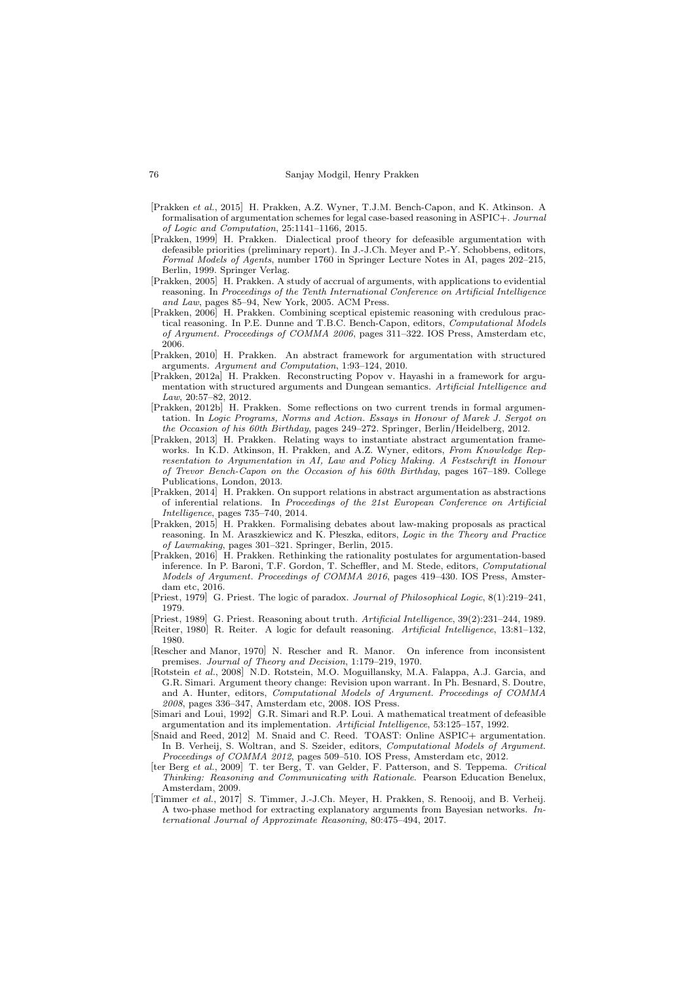- [Prakken et al., 2015] H. Prakken, A.Z. Wyner, T.J.M. Bench-Capon, and K. Atkinson. A formalisation of argumentation schemes for legal case-based reasoning in ASPIC+. Journal of Logic and Computation, 25:1141–1166, 2015.
- [Prakken, 1999] H. Prakken. Dialectical proof theory for defeasible argumentation with defeasible priorities (preliminary report). In J.-J.Ch. Meyer and P.-Y. Schobbens, editors, Formal Models of Agents, number 1760 in Springer Lecture Notes in AI, pages 202–215, Berlin, 1999. Springer Verlag.
- [Prakken, 2005] H. Prakken. A study of accrual of arguments, with applications to evidential reasoning. In Proceedings of the Tenth International Conference on Artificial Intelligence and Law, pages 85–94, New York, 2005. ACM Press.
- [Prakken, 2006] H. Prakken. Combining sceptical epistemic reasoning with credulous practical reasoning. In P.E. Dunne and T.B.C. Bench-Capon, editors, Computational Models of Argument. Proceedings of COMMA 2006, pages 311–322. IOS Press, Amsterdam etc, 2006.
- [Prakken, 2010] H. Prakken. An abstract framework for argumentation with structured arguments. Argument and Computation, 1:93–124, 2010.
- [Prakken, 2012a] H. Prakken. Reconstructing Popov v. Hayashi in a framework for argumentation with structured arguments and Dungean semantics. Artificial Intelligence and Law, 20:57–82, 2012.
- [Prakken, 2012b] H. Prakken. Some reflections on two current trends in formal argumentation. In Logic Programs, Norms and Action. Essays in Honour of Marek J. Sergot on the Occasion of his 60th Birthday, pages 249–272. Springer, Berlin/Heidelberg, 2012.
- [Prakken, 2013] H. Prakken. Relating ways to instantiate abstract argumentation frameworks. In K.D. Atkinson, H. Prakken, and A.Z. Wyner, editors, From Knowledge Representation to Argumentation in AI, Law and Policy Making. A Festschrift in Honour of Trevor Bench-Capon on the Occasion of his 60th Birthday, pages 167–189. College Publications, London, 2013.
- [Prakken, 2014] H. Prakken. On support relations in abstract argumentation as abstractions of inferential relations. In Proceedings of the 21st European Conference on Artificial Intelligence, pages 735–740, 2014.
- [Prakken, 2015] H. Prakken. Formalising debates about law-making proposals as practical reasoning. In M. Araszkiewicz and K. Płeszka, editors, Logic in the Theory and Practice of Lawmaking, pages 301–321. Springer, Berlin, 2015.
- [Prakken, 2016] H. Prakken. Rethinking the rationality postulates for argumentation-based inference. In P. Baroni, T.F. Gordon, T. Scheffler, and M. Stede, editors, Computational Models of Argument. Proceedings of COMMA 2016, pages 419–430. IOS Press, Amsterdam etc, 2016.
- [Priest, 1979] G. Priest. The logic of paradox. Journal of Philosophical Logic, 8(1):219–241, 1979.
- [Priest, 1989] G. Priest. Reasoning about truth. Artificial Intelligence, 39(2):231–244, 1989.
- [Reiter, 1980] R. Reiter. A logic for default reasoning. Artificial Intelligence, 13:81–132, 1980.
- [Rescher and Manor, 1970] N. Rescher and R. Manor. On inference from inconsistent premises. Journal of Theory and Decision, 1:179–219, 1970.
- [Rotstein et al., 2008] N.D. Rotstein, M.O. Moguillansky, M.A. Falappa, A.J. Garcia, and G.R. Simari. Argument theory change: Revision upon warrant. In Ph. Besnard, S. Doutre, and A. Hunter, editors, Computational Models of Argument. Proceedings of COMMA 2008, pages 336–347, Amsterdam etc, 2008. IOS Press.
- [Simari and Loui, 1992] G.R. Simari and R.P. Loui. A mathematical treatment of defeasible argumentation and its implementation. Artificial Intelligence, 53:125–157, 1992.
- [Snaid and Reed, 2012] M. Snaid and C. Reed. TOAST: Online ASPIC+ argumentation. In B. Verheij, S. Woltran, and S. Szeider, editors, Computational Models of Argument. Proceedings of COMMA 2012, pages 509–510. IOS Press, Amsterdam etc, 2012.
- [ter Berg et al., 2009] T. ter Berg, T. van Gelder, F. Patterson, and S. Teppema. Critical Thinking: Reasoning and Communicating with Rationale. Pearson Education Benelux, Amsterdam, 2009.
- [Timmer et al., 2017] S. Timmer, J.-J.Ch. Meyer, H. Prakken, S. Renooij, and B. Verheij. A two-phase method for extracting explanatory arguments from Bayesian networks. International Journal of Approximate Reasoning, 80:475–494, 2017.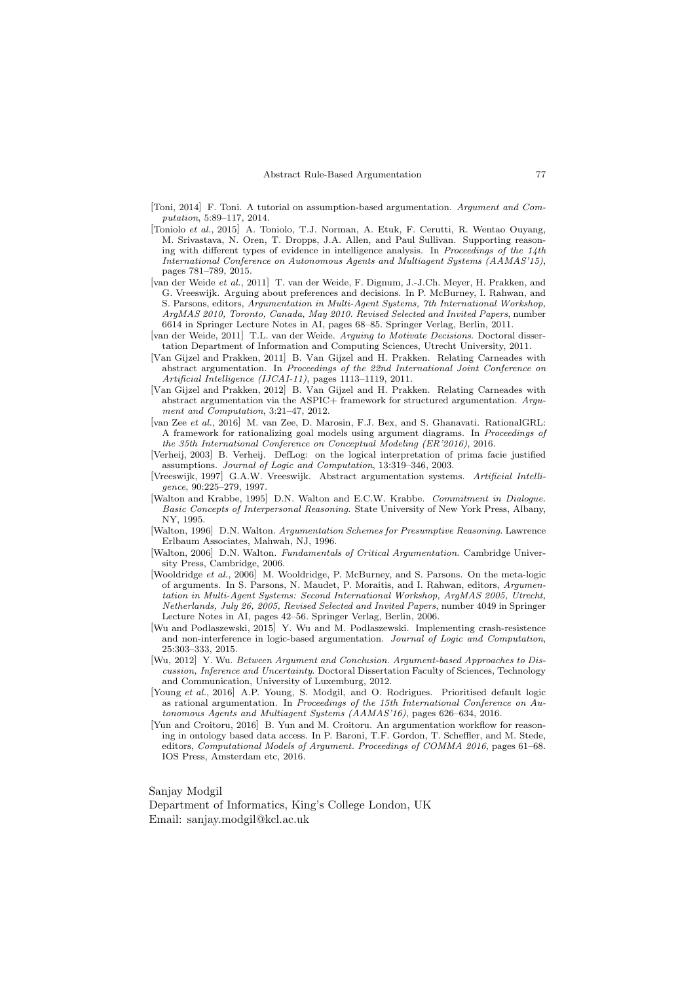- [Toni, 2014] F. Toni. A tutorial on assumption-based argumentation. Argument and Computation, 5:89–117, 2014.
- [Toniolo et al., 2015] A. Toniolo, T.J. Norman, A. Etuk, F. Cerutti, R. Wentao Ouyang, M. Srivastava, N. Oren, T. Dropps, J.A. Allen, and Paul Sullivan. Supporting reasoning with different types of evidence in intelligence analysis. In Proceedings of the  $14$ th International Conference on Autonomous Agents and Multiagent Systems (AAMAS'15), pages 781–789, 2015.
- [van der Weide et al., 2011] T. van der Weide, F. Dignum, J.-J.Ch. Meyer, H. Prakken, and G. Vreeswijk. Arguing about preferences and decisions. In P. McBurney, I. Rahwan, and S. Parsons, editors, Argumentation in Multi-Agent Systems, 7th International Workshop, ArgMAS 2010, Toronto, Canada, May 2010. Revised Selected and Invited Papers, number 6614 in Springer Lecture Notes in AI, pages 68–85. Springer Verlag, Berlin, 2011.
- [van der Weide, 2011] T.L. van der Weide. Arguing to Motivate Decisions. Doctoral dissertation Department of Information and Computing Sciences, Utrecht University, 2011.
- [Van Gijzel and Prakken, 2011] B. Van Gijzel and H. Prakken. Relating Carneades with abstract argumentation. In Proceedings of the 22nd International Joint Conference on Artificial Intelligence (IJCAI-11), pages 1113–1119, 2011.
- [Van Gijzel and Prakken, 2012] B. Van Gijzel and H. Prakken. Relating Carneades with abstract argumentation via the ASPIC+ framework for structured argumentation. Argument and Computation, 3:21–47, 2012.
- [van Zee et al., 2016] M. van Zee, D. Marosin, F.J. Bex, and S. Ghanavati. RationalGRL: A framework for rationalizing goal models using argument diagrams. In Proceedings of the 35th International Conference on Conceptual Modeling (ER'2016), 2016.
- [Verheij, 2003] B. Verheij. DefLog: on the logical interpretation of prima facie justified assumptions. Journal of Logic and Computation, 13:319–346, 2003.
- [Vreeswijk, 1997] G.A.W. Vreeswijk. Abstract argumentation systems. Artificial Intelligence, 90:225–279, 1997.
- [Walton and Krabbe, 1995] D.N. Walton and E.C.W. Krabbe. Commitment in Dialogue. Basic Concepts of Interpersonal Reasoning. State University of New York Press, Albany, NY, 1995.
- [Walton, 1996] D.N. Walton. Argumentation Schemes for Presumptive Reasoning. Lawrence Erlbaum Associates, Mahwah, NJ, 1996.
- [Walton, 2006] D.N. Walton. Fundamentals of Critical Argumentation. Cambridge University Press, Cambridge, 2006.
- [Wooldridge et al., 2006] M. Wooldridge, P. McBurney, and S. Parsons. On the meta-logic of arguments. In S. Parsons, N. Maudet, P. Moraitis, and I. Rahwan, editors, Argumentation in Multi-Agent Systems: Second International Workshop, ArgMAS 2005, Utrecht, Netherlands, July 26, 2005, Revised Selected and Invited Papers, number 4049 in Springer Lecture Notes in AI, pages 42–56. Springer Verlag, Berlin, 2006.
- [Wu and Podlaszewski, 2015] Y. Wu and M. Podlaszewski. Implementing crash-resistence and non-interference in logic-based argumentation. Journal of Logic and Computation, 25:303–333, 2015.
- [Wu, 2012] Y. Wu. Between Argument and Conclusion. Argument-based Approaches to Discussion, Inference and Uncertainty. Doctoral Dissertation Faculty of Sciences, Technology and Communication, University of Luxemburg, 2012.
- [Young et al., 2016] A.P. Young, S. Modgil, and O. Rodrigues. Prioritised default logic as rational argumentation. In Proceedings of the 15th International Conference on Autonomous Agents and Multiagent Systems (AAMAS'16), pages 626–634, 2016.
- [Yun and Croitoru, 2016] B. Yun and M. Croitoru. An argumentation workflow for reasoning in ontology based data access. In P. Baroni, T.F. Gordon, T. Scheffler, and M. Stede, editors, Computational Models of Argument. Proceedings of COMMA 2016, pages 61–68. IOS Press, Amsterdam etc, 2016.

Sanjay Modgil

Department of Informatics, King's College London, UK Email: sanjay.modgil@kcl.ac.uk